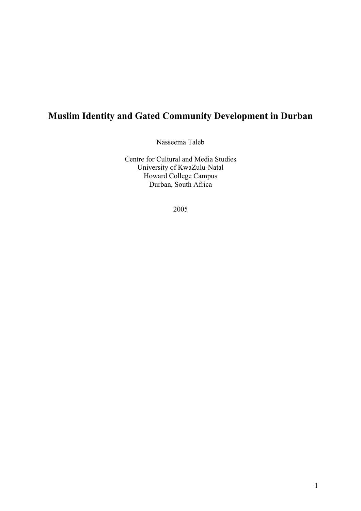# **Muslim Identity and Gated Community Development in Durban**

Nasseema Taleb

Centre for Cultural and Media Studies University of KwaZulu-Natal Howard College Campus Durban, South Africa

2005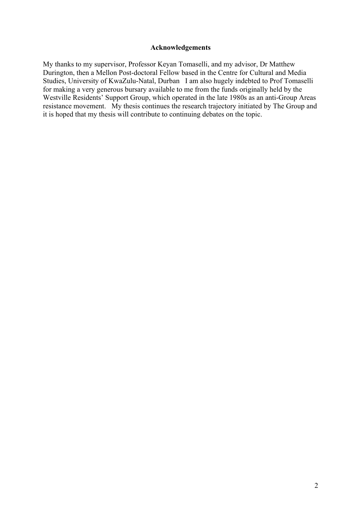## **Acknowledgements**

My thanks to my supervisor, Professor Keyan Tomaselli, and my advisor, Dr Matthew Durington, then a Mellon Post-doctoral Fellow based in the Centre for Cultural and Media Studies, University of KwaZulu-Natal, Durban I am also hugely indebted to Prof Tomaselli for making a very generous bursary available to me from the funds originally held by the Westville Residents' Support Group, which operated in the late 1980s as an anti-Group Areas resistance movement. My thesis continues the research trajectory initiated by The Group and it is hoped that my thesis will contribute to continuing debates on the topic.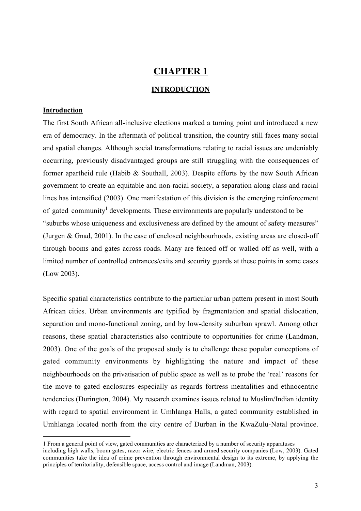## **CHAPTER 1**

## **INTRODUCTION**

## **Introduction**

The first South African all-inclusive elections marked a turning point and introduced a new era of democracy. In the aftermath of political transition, the country still faces many social and spatial changes. Although social transformations relating to racial issues are undeniably occurring, previously disadvantaged groups are still struggling with the consequences of former apartheid rule (Habib & Southall, 2003). Despite efforts by the new South African government to create an equitable and non-racial society, a separation along class and racial lines has intensified (2003). One manifestation of this division is the emerging reinforcement of gated community<sup>1</sup> developments. These environments are popularly understood to be "suburbs whose uniqueness and exclusiveness are defined by the amount of safety measures" (Jurgen & Gnad, 2001). In the case of enclosed neighbourhoods, existing areas are closed-off through booms and gates across roads. Many are fenced off or walled off as well, with a limited number of controlled entrances/exits and security guards at these points in some cases (Low 2003).

Specific spatial characteristics contribute to the particular urban pattern present in most South African cities. Urban environments are typified by fragmentation and spatial dislocation, separation and mono-functional zoning, and by low-density suburban sprawl. Among other reasons, these spatial characteristics also contribute to opportunities for crime (Landman, 2003). One of the goals of the proposed study is to challenge these popular conceptions of gated community environments by highlighting the nature and impact of these neighbourhoods on the privatisation of public space as well as to probe the 'real' reasons for the move to gated enclosures especially as regards fortress mentalities and ethnocentric tendencies (Durington, 2004). My research examines issues related to Muslim/Indian identity with regard to spatial environment in Umhlanga Halls, a gated community established in Umhlanga located north from the city centre of Durban in the KwaZulu-Natal province.

 <sup>1</sup> From a general point of view, gated communities are characterized by a number of security apparatuses including high walls, boom gates, razor wire, electric fences and armed security companies (Low, 2003). Gated communities take the idea of crime prevention through environmental design to its extreme, by applying the principles of territoriality, defensible space, access control and image (Landman, 2003).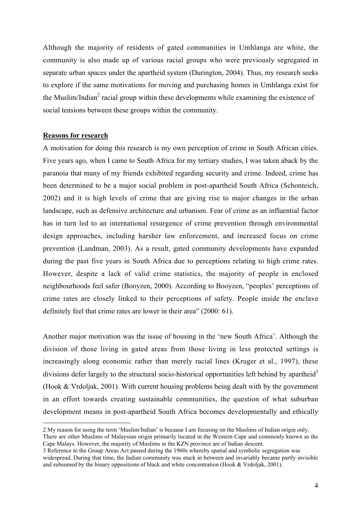Although the majority of residents of gated communities in Umhlanga are white, the community is also made up of various racial groups who were previously segregated in separate urban spaces under the apartheid system (Durington, 2004). Thus, my research seeks to explore if the same motivations for moving and purchasing homes in Umhlanga exist for the Muslim/Indian<sup>2</sup> racial group within these developments while examining the existence of social tensions between these groups within the community.

## **Reasons for research**

A motivation for doing this research is my own perception of crime in South African cities. Five years ago, when I came to South Africa for my tertiary studies, I was taken aback by the paranoia that many of my friends exhibited regarding security and crime. Indeed, crime has been determined to be a major social problem in post-apartheid South Africa (Schonteich, 2002) and it is high levels of crime that are giving rise to major changes in the urban landscape, such as defensive architecture and urbanism. Fear of crime as an influential factor has in turn led to an international resurgence of crime prevention through environmental design approaches, including harsher law enforcement, and increased focus on crime prevention (Landman, 2003). As a result, gated community developments have expanded during the past five years in South Africa due to perceptions relating to high crime rates. However, despite a lack of valid crime statistics, the majority of people in enclosed neighbourhoods feel safer (Booyzen, 2000). According to Booyzen, "peoples' perceptions of crime rates are closely linked to their perceptions of safety. People inside the enclave definitely feel that crime rates are lower in their area" (2000: 61).

Another major motivation was the issue of housing in the 'new South Africa'. Although the division of those living in gated areas from those living in less protected settings is increasingly along economic rather than merely racial lines (Kruger et al., 1997), these divisions defer largely to the structural socio-historical opportunities left behind by apartheid<sup>3</sup> (Hook & Vrdoljak, 2001). With current housing problems being dealt with by the government in an effort towards creating sustainable communities, the question of what suburban development means in post-apartheid South Africa becomes developmentally and ethically

 <sup>2</sup> My reason for using the term 'Muslim/Indian' is because I am focusing on the Muslims of Indian origin only.

There are other Muslims of Malaysian origin primarily located in the Western Cape and commonly known as the Cape Malays. However, the majority of Muslims in the KZN province are of Indian descent.

<sup>3</sup> Reference to the Group Areas Act passed during the 1960s whereby spatial and symbolic segregation was widespread. During that time, the Indian community was stuck in between and invariably became partly invisible and subsumed by the binary oppositions of black and white concentration (Hook & Vrdoljak, 2001).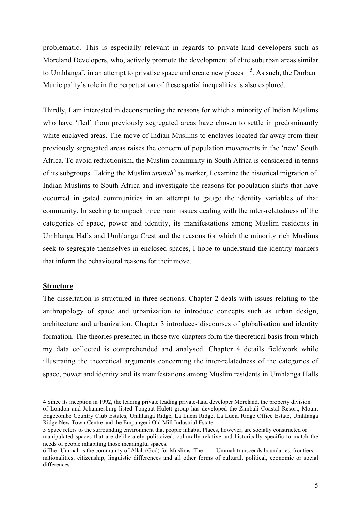problematic. This is especially relevant in regards to private-land developers such as Moreland Developers, who, actively promote the development of elite suburban areas similar to Umhlanga<sup>4</sup>, in an attempt to privatise space and create new places  $\frac{5}{3}$ . As such, the Durban Municipality's role in the perpetuation of these spatial inequalities is also explored.

Thirdly, I am interested in deconstructing the reasons for which a minority of Indian Muslims who have 'fled' from previously segregated areas have chosen to settle in predominantly white enclaved areas. The move of Indian Muslims to enclaves located far away from their previously segregated areas raises the concern of population movements in the 'new' South Africa. To avoid reductionism, the Muslim community in South Africa is considered in terms of its subgroups. Taking the Muslim *ummah*<sup>6</sup> as marker, I examine the historical migration of Indian Muslims to South Africa and investigate the reasons for population shifts that have occurred in gated communities in an attempt to gauge the identity variables of that community. In seeking to unpack three main issues dealing with the inter-relatedness of the categories of space, power and identity, its manifestations among Muslim residents in Umhlanga Halls and Umhlanga Crest and the reasons for which the minority rich Muslims seek to segregate themselves in enclosed spaces, I hope to understand the identity markers that inform the behavioural reasons for their move.

## **Structure**

The dissertation is structured in three sections. Chapter 2 deals with issues relating to the anthropology of space and urbanization to introduce concepts such as urban design, architecture and urbanization. Chapter 3 introduces discourses of globalisation and identity formation. The theories presented in those two chapters form the theoretical basis from which my data collected is comprehended and analysed. Chapter 4 details fieldwork while illustrating the theoretical arguments concerning the inter-relatedness of the categories of space, power and identity and its manifestations among Muslim residents in Umhlanga Halls

 <sup>4</sup> Since its inception in 1992, the leading private leading private-land developer Moreland, the property division of London and Johannesburg-listed Tongaat-Hulett group has developed the Zimbali Coastal Resort, Mount Edgecombe Country Club Estates, Umhlanga Ridge, La Lucia Ridge, La Lucia Ridge Office Estate, Umhlanga Ridge New Town Centre and the Empangeni Old Mill Industrial Estate.

<sup>5</sup> Space refers to the surrounding environment that people inhabit. Places, however, are socially constructed or manipulated spaces that are deliberately politicized, culturally relative and historically specific to match the needs of people inhabiting those meaningful spaces.

<sup>6</sup> The Ummah is the community of Allah (God) for Muslims. The Ummah transcends boundaries, frontiers, nationalities, citizenship, linguistic differences and all other forms of cultural, political, economic or social differences.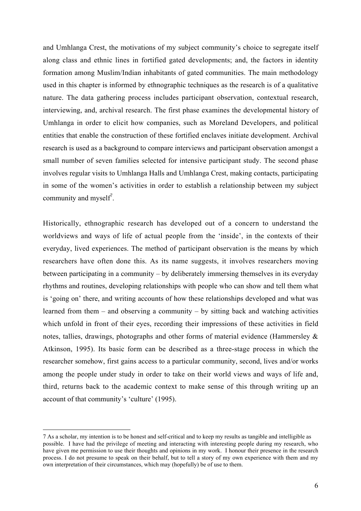and Umhlanga Crest, the motivations of my subject community's choice to segregate itself along class and ethnic lines in fortified gated developments; and, the factors in identity formation among Muslim/Indian inhabitants of gated communities. The main methodology used in this chapter is informed by ethnographic techniques as the research is of a qualitative nature. The data gathering process includes participant observation, contextual research, interviewing, and, archival research. The first phase examines the developmental history of Umhlanga in order to elicit how companies, such as Moreland Developers, and political entities that enable the construction of these fortified enclaves initiate development. Archival research is used as a background to compare interviews and participant observation amongst a small number of seven families selected for intensive participant study. The second phase involves regular visits to Umhlanga Halls and Umhlanga Crest, making contacts, participating in some of the women's activities in order to establish a relationship between my subject community and myself<sup>7</sup>.

Historically, ethnographic research has developed out of a concern to understand the worldviews and ways of life of actual people from the 'inside', in the contexts of their everyday, lived experiences. The method of participant observation is the means by which researchers have often done this. As its name suggests, it involves researchers moving between participating in a community – by deliberately immersing themselves in its everyday rhythms and routines, developing relationships with people who can show and tell them what is 'going on' there, and writing accounts of how these relationships developed and what was learned from them – and observing a community – by sitting back and watching activities which unfold in front of their eyes, recording their impressions of these activities in field notes, tallies, drawings, photographs and other forms of material evidence (Hammersley & Atkinson, 1995). Its basic form can be described as a three-stage process in which the researcher somehow, first gains access to a particular community, second, lives and/or works among the people under study in order to take on their world views and ways of life and, third, returns back to the academic context to make sense of this through writing up an account of that community's 'culture' (1995).

<u>.</u>

<sup>7</sup> As a scholar, my intention is to be honest and self-critical and to keep my results as tangible and intelligible as possible. I have had the privilege of meeting and interacting with interesting people during my research, who have given me permission to use their thoughts and opinions in my work. I honour their presence in the research process. I do not presume to speak on their behalf, but to tell a story of my own experience with them and my own interpretation of their circumstances, which may (hopefully) be of use to them.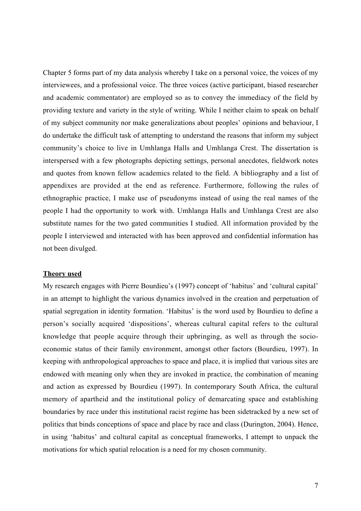Chapter 5 forms part of my data analysis whereby I take on a personal voice, the voices of my interviewees, and a professional voice. The three voices (active participant, biased researcher and academic commentator) are employed so as to convey the immediacy of the field by providing texture and variety in the style of writing. While I neither claim to speak on behalf of my subject community nor make generalizations about peoples' opinions and behaviour, I do undertake the difficult task of attempting to understand the reasons that inform my subject community's choice to live in Umhlanga Halls and Umhlanga Crest. The dissertation is interspersed with a few photographs depicting settings, personal anecdotes, fieldwork notes and quotes from known fellow academics related to the field. A bibliography and a list of appendixes are provided at the end as reference. Furthermore, following the rules of ethnographic practice, I make use of pseudonyms instead of using the real names of the people I had the opportunity to work with. Umhlanga Halls and Umhlanga Crest are also substitute names for the two gated communities I studied. All information provided by the people I interviewed and interacted with has been approved and confidential information has not been divulged.

#### **Theory used**

My research engages with Pierre Bourdieu's (1997) concept of 'habitus' and 'cultural capital' in an attempt to highlight the various dynamics involved in the creation and perpetuation of spatial segregation in identity formation. 'Habitus' is the word used by Bourdieu to define a person's socially acquired 'dispositions', whereas cultural capital refers to the cultural knowledge that people acquire through their upbringing, as well as through the socioeconomic status of their family environment, amongst other factors (Bourdieu, 1997). In keeping with anthropological approaches to space and place, it is implied that various sites are endowed with meaning only when they are invoked in practice, the combination of meaning and action as expressed by Bourdieu (1997). In contemporary South Africa, the cultural memory of apartheid and the institutional policy of demarcating space and establishing boundaries by race under this institutional racist regime has been sidetracked by a new set of politics that binds conceptions of space and place by race and class (Durington, 2004). Hence, in using 'habitus' and cultural capital as conceptual frameworks, I attempt to unpack the motivations for which spatial relocation is a need for my chosen community.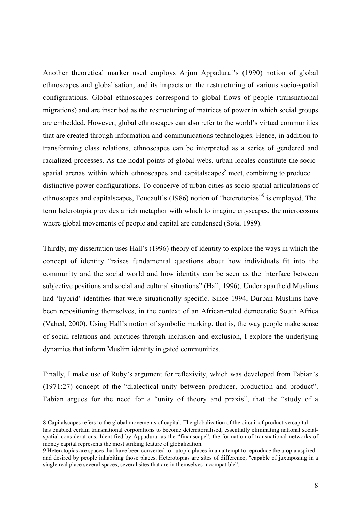Another theoretical marker used employs Arjun Appadurai's (1990) notion of global ethnoscapes and globalisation, and its impacts on the restructuring of various socio-spatial configurations. Global ethnoscapes correspond to global flows of people (transnational migrations) and are inscribed as the restructuring of matrices of power in which social groups are embedded. However, global ethnoscapes can also refer to the world's virtual communities that are created through information and communications technologies. Hence, in addition to transforming class relations, ethnoscapes can be interpreted as a series of gendered and racialized processes. As the nodal points of global webs, urban locales constitute the sociospatial arenas within which ethnoscapes and capitalscapes $\delta$  meet, combining to produce distinctive power configurations. To conceive of urban cities as socio-spatial articulations of ethnoscapes and capitalscapes, Foucault's (1986) notion of "heterotopias"<sup>9</sup> is employed. The term heterotopia provides a rich metaphor with which to imagine cityscapes, the microcosms where global movements of people and capital are condensed (Soja, 1989).

Thirdly, my dissertation uses Hall's (1996) theory of identity to explore the ways in which the concept of identity "raises fundamental questions about how individuals fit into the community and the social world and how identity can be seen as the interface between subjective positions and social and cultural situations" (Hall, 1996). Under apartheid Muslims had 'hybrid' identities that were situationally specific. Since 1994, Durban Muslims have been repositioning themselves, in the context of an African-ruled democratic South Africa (Vahed, 2000). Using Hall's notion of symbolic marking, that is, the way people make sense of social relations and practices through inclusion and exclusion, I explore the underlying dynamics that inform Muslim identity in gated communities.

Finally, I make use of Ruby's argument for reflexivity, which was developed from Fabian's (1971:27) concept of the "dialectical unity between producer, production and product". Fabian argues for the need for a "unity of theory and praxis", that the "study of a

 <sup>8</sup> Capitalscapes refers to the global movements of capital. The globalization of the circuit of productive capital has enabled certain transnational corporations to become deterritorialised, essentially eliminating national socialspatial considerations. Identified by Appadurai as the "finanscape", the formation of transnational networks of money capital represents the most striking feature of globalization.

<sup>9</sup> Heterotopias are spaces that have been converted to utopic places in an attempt to reproduce the utopia aspired and desired by people inhabiting those places. Heterotopias are sites of difference, "capable of juxtaposing in a single real place several spaces, several sites that are in themselves incompatible".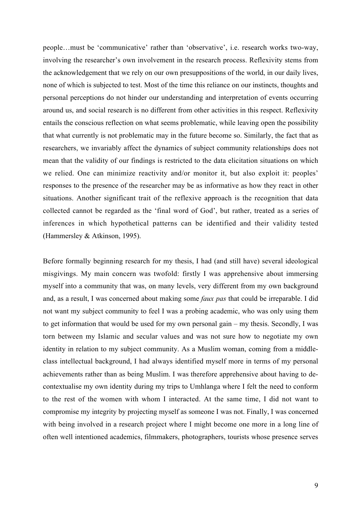people…must be 'communicative' rather than 'observative', i.e. research works two-way, involving the researcher's own involvement in the research process. Reflexivity stems from the acknowledgement that we rely on our own presuppositions of the world, in our daily lives, none of which is subjected to test. Most of the time this reliance on our instincts, thoughts and personal perceptions do not hinder our understanding and interpretation of events occurring around us, and social research is no different from other activities in this respect. Reflexivity entails the conscious reflection on what seems problematic, while leaving open the possibility that what currently is not problematic may in the future become so. Similarly, the fact that as researchers, we invariably affect the dynamics of subject community relationships does not mean that the validity of our findings is restricted to the data elicitation situations on which we relied. One can minimize reactivity and/or monitor it, but also exploit it: peoples' responses to the presence of the researcher may be as informative as how they react in other situations. Another significant trait of the reflexive approach is the recognition that data collected cannot be regarded as the 'final word of God', but rather, treated as a series of inferences in which hypothetical patterns can be identified and their validity tested (Hammersley & Atkinson, 1995).

Before formally beginning research for my thesis, I had (and still have) several ideological misgivings. My main concern was twofold: firstly I was apprehensive about immersing myself into a community that was, on many levels, very different from my own background and, as a result, I was concerned about making some *faux pas* that could be irreparable. I did not want my subject community to feel I was a probing academic, who was only using them to get information that would be used for my own personal gain – my thesis. Secondly, I was torn between my Islamic and secular values and was not sure how to negotiate my own identity in relation to my subject community. As a Muslim woman, coming from a middleclass intellectual background, I had always identified myself more in terms of my personal achievements rather than as being Muslim. I was therefore apprehensive about having to decontextualise my own identity during my trips to Umhlanga where I felt the need to conform to the rest of the women with whom I interacted. At the same time, I did not want to compromise my integrity by projecting myself as someone I was not. Finally, I was concerned with being involved in a research project where I might become one more in a long line of often well intentioned academics, filmmakers, photographers, tourists whose presence serves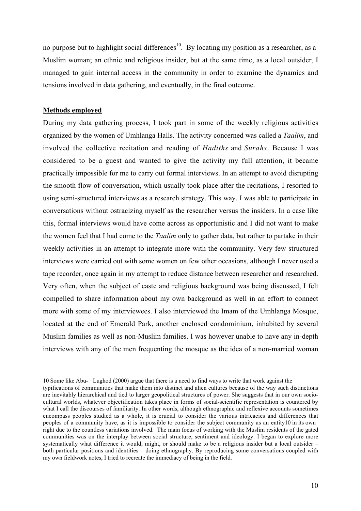no purpose but to highlight social differences<sup>10</sup>. By locating my position as a researcher, as a Muslim woman; an ethnic and religious insider, but at the same time, as a local outsider, I managed to gain internal access in the community in order to examine the dynamics and tensions involved in data gathering, and eventually, in the final outcome.

## **Methods employed**

During my data gathering process, I took part in some of the weekly religious activities organized by the women of Umhlanga Halls. The activity concerned was called a *Taalim*, and involved the collective recitation and reading of *Hadiths* and *Surahs*. Because I was considered to be a guest and wanted to give the activity my full attention, it became practically impossible for me to carry out formal interviews. In an attempt to avoid disrupting the smooth flow of conversation, which usually took place after the recitations, I resorted to using semi-structured interviews as a research strategy. This way, I was able to participate in conversations without ostracizing myself as the researcher versus the insiders. In a case like this, formal interviews would have come across as opportunistic and I did not want to make the women feel that I had come to the *Taalim* only to gather data, but rather to partake in their weekly activities in an attempt to integrate more with the community. Very few structured interviews were carried out with some women on few other occasions, although I never used a tape recorder, once again in my attempt to reduce distance between researcher and researched. Very often, when the subject of caste and religious background was being discussed, I felt compelled to share information about my own background as well in an effort to connect more with some of my interviewees. I also interviewed the Imam of the Umhlanga Mosque, located at the end of Emerald Park, another enclosed condominium, inhabited by several Muslim families as well as non-Muslim families. I was however unable to have any in-depth interviews with any of the men frequenting the mosque as the idea of a non-married woman

 <sup>10</sup> Some like Abu- Lughod (2000) argue that there is a need to find ways to write that work against the typifications of communities that make them into distinct and alien cultures because of the way such distinctions are inevitably hierarchical and tied to larger geopolitical structures of power. She suggests that in our own sociocultural worlds, whatever objectification takes place in forms of social-scientific representation is countered by what I call the discourses of familiarity. In other words, although ethnographic and reflexive accounts sometimes encompass peoples studied as a whole, it is crucial to consider the various intricacies and differences that peoples of a community have, as it is impossible to consider the subject community as an entity10 in its own right due to the countless variations involved. The main focus of working with the Muslim residents of the gated communities was on the interplay between social structure, sentiment and ideology. I began to explore more systematically what difference it would, might, or should make to be a religious insider but a local outsider – both particular positions and identities – doing ethnography. By reproducing some conversations coupled with my own fieldwork notes, I tried to recreate the immediacy of being in the field.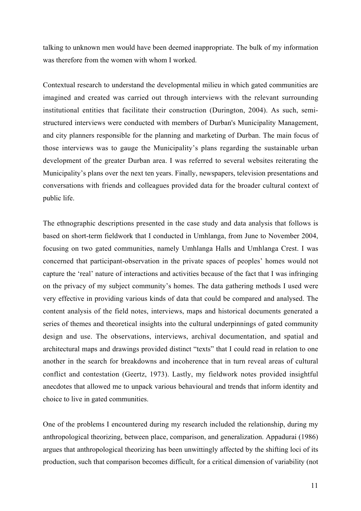talking to unknown men would have been deemed inappropriate. The bulk of my information was therefore from the women with whom I worked.

Contextual research to understand the developmental milieu in which gated communities are imagined and created was carried out through interviews with the relevant surrounding institutional entities that facilitate their construction (Durington, 2004). As such, semistructured interviews were conducted with members of Durban's Municipality Management, and city planners responsible for the planning and marketing of Durban. The main focus of those interviews was to gauge the Municipality's plans regarding the sustainable urban development of the greater Durban area. I was referred to several websites reiterating the Municipality's plans over the next ten years. Finally, newspapers, television presentations and conversations with friends and colleagues provided data for the broader cultural context of public life.

The ethnographic descriptions presented in the case study and data analysis that follows is based on short-term fieldwork that I conducted in Umhlanga, from June to November 2004, focusing on two gated communities, namely Umhlanga Halls and Umhlanga Crest. I was concerned that participant-observation in the private spaces of peoples' homes would not capture the 'real' nature of interactions and activities because of the fact that I was infringing on the privacy of my subject community's homes. The data gathering methods I used were very effective in providing various kinds of data that could be compared and analysed. The content analysis of the field notes, interviews, maps and historical documents generated a series of themes and theoretical insights into the cultural underpinnings of gated community design and use. The observations, interviews, archival documentation, and spatial and architectural maps and drawings provided distinct "texts" that I could read in relation to one another in the search for breakdowns and incoherence that in turn reveal areas of cultural conflict and contestation (Geertz, 1973). Lastly, my fieldwork notes provided insightful anecdotes that allowed me to unpack various behavioural and trends that inform identity and choice to live in gated communities.

One of the problems I encountered during my research included the relationship, during my anthropological theorizing, between place, comparison, and generalization. Appadurai (1986) argues that anthropological theorizing has been unwittingly affected by the shifting loci of its production, such that comparison becomes difficult, for a critical dimension of variability (not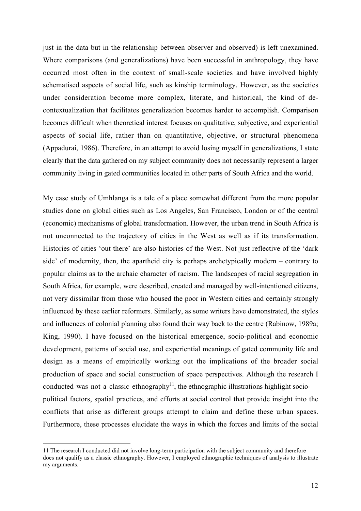just in the data but in the relationship between observer and observed) is left unexamined. Where comparisons (and generalizations) have been successful in anthropology, they have occurred most often in the context of small-scale societies and have involved highly schematised aspects of social life, such as kinship terminology. However, as the societies under consideration become more complex, literate, and historical, the kind of decontextualization that facilitates generalization becomes harder to accomplish. Comparison becomes difficult when theoretical interest focuses on qualitative, subjective, and experiential aspects of social life, rather than on quantitative, objective, or structural phenomena (Appadurai, 1986). Therefore, in an attempt to avoid losing myself in generalizations, I state clearly that the data gathered on my subject community does not necessarily represent a larger community living in gated communities located in other parts of South Africa and the world.

My case study of Umhlanga is a tale of a place somewhat different from the more popular studies done on global cities such as Los Angeles, San Francisco, London or of the central (economic) mechanisms of global transformation. However, the urban trend in South Africa is not unconnected to the trajectory of cities in the West as well as if its transformation. Histories of cities 'out there' are also histories of the West. Not just reflective of the 'dark side' of modernity, then, the apartheid city is perhaps archetypically modern – contrary to popular claims as to the archaic character of racism. The landscapes of racial segregation in South Africa, for example, were described, created and managed by well-intentioned citizens, not very dissimilar from those who housed the poor in Western cities and certainly strongly influenced by these earlier reformers. Similarly, as some writers have demonstrated, the styles and influences of colonial planning also found their way back to the centre (Rabinow, 1989a; King, 1990). I have focused on the historical emergence, socio-political and economic development, patterns of social use, and experiential meanings of gated community life and design as a means of empirically working out the implications of the broader social production of space and social construction of space perspectives. Although the research I conducted was not a classic ethnography<sup>11</sup>, the ethnographic illustrations highlight sociopolitical factors, spatial practices, and efforts at social control that provide insight into the conflicts that arise as different groups attempt to claim and define these urban spaces. Furthermore, these processes elucidate the ways in which the forces and limits of the social

1

<sup>11</sup> The research I conducted did not involve long-term participation with the subject community and therefore does not qualify as a classic ethnography. However, I employed ethnographic techniques of analysis to illustrate my arguments.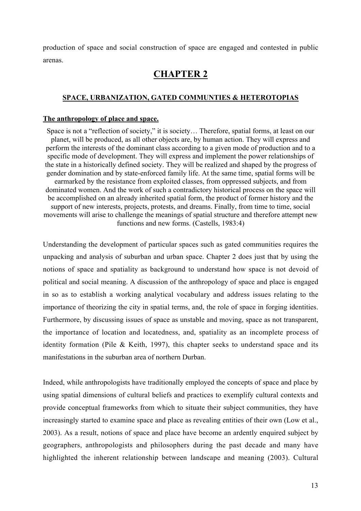production of space and social construction of space are engaged and contested in public arenas.

## **CHAPTER 2**

## **SPACE, URBANIZATION, GATED COMMUNTIES & HETEROTOPIAS**

## **The anthropology of place and space.**

Space is not a "reflection of society," it is society… Therefore, spatial forms, at least on our planet, will be produced, as all other objects are, by human action. They will express and perform the interests of the dominant class according to a given mode of production and to a specific mode of development. They will express and implement the power relationships of the state in a historically defined society. They will be realized and shaped by the progress of gender domination and by state-enforced family life. At the same time, spatial forms will be earmarked by the resistance from exploited classes, from oppressed subjects, and from dominated women. And the work of such a contradictory historical process on the space will be accomplished on an already inherited spatial form, the product of former history and the support of new interests, projects, protests, and dreams. Finally, from time to time, social movements will arise to challenge the meanings of spatial structure and therefore attempt new functions and new forms. (Castells, 1983:4)

Understanding the development of particular spaces such as gated communities requires the unpacking and analysis of suburban and urban space. Chapter 2 does just that by using the notions of space and spatiality as background to understand how space is not devoid of political and social meaning. A discussion of the anthropology of space and place is engaged in so as to establish a working analytical vocabulary and address issues relating to the importance of theorizing the city in spatial terms, and, the role of space in forging identities. Furthermore, by discussing issues of space as unstable and moving, space as not transparent, the importance of location and locatedness, and, spatiality as an incomplete process of identity formation (Pile & Keith, 1997), this chapter seeks to understand space and its manifestations in the suburban area of northern Durban.

Indeed, while anthropologists have traditionally employed the concepts of space and place by using spatial dimensions of cultural beliefs and practices to exemplify cultural contexts and provide conceptual frameworks from which to situate their subject communities, they have increasingly started to examine space and place as revealing entities of their own (Low et al., 2003). As a result, notions of space and place have become an ardently enquired subject by geographers, anthropologists and philosophers during the past decade and many have highlighted the inherent relationship between landscape and meaning (2003). Cultural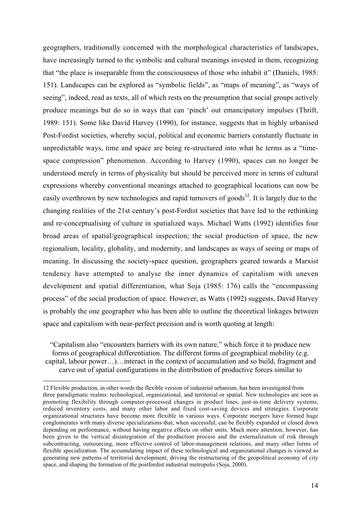geographers, traditionally concerned with the morphological characteristics of landscapes, have increasingly turned to the symbolic and cultural meanings invested in them, recognizing that "the place is inseparable from the consciousness of those who inhabit it" (Daniels, 1985: 151). Landscapes can be explored as "symbolic fields", as "maps of meaning", as "ways of seeing", indeed, read as texts, all of which rests on the presumption that social groups actively produce meanings but do so in ways that can 'pinch' out emancipatory impulses (Thrift, 1989: 151). Some like David Harvey (1990), for instance, suggests that in highly urbanised Post-Fordist societies, whereby social, political and economic barriers constantly fluctuate in unpredictable ways, time and space are being re-structured into what he terms as a "timespace compression" phenomenon. According to Harvey (1990), spaces can no longer be understood merely in terms of physicality but should be perceived more in terms of cultural expressions whereby conventional meanings attached to geographical locations can now be easily overthrown by new technologies and rapid turnovers of goods $12$ . It is largely due to the changing realities of the 21st century's post-Fordist societies that have led to the rethinking and re-conceptualising of culture in spatialized ways. Michael Watts (1992) identifies four broad areas of spatial/geographical inspection; the social production of space, the new regionalism, locality, globality, and modernity, and landscapes as ways of seeing or maps of meaning. In discussing the society-space question, geographers geared towards a Marxist tendency have attempted to analyse the inner dynamics of capitalism with uneven development and spatial differentiation, what Soja (1985: 176) calls the "encompassing process" of the social production of space. However, as Watts (1992) suggests, David Harvey is probably the one geographer who has been able to outline the theoretical linkages between space and capitalism with near-perfect precision and is worth quoting at length:

"Capitalism also "encounters barriers with its own nature," which force it to produce new forms of geographical differentiation. The different forms of geographical mobility (e.g. capital, labour power…)…interact in the context of accumulation and so build, fragment and carve out of spatial configurations in the distribution of productive forces similar to

1

<sup>12</sup> Flexible production, in other words the flexible version of industrial urbanism, has been investigated from three paradigmatic realms: technological, organizational, and territorial or spatial. New technologies are seen as promoting flexibility through computer-processed changes in product lines, just-in-time delivery systems, reduced inventory costs, and many other labor and fixed cost-saving devices and strategies. Corporate organizational structures have become more flexible in various ways. Corporate mergers have formed huge conglomerates with many diverse specializations that, when successful, can be flexibly expanded or closed down depending on performance, without having negative effects on other units. Much more attention, however, has been given to the vertical disintegration of the production process and the externalization of risk through subcontracting, outsourcing, more effective control of labor-management relations, and many other forms of flexible specialization. The accumulating impact of these technological and organizational changes is viewed as generating new patterns of territorial development, driving the restructuring of the geopolitical economy of city space, and shaping the formation of the postfordist industrial metropolis (Soja, 2000).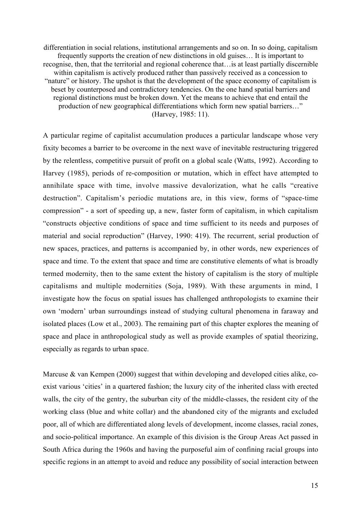differentiation in social relations, institutional arrangements and so on. In so doing, capitalism frequently supports the creation of new distinctions in old guises… It is important to recognise, then, that the territorial and regional coherence that…is at least partially discernible within capitalism is actively produced rather than passively received as a concession to "nature" or history. The upshot is that the development of the space economy of capitalism is beset by counterposed and contradictory tendencies. On the one hand spatial barriers and regional distinctions must be broken down. Yet the means to achieve that end entail the production of new geographical differentiations which form new spatial barriers…" (Harvey, 1985: 11).

A particular regime of capitalist accumulation produces a particular landscape whose very fixity becomes a barrier to be overcome in the next wave of inevitable restructuring triggered by the relentless, competitive pursuit of profit on a global scale (Watts, 1992). According to Harvey (1985), periods of re-composition or mutation, which in effect have attempted to annihilate space with time, involve massive devalorization, what he calls "creative destruction". Capitalism's periodic mutations are, in this view, forms of "space-time compression" - a sort of speeding up, a new, faster form of capitalism, in which capitalism "constructs objective conditions of space and time sufficient to its needs and purposes of material and social reproduction" (Harvey, 1990: 419). The recurrent, serial production of new spaces, practices, and patterns is accompanied by, in other words, new experiences of space and time. To the extent that space and time are constitutive elements of what is broadly termed modernity, then to the same extent the history of capitalism is the story of multiple capitalisms and multiple modernities (Soja, 1989). With these arguments in mind, I investigate how the focus on spatial issues has challenged anthropologists to examine their own 'modern' urban surroundings instead of studying cultural phenomena in faraway and isolated places (Low et al., 2003). The remaining part of this chapter explores the meaning of space and place in anthropological study as well as provide examples of spatial theorizing, especially as regards to urban space.

Marcuse & van Kempen (2000) suggest that within developing and developed cities alike, coexist various 'cities' in a quartered fashion; the luxury city of the inherited class with erected walls, the city of the gentry, the suburban city of the middle-classes, the resident city of the working class (blue and white collar) and the abandoned city of the migrants and excluded poor, all of which are differentiated along levels of development, income classes, racial zones, and socio-political importance. An example of this division is the Group Areas Act passed in South Africa during the 1960s and having the purposeful aim of confining racial groups into specific regions in an attempt to avoid and reduce any possibility of social interaction between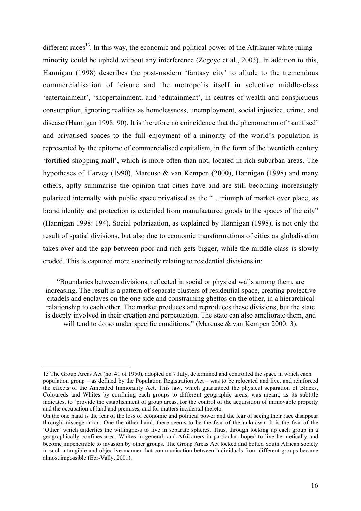different races<sup>13</sup>. In this way, the economic and political power of the Afrikaner white ruling minority could be upheld without any interference (Zegeye et al., 2003). In addition to this, Hannigan (1998) describes the post-modern 'fantasy city' to allude to the tremendous commercialisation of leisure and the metropolis itself in selective middle-class 'eatertainment', 'shopertainment, and 'edutainment', in centres of wealth and conspicuous consumption, ignoring realities as homelessness, unemployment, social injustice, crime, and disease (Hannigan 1998: 90). It is therefore no coincidence that the phenomenon of 'sanitised' and privatised spaces to the full enjoyment of a minority of the world's population is represented by the epitome of commercialised capitalism, in the form of the twentieth century 'fortified shopping mall', which is more often than not, located in rich suburban areas. The hypotheses of Harvey (1990), Marcuse & van Kempen (2000), Hannigan (1998) and many others, aptly summarise the opinion that cities have and are still becoming increasingly polarized internally with public space privatised as the "…triumph of market over place, as brand identity and protection is extended from manufactured goods to the spaces of the city" (Hannigan 1998: 194). Social polarization, as explained by Hannigan (1998), is not only the result of spatial divisions, but also due to economic transformations of cities as globalisation takes over and the gap between poor and rich gets bigger, while the middle class is slowly eroded. This is captured more succinctly relating to residential divisions in:

"Boundaries between divisions, reflected in social or physical walls among them, are increasing. The result is a pattern of separate clusters of residential space, creating protective citadels and enclaves on the one side and constraining ghettos on the other, in a hierarchical relationship to each other. The market produces and reproduces these divisions, but the state is deeply involved in their creation and perpetuation. The state can also ameliorate them, and will tend to do so under specific conditions." (Marcuse & van Kempen 2000: 3).

1

<sup>13</sup> The Group Areas Act (no. 41 of 1950), adopted on 7 July, determined and controlled the space in which each population group – as defined by the Population Registration Act – was to be relocated and live, and reinforced the effects of the Amended Immorality Act. This law, which guaranteed the physical separation of Blacks, Coloureds and Whites by confining each groups to different geographic areas, was meant, as its subtitle indicates, to 'provide the establishment of group areas, for the control of the acquisition of immovable property and the occupation of land and premises, and for matters incidental thereto.

On the one hand is the fear of the loss of economic and political power and the fear of seeing their race disappear through miscegenation. One the other hand, there seems to be the fear of the unknown. It is the fear of the 'Other' which underlies the willingness to live in separate spheres. Thus, through locking up each group in a geographically confines area, Whites in general, and Afrikaners in particular, hoped to live hermetically and become impenetrable to invasion by other groups. The Group Areas Act locked and bolted South African society in such a tangible and objective manner that communication between individuals from different groups became almost impossible (Ebr-Vally, 2001).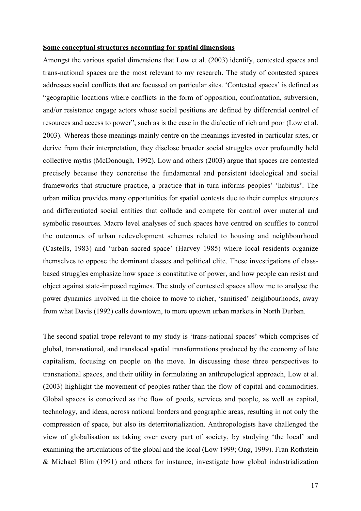#### **Some conceptual structures accounting for spatial dimensions**

Amongst the various spatial dimensions that Low et al. (2003) identify, contested spaces and trans-national spaces are the most relevant to my research. The study of contested spaces addresses social conflicts that are focussed on particular sites. 'Contested spaces' is defined as "geographic locations where conflicts in the form of opposition, confrontation, subversion, and/or resistance engage actors whose social positions are defined by differential control of resources and access to power", such as is the case in the dialectic of rich and poor (Low et al. 2003). Whereas those meanings mainly centre on the meanings invested in particular sites, or derive from their interpretation, they disclose broader social struggles over profoundly held collective myths (McDonough, 1992). Low and others (2003) argue that spaces are contested precisely because they concretise the fundamental and persistent ideological and social frameworks that structure practice, a practice that in turn informs peoples' 'habitus'. The urban milieu provides many opportunities for spatial contests due to their complex structures and differentiated social entities that collude and compete for control over material and symbolic resources. Macro level analyses of such spaces have centred on scuffles to control the outcomes of urban redevelopment schemes related to housing and neighbourhood (Castells, 1983) and 'urban sacred space' (Harvey 1985) where local residents organize themselves to oppose the dominant classes and political elite. These investigations of classbased struggles emphasize how space is constitutive of power, and how people can resist and object against state-imposed regimes. The study of contested spaces allow me to analyse the power dynamics involved in the choice to move to richer, 'sanitised' neighbourhoods, away from what Davis (1992) calls downtown, to more uptown urban markets in North Durban.

The second spatial trope relevant to my study is 'trans-national spaces' which comprises of global, transnational, and translocal spatial transformations produced by the economy of late capitalism, focusing on people on the move. In discussing these three perspectives to transnational spaces, and their utility in formulating an anthropological approach, Low et al. (2003) highlight the movement of peoples rather than the flow of capital and commodities. Global spaces is conceived as the flow of goods, services and people, as well as capital, technology, and ideas, across national borders and geographic areas, resulting in not only the compression of space, but also its deterritorialization. Anthropologists have challenged the view of globalisation as taking over every part of society, by studying 'the local' and examining the articulations of the global and the local (Low 1999; Ong, 1999). Fran Rothstein & Michael Blim (1991) and others for instance, investigate how global industrialization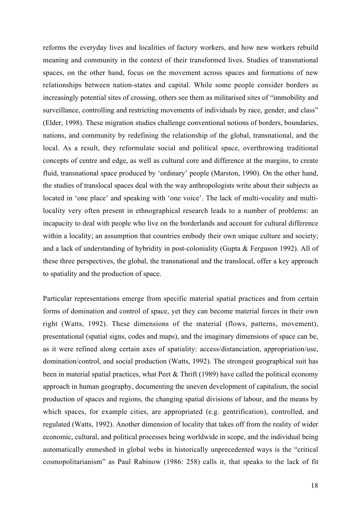reforms the everyday lives and localities of factory workers, and how new workers rebuild meaning and community in the context of their transformed lives. Studies of transnational spaces, on the other hand, focus on the movement across spaces and formations of new relationships between nation-states and capital. While some people consider borders as increasingly potential sites of crossing, others see them as militarised sites of "immobility and surveillance, controlling and restricting movements of individuals by race, gender, and class" (Elder, 1998). These migration studies challenge conventional notions of borders, boundaries, nations, and community by redefining the relationship of the global, transnational, and the local. As a result, they reformulate social and political space, overthrowing traditional concepts of centre and edge, as well as cultural core and difference at the margins, to create fluid, transnational space produced by 'ordinary' people (Marston, 1990). On the other hand, the studies of translocal spaces deal with the way anthropologists write about their subjects as located in 'one place' and speaking with 'one voice'. The lack of multi-vocality and multilocality very often present in ethnographical research leads to a number of problems: an incapacity to deal with people who live on the borderlands and account for cultural difference within a locality; an assumption that countries embody their own unique culture and society; and a lack of understanding of hybridity in post-coloniality (Gupta & Ferguson 1992). All of these three perspectives, the global, the transnational and the translocal, offer a key approach to spatiality and the production of space.

Particular representations emerge from specific material spatial practices and from certain forms of domination and control of space, yet they can become material forces in their own right (Watts, 1992). These dimensions of the material (flows, patterns, movement), presentational (spatial signs, codes and maps), and the imaginary dimensions of space can be, as it were refined along certain axes of spatiality: access/distanciation, appropriation/use, domination/control, and social production (Watts, 1992). The strongest geographical suit has been in material spatial practices, what Peet & Thrift (1989) have called the political economy approach in human geography, documenting the uneven development of capitalism, the social production of spaces and regions, the changing spatial divisions of labour, and the means by which spaces, for example cities, are appropriated (e.g. gentrification), controlled, and regulated (Watts, 1992). Another dimension of locality that takes off from the reality of wider economic, cultural, and political processes being worldwide in scope, and the individual being automatically enmeshed in global webs in historically unprecedented ways is the "critical cosmopolitarianism" as Paul Rabinow (1986: 258) calls it, that speaks to the lack of fit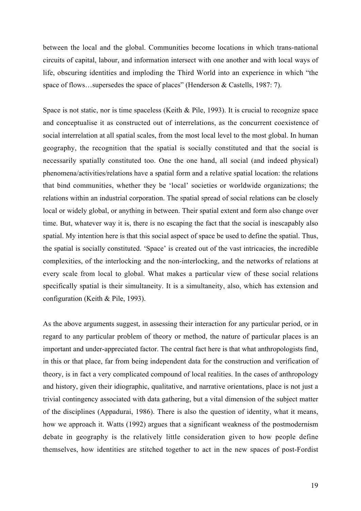between the local and the global. Communities become locations in which trans-national circuits of capital, labour, and information intersect with one another and with local ways of life, obscuring identities and imploding the Third World into an experience in which "the space of flows...supersedes the space of places" (Henderson & Castells, 1987: 7).

Space is not static, nor is time spaceless (Keith & Pile, 1993). It is crucial to recognize space and conceptualise it as constructed out of interrelations, as the concurrent coexistence of social interrelation at all spatial scales, from the most local level to the most global. In human geography, the recognition that the spatial is socially constituted and that the social is necessarily spatially constituted too. One the one hand, all social (and indeed physical) phenomena/activities/relations have a spatial form and a relative spatial location: the relations that bind communities, whether they be 'local' societies or worldwide organizations; the relations within an industrial corporation. The spatial spread of social relations can be closely local or widely global, or anything in between. Their spatial extent and form also change over time. But, whatever way it is, there is no escaping the fact that the social is inescapably also spatial. My intention here is that this social aspect of space be used to define the spatial. Thus, the spatial is socially constituted. 'Space' is created out of the vast intricacies, the incredible complexities, of the interlocking and the non-interlocking, and the networks of relations at every scale from local to global. What makes a particular view of these social relations specifically spatial is their simultaneity. It is a simultaneity, also, which has extension and configuration (Keith & Pile, 1993).

As the above arguments suggest, in assessing their interaction for any particular period, or in regard to any particular problem of theory or method, the nature of particular places is an important and under-appreciated factor. The central fact here is that what anthropologists find, in this or that place, far from being independent data for the construction and verification of theory, is in fact a very complicated compound of local realities. In the cases of anthropology and history, given their idiographic, qualitative, and narrative orientations, place is not just a trivial contingency associated with data gathering, but a vital dimension of the subject matter of the disciplines (Appadurai, 1986). There is also the question of identity, what it means, how we approach it. Watts (1992) argues that a significant weakness of the postmodernism debate in geography is the relatively little consideration given to how people define themselves, how identities are stitched together to act in the new spaces of post-Fordist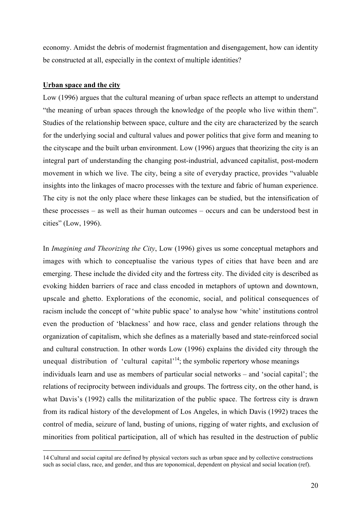economy. Amidst the debris of modernist fragmentation and disengagement, how can identity be constructed at all, especially in the context of multiple identities?

## **Urban space and the city**

Low (1996) argues that the cultural meaning of urban space reflects an attempt to understand "the meaning of urban spaces through the knowledge of the people who live within them". Studies of the relationship between space, culture and the city are characterized by the search for the underlying social and cultural values and power politics that give form and meaning to the cityscape and the built urban environment. Low (1996) argues that theorizing the city is an integral part of understanding the changing post-industrial, advanced capitalist, post-modern movement in which we live. The city, being a site of everyday practice, provides "valuable insights into the linkages of macro processes with the texture and fabric of human experience. The city is not the only place where these linkages can be studied, but the intensification of these processes – as well as their human outcomes – occurs and can be understood best in cities" (Low, 1996).

In *Imagining and Theorizing the City*, Low (1996) gives us some conceptual metaphors and images with which to conceptualise the various types of cities that have been and are emerging. These include the divided city and the fortress city. The divided city is described as evoking hidden barriers of race and class encoded in metaphors of uptown and downtown, upscale and ghetto. Explorations of the economic, social, and political consequences of racism include the concept of 'white public space' to analyse how 'white' institutions control even the production of 'blackness' and how race, class and gender relations through the organization of capitalism, which she defines as a materially based and state-reinforced social and cultural construction. In other words Low (1996) explains the divided city through the unequal distribution of 'cultural capital'<sup>14</sup>; the symbolic repertory whose meanings individuals learn and use as members of particular social networks – and 'social capital'; the relations of reciprocity between individuals and groups. The fortress city, on the other hand, is what Davis's (1992) calls the militarization of the public space. The fortress city is drawn from its radical history of the development of Los Angeles, in which Davis (1992) traces the control of media, seizure of land, busting of unions, rigging of water rights, and exclusion of minorities from political participation, all of which has resulted in the destruction of public

 <sup>14</sup> Cultural and social capital are defined by physical vectors such as urban space and by collective constructions such as social class, race, and gender, and thus are toponomical, dependent on physical and social location (ref).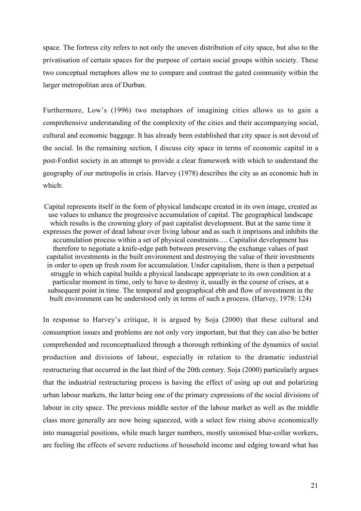space. The fortress city refers to not only the uneven distribution of city space, but also to the privatisation of certain spaces for the purpose of certain social groups within society. These two conceptual metaphors allow me to compare and contrast the gated community within the larger metropolitan area of Durban.

Furthermore, Low's (1996) two metaphors of imagining cities allows us to gain a comprehensive understanding of the complexity of the cities and their accompanying social, cultural and economic baggage. It has already been established that city space is not devoid of the social. In the remaining section, I discuss city space in terms of economic capital in a post-Fordist society in an attempt to provide a clear framework with which to understand the geography of our metropolis in crisis. Harvey (1978) describes the city as an economic hub in which:

Capital represents itself in the form of physical landscape created in its own image, created as use values to enhance the progressive accumulation of capital. The geographical landscape which results is the crowning glory of past capitalist development. But at the same time it expresses the power of dead labour over living labour and as such it imprisons and inhibits the accumulation process within a set of physical constraints…. Capitalist development has therefore to negotiate a knife-edge path between preserving the exchange values of past capitalist investments in the built environment and destroying the value of their investments in order to open up fresh room for accumulation. Under capitalism, there is then a perpetual struggle in which capital builds a physical landscape appropriate to its own condition at a particular moment in time, only to have to destroy it, usually in the course of crises, at a subsequent point in time. The temporal and geographical ebb and flow of investment in the built environment can be understood only in terms of such a process. (Harvey, 1978: 124)

In response to Harvey's critique, it is argued by Soja (2000) that these cultural and consumption issues and problems are not only very important, but that they can also be better comprehended and reconceptualized through a thorough rethinking of the dynamics of social production and divisions of labour, especially in relation to the dramatic industrial restructuring that occurred in the last third of the 20th century. Soja (2000) particularly argues that the industrial restructuring process is having the effect of using up out and polarizing urban labour markets, the latter being one of the primary expressions of the social divisions of labour in city space. The previous middle sector of the labour market as well as the middle class more generally are now being squeezed, with a select few rising above economically into managerial positions, while much larger numbers, mostly unionised blue-collar workers, are feeling the effects of severe reductions of household income and edging toward what has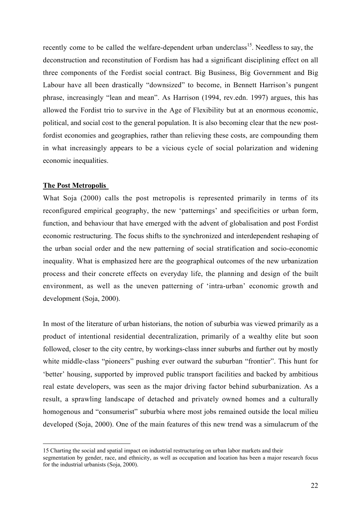recently come to be called the welfare-dependent urban underclass<sup>15</sup>. Needless to say, the deconstruction and reconstitution of Fordism has had a significant disciplining effect on all three components of the Fordist social contract. Big Business, Big Government and Big Labour have all been drastically "downsized" to become, in Bennett Harrison's pungent phrase, increasingly "lean and mean". As Harrison (1994, rev.edn. 1997) argues, this has allowed the Fordist trio to survive in the Age of Flexibility but at an enormous economic, political, and social cost to the general population. It is also becoming clear that the new postfordist economies and geographies, rather than relieving these costs, are compounding them in what increasingly appears to be a vicious cycle of social polarization and widening economic inequalities.

## **The Post Metropolis**

1

What Soja (2000) calls the post metropolis is represented primarily in terms of its reconfigured empirical geography, the new 'patternings' and specificities or urban form, function, and behaviour that have emerged with the advent of globalisation and post Fordist economic restructuring. The focus shifts to the synchronized and interdependent reshaping of the urban social order and the new patterning of social stratification and socio-economic inequality. What is emphasized here are the geographical outcomes of the new urbanization process and their concrete effects on everyday life, the planning and design of the built environment, as well as the uneven patterning of 'intra-urban' economic growth and development (Soja, 2000).

In most of the literature of urban historians, the notion of suburbia was viewed primarily as a product of intentional residential decentralization, primarily of a wealthy elite but soon followed, closer to the city centre, by workings-class inner suburbs and further out by mostly white middle-class "pioneers" pushing ever outward the suburban "frontier". This hunt for 'better' housing, supported by improved public transport facilities and backed by ambitious real estate developers, was seen as the major driving factor behind suburbanization. As a result, a sprawling landscape of detached and privately owned homes and a culturally homogenous and "consumerist" suburbia where most jobs remained outside the local milieu developed (Soja, 2000). One of the main features of this new trend was a simulacrum of the

<sup>15</sup> Charting the social and spatial impact on industrial restructuring on urban labor markets and their

segmentation by gender, race, and ethnicity, as well as occupation and location has been a major research focus for the industrial urbanists (Soja, 2000).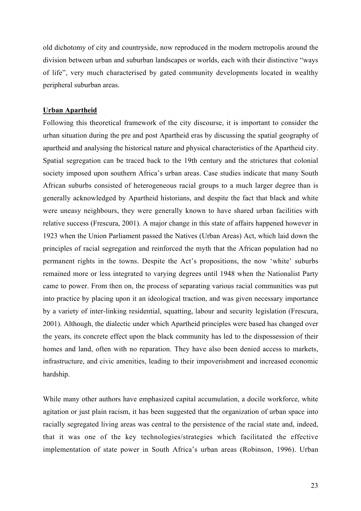old dichotomy of city and countryside, now reproduced in the modern metropolis around the division between urban and suburban landscapes or worlds, each with their distinctive "ways of life", very much characterised by gated community developments located in wealthy peripheral suburban areas.

### **Urban Apartheid**

Following this theoretical framework of the city discourse, it is important to consider the urban situation during the pre and post Apartheid eras by discussing the spatial geography of apartheid and analysing the historical nature and physical characteristics of the Apartheid city. Spatial segregation can be traced back to the 19th century and the strictures that colonial society imposed upon southern Africa's urban areas. Case studies indicate that many South African suburbs consisted of heterogeneous racial groups to a much larger degree than is generally acknowledged by Apartheid historians, and despite the fact that black and white were uneasy neighbours, they were generally known to have shared urban facilities with relative success (Frescura, 2001). A major change in this state of affairs happened however in 1923 when the Union Parliament passed the Natives (Urban Areas) Act, which laid down the principles of racial segregation and reinforced the myth that the African population had no permanent rights in the towns. Despite the Act's propositions, the now 'white' suburbs remained more or less integrated to varying degrees until 1948 when the Nationalist Party came to power. From then on, the process of separating various racial communities was put into practice by placing upon it an ideological traction, and was given necessary importance by a variety of inter-linking residential, squatting, labour and security legislation (Frescura, 2001). Although, the dialectic under which Apartheid principles were based has changed over the years, its concrete effect upon the black community has led to the dispossession of their homes and land, often with no reparation. They have also been denied access to markets, infrastructure, and civic amenities, leading to their impoverishment and increased economic hardship.

While many other authors have emphasized capital accumulation, a docile workforce, white agitation or just plain racism, it has been suggested that the organization of urban space into racially segregated living areas was central to the persistence of the racial state and, indeed, that it was one of the key technologies/strategies which facilitated the effective implementation of state power in South Africa's urban areas (Robinson, 1996). Urban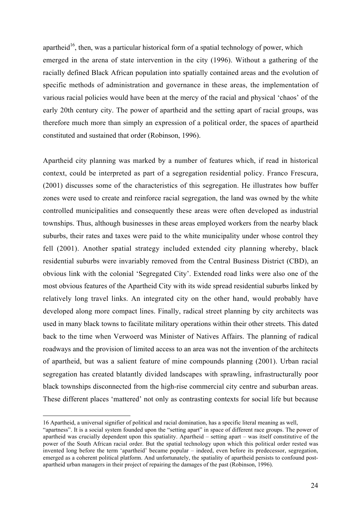apartheid<sup>16</sup>, then, was a particular historical form of a spatial technology of power, which emerged in the arena of state intervention in the city (1996). Without a gathering of the racially defined Black African population into spatially contained areas and the evolution of specific methods of administration and governance in these areas, the implementation of various racial policies would have been at the mercy of the racial and physical 'chaos' of the early 20th century city. The power of apartheid and the setting apart of racial groups, was therefore much more than simply an expression of a political order, the spaces of apartheid constituted and sustained that order (Robinson, 1996).

Apartheid city planning was marked by a number of features which, if read in historical context, could be interpreted as part of a segregation residential policy. Franco Frescura, (2001) discusses some of the characteristics of this segregation. He illustrates how buffer zones were used to create and reinforce racial segregation, the land was owned by the white controlled municipalities and consequently these areas were often developed as industrial townships. Thus, although businesses in these areas employed workers from the nearby black suburbs, their rates and taxes were paid to the white municipality under whose control they fell (2001). Another spatial strategy included extended city planning whereby, black residential suburbs were invariably removed from the Central Business District (CBD), an obvious link with the colonial 'Segregated City'. Extended road links were also one of the most obvious features of the Apartheid City with its wide spread residential suburbs linked by relatively long travel links. An integrated city on the other hand, would probably have developed along more compact lines. Finally, radical street planning by city architects was used in many black towns to facilitate military operations within their other streets. This dated back to the time when Verwoerd was Minister of Natives Affairs. The planning of radical roadways and the provision of limited access to an area was not the invention of the architects of apartheid, but was a salient feature of mine compounds planning (2001). Urban racial segregation has created blatantly divided landscapes with sprawling, infrastructurally poor black townships disconnected from the high-rise commercial city centre and suburban areas. These different places 'mattered' not only as contrasting contexts for social life but because

 <sup>16</sup> Apartheid, a universal signifier of political and racial domination, has a specific literal meaning as well,

<sup>&</sup>quot;apartness". It is a social system founded upon the "setting apart" in space of different race groups. The power of apartheid was crucially dependent upon this spatiality. Apartheid – setting apart – was itself constitutive of the power of the South African racial order. But the spatial technology upon which this political order rested was invented long before the term 'apartheid' became popular – indeed, even before its predecessor, segregation, emerged as a coherent political platform. And unfortunately, the spatiality of apartheid persists to confound postapartheid urban managers in their project of repairing the damages of the past (Robinson, 1996).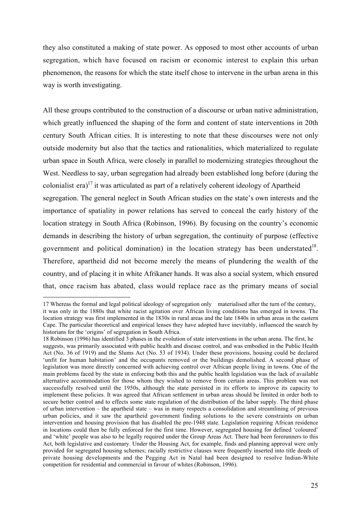they also constituted a making of state power. As opposed to most other accounts of urban segregation, which have focused on racism or economic interest to explain this urban phenomenon, the reasons for which the state itself chose to intervene in the urban arena in this way is worth investigating.

All these groups contributed to the construction of a discourse or urban native administration, which greatly influenced the shaping of the form and content of state interventions in 20th century South African cities. It is interesting to note that these discourses were not only outside modernity but also that the tactics and rationalities, which materialized to regulate urban space in South Africa, were closely in parallel to modernizing strategies throughout the West. Needless to say, urban segregation had already been established long before (during the colonialist era)<sup>17</sup> it was articulated as part of a relatively coherent ideology of Apartheid segregation. The general neglect in South African studies on the state's own interests and the importance of spatiality in power relations has served to conceal the early history of the location strategy in South Africa (Robinson, 1996). By focusing on the country's economic demands in describing the history of urban segregation, the continuity of purpose (effective government and political domination) in the location strategy has been understated<sup>18</sup>. Therefore, apartheid did not become merely the means of plundering the wealth of the country, and of placing it in white Afrikaner hands. It was also a social system, which ensured that, once racism has abated, class would replace race as the primary means of social

1

<sup>17</sup> Whereas the formal and legal political ideology of segregation only materialised after the turn of the century, it was only in the 1880s that white racist agitation over African living conditions has emerged in towns. The location strategy was first implemented in the 1830s in rural areas and the late 1840s in urban areas in the eastern Cape. The particular theoretical and empirical lenses they have adopted have inevitably, influenced the search by historians for the 'origins' of segregation in South Africa.

<sup>18</sup> Robinson (1996) has identified 3 phases in the evolution of state interventions in the urban arena. The first, he suggests, was primarily associated with public health and disease control, and was embodied in the Public Health Act (No. 36 of 1919) and the Slums Act (No. 53 of 1934). Under these provisions, housing could be declared 'unfit for human habitation' and the occupants removed or the buildings demolished. A second phase of legislation was more directly concerned with achieving control over African people living in towns. One of the main problems faced by the state in enforcing both this and the public health legislation was the lack of available alternative accommodation for those whom they wished to remove from certain areas. This problem was not successfully resolved until the 1950s, although the state persisted in its efforts to improve its capacity to implement these policies. It was agreed that African settlement in urban areas should be limited in order both to secure better control and to effects some state regulation of the distribution of the labor supply. The third phase of urban intervention – the apartheid state – was in many respects a consolidation and streamlining of previous urban policies, and it saw the apartheid government finding solutions to the severe constraints on urban intervention and housing provision that has disabled the pre-1948 state. Legislation requiring African residence in locations could then be fully enforced for the first time. However, segregated housing for defined 'coloured' and 'white' people was also to be legally required under the Group Areas Act. There had been forerunners to this Act, both legislative and customary. Under the Housing Act, for example, finds and planning approval were only provided for segregated housing schemes; racially restrictive clauses were frequently inserted into title deeds of private housing developments and the Pegging Act in Natal had been designed to resolve Indian-White competition for residential and commercial in favour of whites (Robinson, 1996).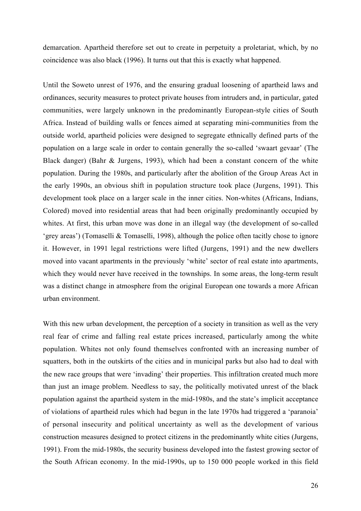demarcation. Apartheid therefore set out to create in perpetuity a proletariat, which, by no coincidence was also black (1996). It turns out that this is exactly what happened.

Until the Soweto unrest of 1976, and the ensuring gradual loosening of apartheid laws and ordinances, security measures to protect private houses from intruders and, in particular, gated communities, were largely unknown in the predominantly European-style cities of South Africa. Instead of building walls or fences aimed at separating mini-communities from the outside world, apartheid policies were designed to segregate ethnically defined parts of the population on a large scale in order to contain generally the so-called 'swaart gevaar' (The Black danger) (Bahr & Jurgens, 1993), which had been a constant concern of the white population. During the 1980s, and particularly after the abolition of the Group Areas Act in the early 1990s, an obvious shift in population structure took place (Jurgens, 1991). This development took place on a larger scale in the inner cities. Non-whites (Africans, Indians, Colored) moved into residential areas that had been originally predominantly occupied by whites. At first, this urban move was done in an illegal way (the development of so-called 'grey areas') (Tomaselli & Tomaselli, 1998), although the police often tacitly chose to ignore it. However, in 1991 legal restrictions were lifted (Jurgens, 1991) and the new dwellers moved into vacant apartments in the previously 'white' sector of real estate into apartments, which they would never have received in the townships. In some areas, the long-term result was a distinct change in atmosphere from the original European one towards a more African urban environment.

With this new urban development, the perception of a society in transition as well as the very real fear of crime and falling real estate prices increased, particularly among the white population. Whites not only found themselves confronted with an increasing number of squatters, both in the outskirts of the cities and in municipal parks but also had to deal with the new race groups that were 'invading' their properties. This infiltration created much more than just an image problem. Needless to say, the politically motivated unrest of the black population against the apartheid system in the mid-1980s, and the state's implicit acceptance of violations of apartheid rules which had begun in the late 1970s had triggered a 'paranoia' of personal insecurity and political uncertainty as well as the development of various construction measures designed to protect citizens in the predominantly white cities (Jurgens, 1991). From the mid-1980s, the security business developed into the fastest growing sector of the South African economy. In the mid-1990s, up to 150 000 people worked in this field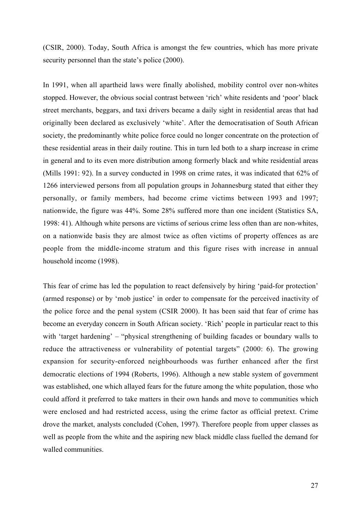(CSIR, 2000). Today, South Africa is amongst the few countries, which has more private security personnel than the state's police (2000).

In 1991, when all apartheid laws were finally abolished, mobility control over non-whites stopped. However, the obvious social contrast between 'rich' white residents and 'poor' black street merchants, beggars, and taxi drivers became a daily sight in residential areas that had originally been declared as exclusively 'white'. After the democratisation of South African society, the predominantly white police force could no longer concentrate on the protection of these residential areas in their daily routine. This in turn led both to a sharp increase in crime in general and to its even more distribution among formerly black and white residential areas (Mills 1991: 92). In a survey conducted in 1998 on crime rates, it was indicated that 62% of 1266 interviewed persons from all population groups in Johannesburg stated that either they personally, or family members, had become crime victims between 1993 and 1997; nationwide, the figure was 44%. Some 28% suffered more than one incident (Statistics SA, 1998: 41). Although white persons are victims of serious crime less often than are non-whites, on a nationwide basis they are almost twice as often victims of property offences as are people from the middle-income stratum and this figure rises with increase in annual household income (1998).

This fear of crime has led the population to react defensively by hiring 'paid-for protection' (armed response) or by 'mob justice' in order to compensate for the perceived inactivity of the police force and the penal system (CSIR 2000). It has been said that fear of crime has become an everyday concern in South African society. 'Rich' people in particular react to this with 'target hardening' – "physical strengthening of building facades or boundary walls to reduce the attractiveness or vulnerability of potential targets" (2000: 6). The growing expansion for security-enforced neighbourhoods was further enhanced after the first democratic elections of 1994 (Roberts, 1996). Although a new stable system of government was established, one which allayed fears for the future among the white population, those who could afford it preferred to take matters in their own hands and move to communities which were enclosed and had restricted access, using the crime factor as official pretext. Crime drove the market, analysts concluded (Cohen, 1997). Therefore people from upper classes as well as people from the white and the aspiring new black middle class fuelled the demand for walled communities.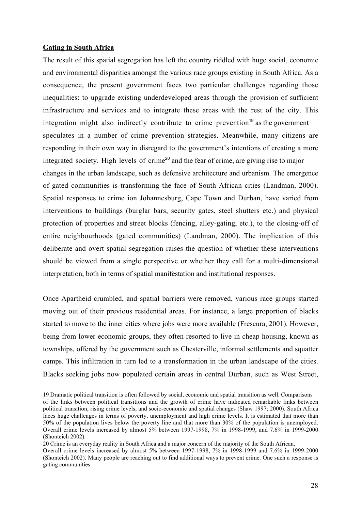## **Gating in South Africa**

The result of this spatial segregation has left the country riddled with huge social, economic and environmental disparities amongst the various race groups existing in South Africa. As a consequence, the present government faces two particular challenges regarding those inequalities: to upgrade existing underdeveloped areas through the provision of sufficient infrastructure and services and to integrate these areas with the rest of the city. This integration might also indirectly contribute to crime prevention<sup>19</sup> as the government speculates in a number of crime prevention strategies. Meanwhile, many citizens are responding in their own way in disregard to the government's intentions of creating a more integrated society. High levels of crime<sup>20</sup> and the fear of crime, are giving rise to major changes in the urban landscape, such as defensive architecture and urbanism. The emergence of gated communities is transforming the face of South African cities (Landman, 2000). Spatial responses to crime ion Johannesburg, Cape Town and Durban, have varied from interventions to buildings (burglar bars, security gates, steel shutters etc.) and physical protection of properties and street blocks (fencing, alley-gating, etc.), to the closing-off of entire neighbourhoods (gated communities) (Landman, 2000). The implication of this deliberate and overt spatial segregation raises the question of whether these interventions should be viewed from a single perspective or whether they call for a multi-dimensional interpretation, both in terms of spatial manifestation and institutional responses.

Once Apartheid crumbled, and spatial barriers were removed, various race groups started moving out of their previous residential areas. For instance, a large proportion of blacks started to move to the inner cities where jobs were more available (Frescura, 2001). However, being from lower economic groups, they often resorted to live in cheap housing, known as townships, offered by the government such as Chesterville, informal settlements and squatter camps. This infiltration in turn led to a transformation in the urban landscape of the cities. Blacks seeking jobs now populated certain areas in central Durban, such as West Street,

 <sup>19</sup> Dramatic political transition is often followed by social, economic and spatial transition as well. Comparisons of the links between political transitions and the growth of crime have indicated remarkable links between political transition, rising crime levels, and socio-economic and spatial changes (Shaw 1997; 2000). South Africa faces huge challenges in terms of poverty, unemployment and high crime levels. It is estimated that more than 50% of the population lives below the poverty line and that more than 30% of the population is unemployed. Overall crime levels increased by almost 5% between 1997-1998, 7% in 1998-1999, and 7.6% in 1999-2000 (Shonteich 2002).

<sup>20</sup> Crime is an everyday reality in South Africa and a major concern of the majority of the South African.

Overall crime levels increased by almost 5% between 1997-1998, 7% in 1998-1999 and 7.6% in 1999-2000 (Shonteich 2002). Many people are reaching out to find additional ways to prevent crime. One such a response is gating communities.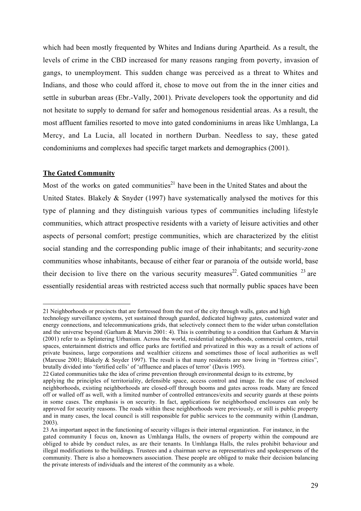which had been mostly frequented by Whites and Indians during Apartheid. As a result, the levels of crime in the CBD increased for many reasons ranging from poverty, invasion of gangs, to unemployment. This sudden change was perceived as a threat to Whites and Indians, and those who could afford it, chose to move out from the in the inner cities and settle in suburban areas (Ebr.-Vally, 2001). Private developers took the opportunity and did not hesitate to supply to demand for safer and homogenous residential areas. As a result, the most affluent families resorted to move into gated condominiums in areas like Umhlanga, La Mercy, and La Lucia, all located in northern Durban. Needless to say, these gated condominiums and complexes had specific target markets and demographics (2001).

## **The Gated Community**

Most of the works on gated communities<sup>21</sup> have been in the United States and about the United States. Blakely & Snyder (1997) have systematically analysed the motives for this type of planning and they distinguish various types of communities including lifestyle communities, which attract prospective residents with a variety of leisure activities and other aspects of personal comfort; prestige communities, which are characterized by the elitist social standing and the corresponding public image of their inhabitants; and security-zone communities whose inhabitants, because of either fear or paranoia of the outside world, base their decision to live there on the various security measures<sup>22</sup>. Gated communities  $2^3$  are essentially residential areas with restricted access such that normally public spaces have been

 <sup>21</sup> Neighborhoods or precincts that are fortressed from the rest of the city through walls, gates and high

technology surveillance systems, yet sustained through guarded, dedicated highway gates, customized water and energy connections, and telecommunications grids, that selectively connect them to the wider urban constellation and the universe beyond (Garham & Marvin 2001: 4). This is contributing to a condition that Garham & Marvin (2001) refer to as Splintering Urbanism. Across the world, residential neighborhoods, commercial centers, retail spaces, entertainment districts and office parks are fortified and privatized in this way as a result of actions of private business, large corporations and wealthier citizens and sometimes those of local authorities as well (Marcuse 2001; Blakely & Snyder 1997). The result is that many residents are now living in "fortress cities", brutally divided into 'fortified cells' of 'affluence and places of terror' (Davis 1995).

<sup>22</sup> Gated communities take the idea of crime prevention through environmental design to its extreme, by

applying the principles of territoriality, defensible space, access control and image. In the case of enclosed neighborhoods, existing neighborhoods are closed-off through booms and gates across roads. Many are fenced off or walled off as well, with a limited number of controlled entrances/exits and security guards at these points in some cases. The emphasis is on security. In fact, applications for neighborhood enclosures can only be approved for security reasons. The roads within these neighborhoods were previously, or still is public property and in many cases, the local council is still responsible for public services to the community within (Landman, 2003).

<sup>23</sup> An important aspect in the functioning of security villages is their internal organization. For instance, in the gated community I focus on, known as Umhlanga Halls, the owners of property within the compound are obliged to abide by conduct rules, as are their tenants. In Umhlanga Halls, the rules prohibit behaviour and illegal modifications to the buildings. Trustees and a chairman serve as representatives and spokespersons of the community. There is also a homeowners association. These people are obliged to make their decision balancing the private interests of individuals and the interest of the community as a whole.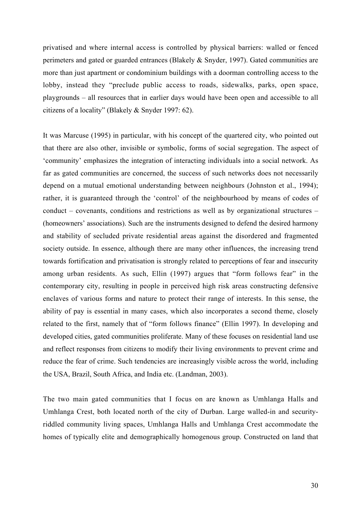privatised and where internal access is controlled by physical barriers: walled or fenced perimeters and gated or guarded entrances (Blakely & Snyder, 1997). Gated communities are more than just apartment or condominium buildings with a doorman controlling access to the lobby, instead they "preclude public access to roads, sidewalks, parks, open space, playgrounds – all resources that in earlier days would have been open and accessible to all citizens of a locality" (Blakely & Snyder 1997: 62).

It was Marcuse (1995) in particular, with his concept of the quartered city, who pointed out that there are also other, invisible or symbolic, forms of social segregation. The aspect of 'community' emphasizes the integration of interacting individuals into a social network. As far as gated communities are concerned, the success of such networks does not necessarily depend on a mutual emotional understanding between neighbours (Johnston et al., 1994); rather, it is guaranteed through the 'control' of the neighbourhood by means of codes of conduct – covenants, conditions and restrictions as well as by organizational structures – (homeowners' associations). Such are the instruments designed to defend the desired harmony and stability of secluded private residential areas against the disordered and fragmented society outside. In essence, although there are many other influences, the increasing trend towards fortification and privatisation is strongly related to perceptions of fear and insecurity among urban residents. As such, Ellin (1997) argues that "form follows fear" in the contemporary city, resulting in people in perceived high risk areas constructing defensive enclaves of various forms and nature to protect their range of interests. In this sense, the ability of pay is essential in many cases, which also incorporates a second theme, closely related to the first, namely that of "form follows finance" (Ellin 1997). In developing and developed cities, gated communities proliferate. Many of these focuses on residential land use and reflect responses from citizens to modify their living environments to prevent crime and reduce the fear of crime. Such tendencies are increasingly visible across the world, including the USA, Brazil, South Africa, and India etc. (Landman, 2003).

The two main gated communities that I focus on are known as Umhlanga Halls and Umhlanga Crest, both located north of the city of Durban. Large walled-in and securityriddled community living spaces, Umhlanga Halls and Umhlanga Crest accommodate the homes of typically elite and demographically homogenous group. Constructed on land that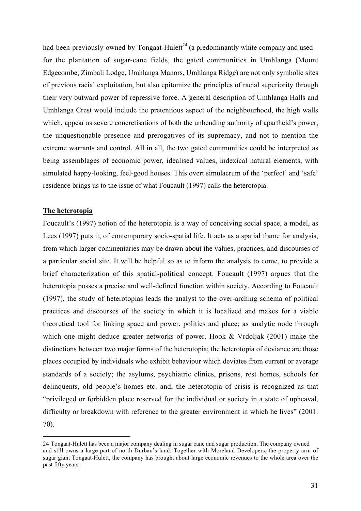had been previously owned by Tongaat-Hulett<sup>24</sup> (a predominantly white company and used for the plantation of sugar-cane fields, the gated communities in Umhlanga (Mount Edgecombe, Zimbali Lodge, Umhlanga Manors, Umhlanga Ridge) are not only symbolic sites of previous racial exploitation, but also epitomize the principles of racial superiority through their very outward power of repressive force. A general description of Umhlanga Halls and Umhlanga Crest would include the pretentious aspect of the neighbourhood, the high walls which, appear as severe concretisations of both the unbending authority of apartheid's power, the unquestionable presence and prerogatives of its supremacy, and not to mention the extreme warrants and control. All in all, the two gated communities could be interpreted as being assemblages of economic power, idealised values, indexical natural elements, with simulated happy-looking, feel-good houses. This overt simulacrum of the 'perfect' and 'safe' residence brings us to the issue of what Foucault (1997) calls the heterotopia.

## **The heterotopia**

Foucault's (1997) notion of the heterotopia is a way of conceiving social space, a model, as Lees (1997) puts it, of contemporary socio-spatial life. It acts as a spatial frame for analysis, from which larger commentaries may be drawn about the values, practices, and discourses of a particular social site. It will be helpful so as to inform the analysis to come, to provide a brief characterization of this spatial-political concept. Foucault (1997) argues that the heterotopia posses a precise and well-defined function within society. According to Foucault (1997), the study of heterotopias leads the analyst to the over-arching schema of political practices and discourses of the society in which it is localized and makes for a viable theoretical tool for linking space and power, politics and place; as analytic node through which one might deduce greater networks of power. Hook & Vrdoljak (2001) make the distinctions between two major forms of the heterotopia; the heterotopia of deviance are those places occupied by individuals who exhibit behaviour which deviates from current or average standards of a society; the asylums, psychiatric clinics, prisons, rest homes, schools for delinquents, old people's homes etc. and, the heterotopia of crisis is recognized as that "privileged or forbidden place reserved for the individual or society in a state of upheaval, difficulty or breakdown with reference to the greater environment in which he lives" (2001: 70).

 <sup>24</sup> Tongaat-Hulett has been a major company dealing in sugar cane and sugar production. The company owned and still owns a large part of north Durban's land. Together with Moreland Developers, the property arm of sugar giant Tongaat-Hulett, the company has brought about large economic revenues to the whole area over the past fifty years.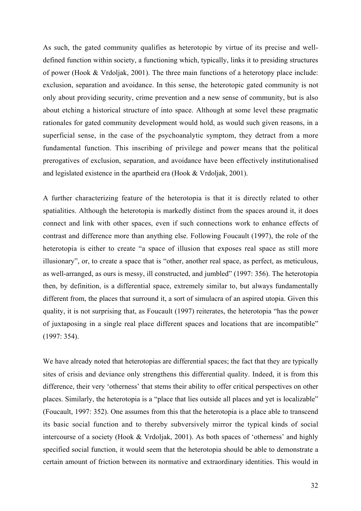As such, the gated community qualifies as heterotopic by virtue of its precise and welldefined function within society, a functioning which, typically, links it to presiding structures of power (Hook & Vrdoljak, 2001). The three main functions of a heterotopy place include: exclusion, separation and avoidance. In this sense, the heterotopic gated community is not only about providing security, crime prevention and a new sense of community, but is also about etching a historical structure of into space. Although at some level these pragmatic rationales for gated community development would hold, as would such given reasons, in a superficial sense, in the case of the psychoanalytic symptom, they detract from a more fundamental function. This inscribing of privilege and power means that the political prerogatives of exclusion, separation, and avoidance have been effectively institutionalised and legislated existence in the apartheid era (Hook & Vrdoljak, 2001).

A further characterizing feature of the heterotopia is that it is directly related to other spatialities. Although the heterotopia is markedly distinct from the spaces around it, it does connect and link with other spaces, even if such connections work to enhance effects of contrast and difference more than anything else. Following Foucault (1997), the role of the heterotopia is either to create "a space of illusion that exposes real space as still more illusionary", or, to create a space that is "other, another real space, as perfect, as meticulous, as well-arranged, as ours is messy, ill constructed, and jumbled" (1997: 356). The heterotopia then, by definition, is a differential space, extremely similar to, but always fundamentally different from, the places that surround it, a sort of simulacra of an aspired utopia. Given this quality, it is not surprising that, as Foucault (1997) reiterates, the heterotopia "has the power of juxtaposing in a single real place different spaces and locations that are incompatible" (1997: 354).

We have already noted that heterotopias are differential spaces; the fact that they are typically sites of crisis and deviance only strengthens this differential quality. Indeed, it is from this difference, their very 'otherness' that stems their ability to offer critical perspectives on other places. Similarly, the heterotopia is a "place that lies outside all places and yet is localizable" (Foucault, 1997: 352). One assumes from this that the heterotopia is a place able to transcend its basic social function and to thereby subversively mirror the typical kinds of social intercourse of a society (Hook & Vrdoljak, 2001). As both spaces of 'otherness' and highly specified social function, it would seem that the heterotopia should be able to demonstrate a certain amount of friction between its normative and extraordinary identities. This would in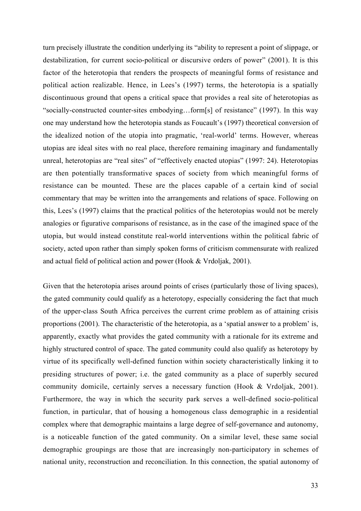turn precisely illustrate the condition underlying its "ability to represent a point of slippage, or destabilization, for current socio-political or discursive orders of power" (2001). It is this factor of the heterotopia that renders the prospects of meaningful forms of resistance and political action realizable. Hence, in Lees's (1997) terms, the heterotopia is a spatially discontinuous ground that opens a critical space that provides a real site of heterotopias as "socially-constructed counter-sites embodying…form[s] of resistance" (1997). In this way one may understand how the heterotopia stands as Foucault's (1997) theoretical conversion of the idealized notion of the utopia into pragmatic, 'real-world' terms. However, whereas utopias are ideal sites with no real place, therefore remaining imaginary and fundamentally unreal, heterotopias are "real sites" of "effectively enacted utopias" (1997: 24). Heterotopias are then potentially transformative spaces of society from which meaningful forms of resistance can be mounted. These are the places capable of a certain kind of social commentary that may be written into the arrangements and relations of space. Following on this, Lees's (1997) claims that the practical politics of the heterotopias would not be merely analogies or figurative comparisons of resistance, as in the case of the imagined space of the utopia, but would instead constitute real-world interventions within the political fabric of society, acted upon rather than simply spoken forms of criticism commensurate with realized and actual field of political action and power (Hook & Vrdoljak, 2001).

Given that the heterotopia arises around points of crises (particularly those of living spaces), the gated community could qualify as a heterotopy, especially considering the fact that much of the upper-class South Africa perceives the current crime problem as of attaining crisis proportions (2001). The characteristic of the heterotopia, as a 'spatial answer to a problem' is, apparently, exactly what provides the gated community with a rationale for its extreme and highly structured control of space. The gated community could also qualify as heterotopy by virtue of its specifically well-defined function within society characteristically linking it to presiding structures of power; i.e. the gated community as a place of superbly secured community domicile, certainly serves a necessary function (Hook & Vrdoljak, 2001). Furthermore, the way in which the security park serves a well-defined socio-political function, in particular, that of housing a homogenous class demographic in a residential complex where that demographic maintains a large degree of self-governance and autonomy, is a noticeable function of the gated community. On a similar level, these same social demographic groupings are those that are increasingly non-participatory in schemes of national unity, reconstruction and reconciliation. In this connection, the spatial autonomy of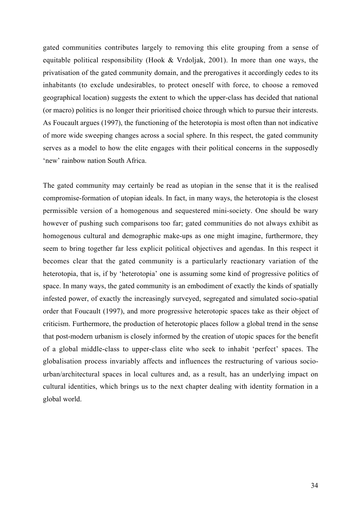gated communities contributes largely to removing this elite grouping from a sense of equitable political responsibility (Hook & Vrdoljak, 2001). In more than one ways, the privatisation of the gated community domain, and the prerogatives it accordingly cedes to its inhabitants (to exclude undesirables, to protect oneself with force, to choose a removed geographical location) suggests the extent to which the upper-class has decided that national (or macro) politics is no longer their prioritised choice through which to pursue their interests. As Foucault argues (1997), the functioning of the heterotopia is most often than not indicative of more wide sweeping changes across a social sphere. In this respect, the gated community serves as a model to how the elite engages with their political concerns in the supposedly 'new' rainbow nation South Africa.

The gated community may certainly be read as utopian in the sense that it is the realised compromise-formation of utopian ideals. In fact, in many ways, the heterotopia is the closest permissible version of a homogenous and sequestered mini-society. One should be wary however of pushing such comparisons too far; gated communities do not always exhibit as homogenous cultural and demographic make-ups as one might imagine, furthermore, they seem to bring together far less explicit political objectives and agendas. In this respect it becomes clear that the gated community is a particularly reactionary variation of the heterotopia, that is, if by 'heterotopia' one is assuming some kind of progressive politics of space. In many ways, the gated community is an embodiment of exactly the kinds of spatially infested power, of exactly the increasingly surveyed, segregated and simulated socio-spatial order that Foucault (1997), and more progressive heterotopic spaces take as their object of criticism. Furthermore, the production of heterotopic places follow a global trend in the sense that post-modern urbanism is closely informed by the creation of utopic spaces for the benefit of a global middle-class to upper-class elite who seek to inhabit 'perfect' spaces. The globalisation process invariably affects and influences the restructuring of various sociourban/architectural spaces in local cultures and, as a result, has an underlying impact on cultural identities, which brings us to the next chapter dealing with identity formation in a global world.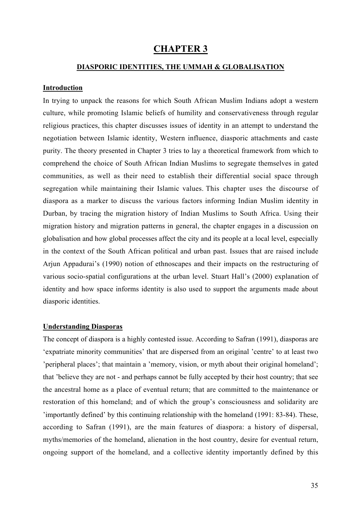## **CHAPTER 3**

## **DIASPORIC IDENTITIES, THE UMMAH & GLOBALISATION**

#### **Introduction**

In trying to unpack the reasons for which South African Muslim Indians adopt a western culture, while promoting Islamic beliefs of humility and conservativeness through regular religious practices, this chapter discusses issues of identity in an attempt to understand the negotiation between Islamic identity, Western influence, diasporic attachments and caste purity. The theory presented in Chapter 3 tries to lay a theoretical framework from which to comprehend the choice of South African Indian Muslims to segregate themselves in gated communities, as well as their need to establish their differential social space through segregation while maintaining their Islamic values. This chapter uses the discourse of diaspora as a marker to discuss the various factors informing Indian Muslim identity in Durban, by tracing the migration history of Indian Muslims to South Africa. Using their migration history and migration patterns in general, the chapter engages in a discussion on globalisation and how global processes affect the city and its people at a local level, especially in the context of the South African political and urban past. Issues that are raised include Arjun Appadurai's (1990) notion of ethnoscapes and their impacts on the restructuring of various socio-spatial configurations at the urban level. Stuart Hall's (2000) explanation of identity and how space informs identity is also used to support the arguments made about diasporic identities.

## **Understanding Diasporas**

The concept of diaspora is a highly contested issue. According to Safran (1991), diasporas are 'expatriate minority communities' that are dispersed from an original 'centre' to at least two 'peripheral places'; that maintain a 'memory, vision, or myth about their original homeland'; that 'believe they are not - and perhaps cannot be fully accepted by their host country; that see the ancestral home as a place of eventual return; that are committed to the maintenance or restoration of this homeland; and of which the group's consciousness and solidarity are 'importantly defined' by this continuing relationship with the homeland (1991: 83-84). These, according to Safran (1991), are the main features of diaspora: a history of dispersal, myths/memories of the homeland, alienation in the host country, desire for eventual return, ongoing support of the homeland, and a collective identity importantly defined by this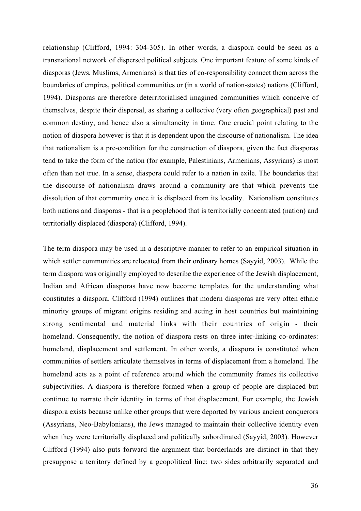relationship (Clifford, 1994: 304-305). In other words, a diaspora could be seen as a transnational network of dispersed political subjects. One important feature of some kinds of diasporas (Jews, Muslims, Armenians) is that ties of co-responsibility connect them across the boundaries of empires, political communities or (in a world of nation-states) nations (Clifford, 1994). Diasporas are therefore deterritorialised imagined communities which conceive of themselves, despite their dispersal, as sharing a collective (very often geographical) past and common destiny, and hence also a simultaneity in time. One crucial point relating to the notion of diaspora however is that it is dependent upon the discourse of nationalism. The idea that nationalism is a pre-condition for the construction of diaspora, given the fact diasporas tend to take the form of the nation (for example, Palestinians, Armenians, Assyrians) is most often than not true. In a sense, diaspora could refer to a nation in exile. The boundaries that the discourse of nationalism draws around a community are that which prevents the dissolution of that community once it is displaced from its locality. Nationalism constitutes both nations and diasporas - that is a peoplehood that is territorially concentrated (nation) and territorially displaced (diaspora) (Clifford, 1994).

The term diaspora may be used in a descriptive manner to refer to an empirical situation in which settler communities are relocated from their ordinary homes (Sayyid, 2003). While the term diaspora was originally employed to describe the experience of the Jewish displacement, Indian and African diasporas have now become templates for the understanding what constitutes a diaspora. Clifford (1994) outlines that modern diasporas are very often ethnic minority groups of migrant origins residing and acting in host countries but maintaining strong sentimental and material links with their countries of origin - their homeland. Consequently, the notion of diaspora rests on three inter-linking co-ordinates: homeland, displacement and settlement. In other words, a diaspora is constituted when communities of settlers articulate themselves in terms of displacement from a homeland. The homeland acts as a point of reference around which the community frames its collective subjectivities. A diaspora is therefore formed when a group of people are displaced but continue to narrate their identity in terms of that displacement. For example, the Jewish diaspora exists because unlike other groups that were deported by various ancient conquerors (Assyrians, Neo-Babylonians), the Jews managed to maintain their collective identity even when they were territorially displaced and politically subordinated (Sayyid, 2003). However Clifford (1994) also puts forward the argument that borderlands are distinct in that they presuppose a territory defined by a geopolitical line: two sides arbitrarily separated and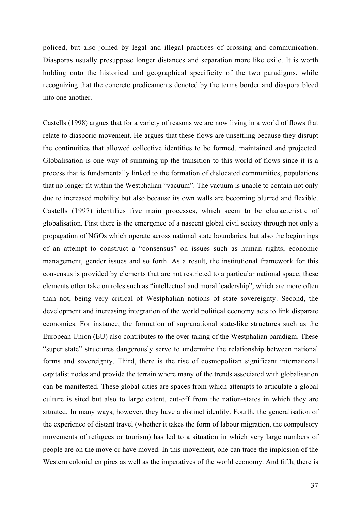policed, but also joined by legal and illegal practices of crossing and communication. Diasporas usually presuppose longer distances and separation more like exile. It is worth holding onto the historical and geographical specificity of the two paradigms, while recognizing that the concrete predicaments denoted by the terms border and diaspora bleed into one another.

Castells (1998) argues that for a variety of reasons we are now living in a world of flows that relate to diasporic movement. He argues that these flows are unsettling because they disrupt the continuities that allowed collective identities to be formed, maintained and projected. Globalisation is one way of summing up the transition to this world of flows since it is a process that is fundamentally linked to the formation of dislocated communities, populations that no longer fit within the Westphalian "vacuum". The vacuum is unable to contain not only due to increased mobility but also because its own walls are becoming blurred and flexible. Castells (1997) identifies five main processes, which seem to be characteristic of globalisation. First there is the emergence of a nascent global civil society through not only a propagation of NGOs which operate across national state boundaries, but also the beginnings of an attempt to construct a "consensus" on issues such as human rights, economic management, gender issues and so forth. As a result, the institutional framework for this consensus is provided by elements that are not restricted to a particular national space; these elements often take on roles such as "intellectual and moral leadership", which are more often than not, being very critical of Westphalian notions of state sovereignty. Second, the development and increasing integration of the world political economy acts to link disparate economies. For instance, the formation of supranational state-like structures such as the European Union (EU) also contributes to the over-taking of the Westphalian paradigm. These "super state" structures dangerously serve to undermine the relationship between national forms and sovereignty. Third, there is the rise of cosmopolitan significant international capitalist nodes and provide the terrain where many of the trends associated with globalisation can be manifested. These global cities are spaces from which attempts to articulate a global culture is sited but also to large extent, cut-off from the nation-states in which they are situated. In many ways, however, they have a distinct identity. Fourth, the generalisation of the experience of distant travel (whether it takes the form of labour migration, the compulsory movements of refugees or tourism) has led to a situation in which very large numbers of people are on the move or have moved. In this movement, one can trace the implosion of the Western colonial empires as well as the imperatives of the world economy. And fifth, there is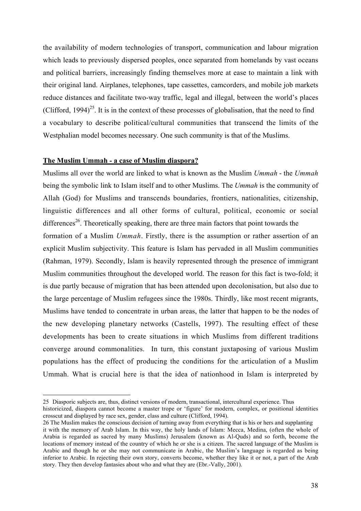the availability of modern technologies of transport, communication and labour migration which leads to previously dispersed peoples, once separated from homelands by vast oceans and political barriers, increasingly finding themselves more at ease to maintain a link with their original land. Airplanes, telephones, tape cassettes, camcorders, and mobile job markets reduce distances and facilitate two-way traffic, legal and illegal, between the world's places (Clifford, 1994)<sup>25</sup>. It is in the context of these processes of globalisation, that the need to find a vocabulary to describe political/cultural communities that transcend the limits of the Westphalian model becomes necessary. One such community is that of the Muslims.

#### **The Muslim Ummah - a case of Muslim diaspora?**

Muslims all over the world are linked to what is known as the Muslim *Ummah* - the *Ummah* being the symbolic link to Islam itself and to other Muslims. The *Ummah* is the community of Allah (God) for Muslims and transcends boundaries, frontiers, nationalities, citizenship, linguistic differences and all other forms of cultural, political, economic or social differences<sup>26</sup>. Theoretically speaking, there are three main factors that point towards the formation of a Muslim *Ummah*. Firstly, there is the assumption or rather assertion of an explicit Muslim subjectivity. This feature is Islam has pervaded in all Muslim communities (Rahman, 1979). Secondly, Islam is heavily represented through the presence of immigrant Muslim communities throughout the developed world. The reason for this fact is two-fold; it is due partly because of migration that has been attended upon decolonisation, but also due to the large percentage of Muslim refugees since the 1980s. Thirdly, like most recent migrants, Muslims have tended to concentrate in urban areas, the latter that happen to be the nodes of the new developing planetary networks (Castells, 1997). The resulting effect of these developments has been to create situations in which Muslims from different traditions converge around commonalities. In turn, this constant juxtaposing of various Muslim populations has the effect of producing the conditions for the articulation of a Muslim Ummah. What is crucial here is that the idea of nationhood in Islam is interpreted by

 <sup>25</sup> Diasporic subjects are, thus, distinct versions of modern, transactional, intercultural experience. Thus historicized, diaspora cannot become a master trope or 'figure' for modern, complex, or positional identities crosscut and displayed by race sex, gender, class and culture (Clifford, 1994).

<sup>26</sup> The Muslim makes the conscious decision of turning away from everything that is his or hers and supplanting it with the memory of Arab Islam. In this way, the holy lands of Islam: Mecca, Medina, (often the whole of Arabia is regarded as sacred by many Muslims) Jerusalem (known as Al-Quds) and so forth, become the locations of memory instead of the country of which he or she is a citizen. The sacred language of the Muslim is Arabic and though he or she may not communicate in Arabic, the Muslim's language is regarded as being inferior to Arabic. In rejecting their own story, converts become, whether they like it or not, a part of the Arab story. They then develop fantasies about who and what they are (Ebr.-Vally, 2001).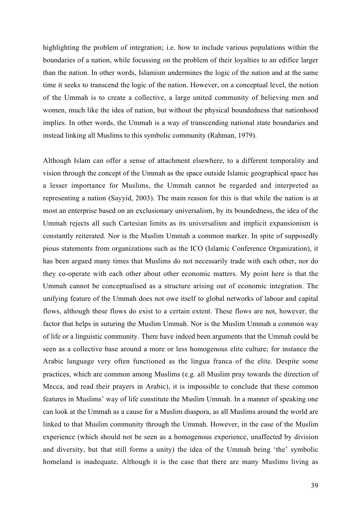highlighting the problem of integration; i.e. how to include various populations within the boundaries of a nation, while focussing on the problem of their loyalties to an edifice larger than the nation. In other words, Islamism undermines the logic of the nation and at the same time it seeks to transcend the logic of the nation. However, on a conceptual level, the notion of the Ummah is to create a collective, a large united community of believing men and women, much like the idea of nation, but without the physical boundedness that nationhood implies. In other words, the Ummah is a way of transcending national state boundaries and instead linking all Muslims to this symbolic community (Rahman, 1979).

Although Islam can offer a sense of attachment elsewhere, to a different temporality and vision through the concept of the Ummah as the space outside Islamic geographical space has a lesser importance for Muslims, the Ummah cannot be regarded and interpreted as representing a nation (Sayyid, 2003). The main reason for this is that while the nation is at most an enterprise based on an exclusionary universalism, by its boundedness, the idea of the Ummah rejects all such Cartesian limits as its universalism and implicit expansionism is constantly reiterated. Nor is the Muslim Ummah a common marker. In spite of supposedly pious statements from organizations such as the ICO (Islamic Conference Organization), it has been argued many times that Muslims do not necessarily trade with each other, nor do they co-operate with each other about other economic matters. My point here is that the Ummah cannot be conceptualised as a structure arising out of economic integration. The unifying feature of the Ummah does not owe itself to global networks of labour and capital flows, although these flows do exist to a certain extent. These flows are not, however, the factor that helps in suturing the Muslim Ummah. Nor is the Muslim Ummah a common way of life or a linguistic community. There have indeed been arguments that the Ummah could be seen as a collective base around a more or less homogenous elite culture; for instance the Arabic language very often functioned as the lingua franca of the elite. Despite some practices, which are common among Muslims (e.g. all Muslim pray towards the direction of Mecca, and read their prayers in Arabic), it is impossible to conclude that these common features in Muslims' way of life constitute the Muslim Ummah. In a manner of speaking one can look at the Ummah as a cause for a Muslim diaspora, as all Muslims around the world are linked to that Muslim community through the Ummah. However, in the case of the Muslim experience (which should not be seen as a homogenous experience, unaffected by division and diversity, but that still forms a unity) the idea of the Ummah being 'the' symbolic homeland is inadequate. Although it is the case that there are many Muslims living as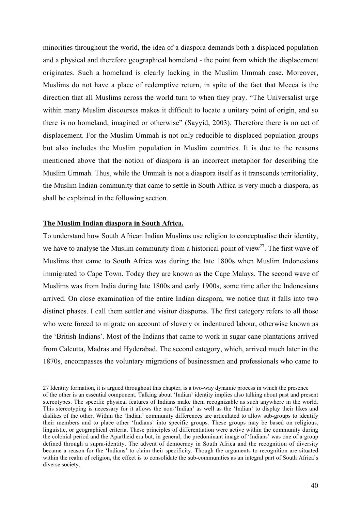minorities throughout the world, the idea of a diaspora demands both a displaced population and a physical and therefore geographical homeland - the point from which the displacement originates. Such a homeland is clearly lacking in the Muslim Ummah case. Moreover, Muslims do not have a place of redemptive return, in spite of the fact that Mecca is the direction that all Muslims across the world turn to when they pray. "The Universalist urge within many Muslim discourses makes it difficult to locate a unitary point of origin, and so there is no homeland, imagined or otherwise" (Sayyid, 2003). Therefore there is no act of displacement. For the Muslim Ummah is not only reducible to displaced population groups but also includes the Muslim population in Muslim countries. It is due to the reasons mentioned above that the notion of diaspora is an incorrect metaphor for describing the Muslim Ummah. Thus, while the Ummah is not a diaspora itself as it transcends territoriality, the Muslim Indian community that came to settle in South Africa is very much a diaspora, as shall be explained in the following section.

#### **The Muslim Indian diaspora in South Africa.**

1

To understand how South African Indian Muslims use religion to conceptualise their identity, we have to analyse the Muslim community from a historical point of view<sup>27</sup>. The first wave of Muslims that came to South Africa was during the late 1800s when Muslim Indonesians immigrated to Cape Town. Today they are known as the Cape Malays. The second wave of Muslims was from India during late 1800s and early 1900s, some time after the Indonesians arrived. On close examination of the entire Indian diaspora, we notice that it falls into two distinct phases. I call them settler and visitor diasporas. The first category refers to all those who were forced to migrate on account of slavery or indentured labour, otherwise known as the 'British Indians'. Most of the Indians that came to work in sugar cane plantations arrived from Calcutta, Madras and Hyderabad. The second category, which, arrived much later in the 1870s, encompasses the voluntary migrations of businessmen and professionals who came to

<sup>27</sup> Identity formation, it is argued throughout this chapter, is a two-way dynamic process in which the presence of the other is an essential component. Talking about 'Indian' identity implies also talking about past and present stereotypes. The specific physical features of Indians make them recognizable as such anywhere in the world. This stereotyping is necessary for it allows the non-'Indian' as well as the 'Indian' to display their likes and dislikes of the other. Within the 'Indian' community differences are articulated to allow sub-groups to identify their members and to place other 'Indians' into specific groups. These groups may be based on religious, linguistic, or geographical criteria. These principles of differentiation were active within the community during the colonial period and the Apartheid era but, in general, the predominant image of 'Indians' was one of a group defined through a supra-identity. The advent of democracy in South Africa and the recognition of diversity became a reason for the 'Indians' to claim their specificity. Though the arguments to recognition are situated within the realm of religion, the effect is to consolidate the sub-communities as an integral part of South Africa's diverse society.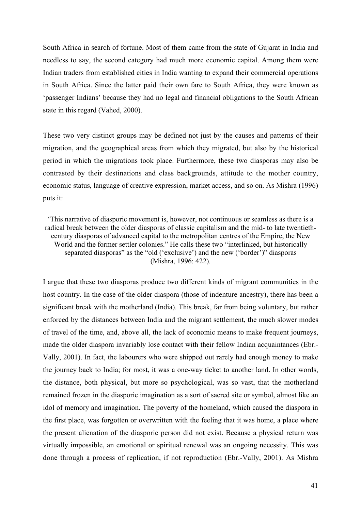South Africa in search of fortune. Most of them came from the state of Gujarat in India and needless to say, the second category had much more economic capital. Among them were Indian traders from established cities in India wanting to expand their commercial operations in South Africa. Since the latter paid their own fare to South Africa, they were known as 'passenger Indians' because they had no legal and financial obligations to the South African state in this regard (Vahed, 2000).

These two very distinct groups may be defined not just by the causes and patterns of their migration, and the geographical areas from which they migrated, but also by the historical period in which the migrations took place. Furthermore, these two diasporas may also be contrasted by their destinations and class backgrounds, attitude to the mother country, economic status, language of creative expression, market access, and so on. As Mishra (1996) puts it:

'This narrative of diasporic movement is, however, not continuous or seamless as there is a radical break between the older diasporas of classic capitalism and the mid- to late twentiethcentury diasporas of advanced capital to the metropolitan centres of the Empire, the New World and the former settler colonies." He calls these two "interlinked, but historically separated diasporas" as the "old ('exclusive') and the new ('border')" diasporas (Mishra, 1996: 422).

I argue that these two diasporas produce two different kinds of migrant communities in the host country. In the case of the older diaspora (those of indenture ancestry), there has been a significant break with the motherland (India). This break, far from being voluntary, but rather enforced by the distances between India and the migrant settlement, the much slower modes of travel of the time, and, above all, the lack of economic means to make frequent journeys, made the older diaspora invariably lose contact with their fellow Indian acquaintances (Ebr.- Vally, 2001). In fact, the labourers who were shipped out rarely had enough money to make the journey back to India; for most, it was a one-way ticket to another land. In other words, the distance, both physical, but more so psychological, was so vast, that the motherland remained frozen in the diasporic imagination as a sort of sacred site or symbol, almost like an idol of memory and imagination. The poverty of the homeland, which caused the diaspora in the first place, was forgotten or overwritten with the feeling that it was home, a place where the present alienation of the diasporic person did not exist. Because a physical return was virtually impossible, an emotional or spiritual renewal was an ongoing necessity. This was done through a process of replication, if not reproduction (Ebr.-Vally, 2001). As Mishra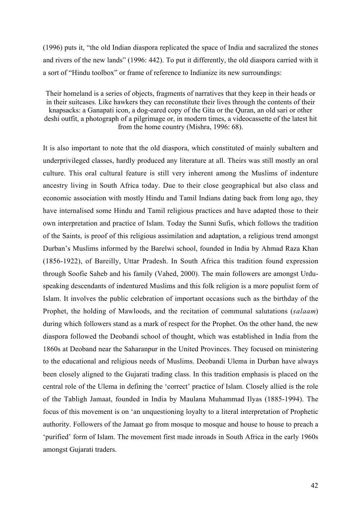(1996) puts it, "the old Indian diaspora replicated the space of India and sacralized the stones and rivers of the new lands" (1996: 442). To put it differently, the old diaspora carried with it a sort of "Hindu toolbox" or frame of reference to Indianize its new surroundings:

Their homeland is a series of objects, fragments of narratives that they keep in their heads or in their suitcases. Like hawkers they can reconstitute their lives through the contents of their knapsacks: a Ganapati icon, a dog-eared copy of the Gita or the Quran, an old sari or other deshi outfit, a photograph of a pilgrimage or, in modern times, a videocassette of the latest hit from the home country (Mishra, 1996: 68).

It is also important to note that the old diaspora, which constituted of mainly subaltern and underprivileged classes, hardly produced any literature at all. Theirs was still mostly an oral culture. This oral cultural feature is still very inherent among the Muslims of indenture ancestry living in South Africa today. Due to their close geographical but also class and economic association with mostly Hindu and Tamil Indians dating back from long ago, they have internalised some Hindu and Tamil religious practices and have adapted those to their own interpretation and practice of Islam. Today the Sunni Sufis, which follows the tradition of the Saints, is proof of this religious assimilation and adaptation, a religious trend amongst Durban's Muslims informed by the Barelwi school, founded in India by Ahmad Raza Khan (1856-1922), of Bareilly, Uttar Pradesh. In South Africa this tradition found expression through Soofie Saheb and his family (Vahed, 2000). The main followers are amongst Urduspeaking descendants of indentured Muslims and this folk religion is a more populist form of Islam. It involves the public celebration of important occasions such as the birthday of the Prophet, the holding of Mawloods, and the recitation of communal salutations (*salaam*) during which followers stand as a mark of respect for the Prophet. On the other hand, the new diaspora followed the Deobandi school of thought, which was established in India from the 1860s at Deoband near the Saharanpur in the United Provinces. They focused on ministering to the educational and religious needs of Muslims. Deobandi Ulema in Durban have always been closely aligned to the Gujarati trading class. In this tradition emphasis is placed on the central role of the Ulema in defining the 'correct' practice of Islam. Closely allied is the role of the Tabligh Jamaat, founded in India by Maulana Muhammad Ilyas (1885-1994). The focus of this movement is on 'an unquestioning loyalty to a literal interpretation of Prophetic authority. Followers of the Jamaat go from mosque to mosque and house to house to preach a 'purified' form of Islam. The movement first made inroads in South Africa in the early 1960s amongst Gujarati traders.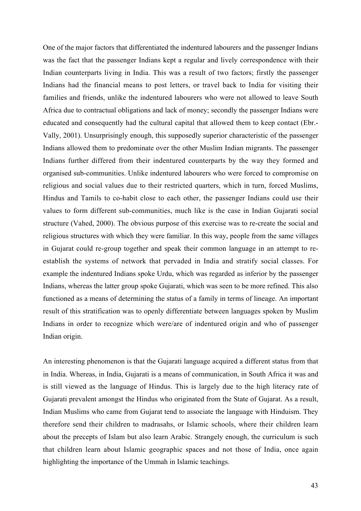One of the major factors that differentiated the indentured labourers and the passenger Indians was the fact that the passenger Indians kept a regular and lively correspondence with their Indian counterparts living in India. This was a result of two factors; firstly the passenger Indians had the financial means to post letters, or travel back to India for visiting their families and friends, unlike the indentured labourers who were not allowed to leave South Africa due to contractual obligations and lack of money; secondly the passenger Indians were educated and consequently had the cultural capital that allowed them to keep contact (Ebr.- Vally, 2001). Unsurprisingly enough, this supposedly superior characteristic of the passenger Indians allowed them to predominate over the other Muslim Indian migrants. The passenger Indians further differed from their indentured counterparts by the way they formed and organised sub-communities. Unlike indentured labourers who were forced to compromise on religious and social values due to their restricted quarters, which in turn, forced Muslims, Hindus and Tamils to co-habit close to each other, the passenger Indians could use their values to form different sub-communities, much like is the case in Indian Gujarati social structure (Vahed, 2000). The obvious purpose of this exercise was to re-create the social and religious structures with which they were familiar. In this way, people from the same villages in Gujarat could re-group together and speak their common language in an attempt to reestablish the systems of network that pervaded in India and stratify social classes. For example the indentured Indians spoke Urdu, which was regarded as inferior by the passenger Indians, whereas the latter group spoke Gujarati, which was seen to be more refined. This also functioned as a means of determining the status of a family in terms of lineage. An important result of this stratification was to openly differentiate between languages spoken by Muslim Indians in order to recognize which were/are of indentured origin and who of passenger Indian origin.

An interesting phenomenon is that the Gujarati language acquired a different status from that in India. Whereas, in India, Gujarati is a means of communication, in South Africa it was and is still viewed as the language of Hindus. This is largely due to the high literacy rate of Gujarati prevalent amongst the Hindus who originated from the State of Gujarat. As a result, Indian Muslims who came from Gujarat tend to associate the language with Hinduism. They therefore send their children to madrasahs, or Islamic schools, where their children learn about the precepts of Islam but also learn Arabic. Strangely enough, the curriculum is such that children learn about Islamic geographic spaces and not those of India, once again highlighting the importance of the Ummah in Islamic teachings.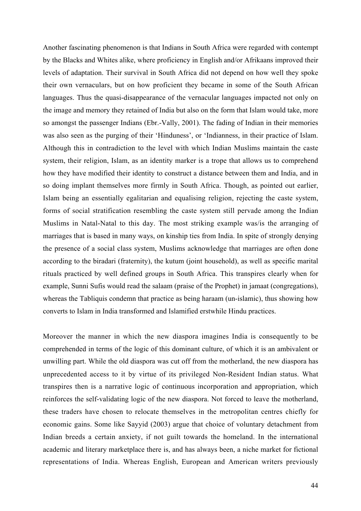Another fascinating phenomenon is that Indians in South Africa were regarded with contempt by the Blacks and Whites alike, where proficiency in English and/or Afrikaans improved their levels of adaptation. Their survival in South Africa did not depend on how well they spoke their own vernaculars, but on how proficient they became in some of the South African languages. Thus the quasi-disappearance of the vernacular languages impacted not only on the image and memory they retained of India but also on the form that Islam would take, more so amongst the passenger Indians (Ebr.-Vally, 2001). The fading of Indian in their memories was also seen as the purging of their 'Hinduness', or 'Indianness, in their practice of Islam. Although this in contradiction to the level with which Indian Muslims maintain the caste system, their religion, Islam, as an identity marker is a trope that allows us to comprehend how they have modified their identity to construct a distance between them and India, and in so doing implant themselves more firmly in South Africa. Though, as pointed out earlier, Islam being an essentially egalitarian and equalising religion, rejecting the caste system, forms of social stratification resembling the caste system still pervade among the Indian Muslims in Natal-Natal to this day. The most striking example was/is the arranging of marriages that is based in many ways, on kinship ties from India. In spite of strongly denying the presence of a social class system, Muslims acknowledge that marriages are often done according to the biradari (fraternity), the kutum (joint household), as well as specific marital rituals practiced by well defined groups in South Africa. This transpires clearly when for example, Sunni Sufis would read the salaam (praise of the Prophet) in jamaat (congregations), whereas the Tabliquis condemn that practice as being haraam (un-islamic), thus showing how converts to Islam in India transformed and Islamified erstwhile Hindu practices.

Moreover the manner in which the new diaspora imagines India is consequently to be comprehended in terms of the logic of this dominant culture, of which it is an ambivalent or unwilling part. While the old diaspora was cut off from the motherland, the new diaspora has unprecedented access to it by virtue of its privileged Non-Resident Indian status. What transpires then is a narrative logic of continuous incorporation and appropriation, which reinforces the self-validating logic of the new diaspora. Not forced to leave the motherland, these traders have chosen to relocate themselves in the metropolitan centres chiefly for economic gains. Some like Sayyid (2003) argue that choice of voluntary detachment from Indian breeds a certain anxiety, if not guilt towards the homeland. In the international academic and literary marketplace there is, and has always been, a niche market for fictional representations of India. Whereas English, European and American writers previously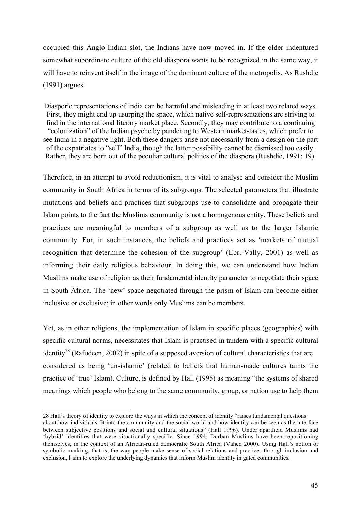occupied this Anglo-Indian slot, the Indians have now moved in. If the older indentured somewhat subordinate culture of the old diaspora wants to be recognized in the same way, it will have to reinvent itself in the image of the dominant culture of the metropolis. As Rushdie (1991) argues:

Diasporic representations of India can be harmful and misleading in at least two related ways. First, they might end up usurping the space, which native self-representations are striving to find in the international literary market place. Secondly, they may contribute to a continuing "colonization" of the Indian psyche by pandering to Western market-tastes, which prefer to see India in a negative light. Both these dangers arise not necessarily from a design on the part of the expatriates to "sell" India, though the latter possibility cannot be dismissed too easily. Rather, they are born out of the peculiar cultural politics of the diaspora (Rushdie, 1991: 19).

Therefore, in an attempt to avoid reductionism, it is vital to analyse and consider the Muslim community in South Africa in terms of its subgroups. The selected parameters that illustrate mutations and beliefs and practices that subgroups use to consolidate and propagate their Islam points to the fact the Muslims community is not a homogenous entity. These beliefs and practices are meaningful to members of a subgroup as well as to the larger Islamic community. For, in such instances, the beliefs and practices act as 'markets of mutual recognition that determine the cohesion of the subgroup' (Ebr.-Vally, 2001) as well as informing their daily religious behaviour. In doing this, we can understand how Indian Muslims make use of religion as their fundamental identity parameter to negotiate their space in South Africa. The 'new' space negotiated through the prism of Islam can become either inclusive or exclusive; in other words only Muslims can be members.

Yet, as in other religions, the implementation of Islam in specific places (geographies) with specific cultural norms, necessitates that Islam is practised in tandem with a specific cultural identity<sup>28</sup> (Rafudeen, 2002) in spite of a supposed aversion of cultural characteristics that are considered as being 'un-islamic' (related to beliefs that human-made cultures taints the practice of 'true' Islam). Culture, is defined by Hall (1995) as meaning "the systems of shared meanings which people who belong to the same community, group, or nation use to help them

 <sup>28</sup> Hall's theory of identity to explore the ways in which the concept of identity "raises fundamental questions about how individuals fit into the community and the social world and how identity can be seen as the interface between subjective positions and social and cultural situations" (Hall 1996). Under apartheid Muslims had 'hybrid' identities that were situationally specific. Since 1994, Durban Muslims have been repositioning themselves, in the context of an African-ruled democratic South Africa (Vahed 2000). Using Hall's notion of symbolic marking, that is, the way people make sense of social relations and practices through inclusion and exclusion, I aim to explore the underlying dynamics that inform Muslim identity in gated communities.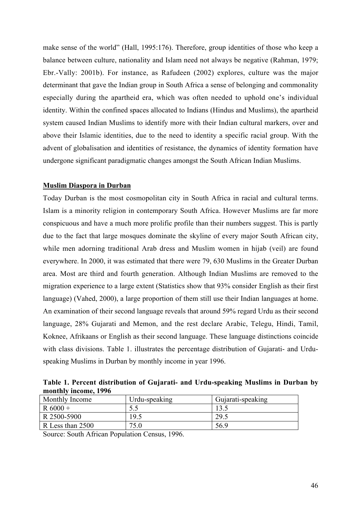make sense of the world" (Hall, 1995:176). Therefore, group identities of those who keep a balance between culture, nationality and Islam need not always be negative (Rahman, 1979; Ebr.-Vally: 2001b). For instance, as Rafudeen (2002) explores, culture was the major determinant that gave the Indian group in South Africa a sense of belonging and commonality especially during the apartheid era, which was often needed to uphold one's individual identity. Within the confined spaces allocated to Indians (Hindus and Muslims), the apartheid system caused Indian Muslims to identify more with their Indian cultural markers, over and above their Islamic identities, due to the need to identity a specific racial group. With the advent of globalisation and identities of resistance, the dynamics of identity formation have undergone significant paradigmatic changes amongst the South African Indian Muslims.

#### **Muslim Diaspora in Durban**

Today Durban is the most cosmopolitan city in South Africa in racial and cultural terms. Islam is a minority religion in contemporary South Africa. However Muslims are far more conspicuous and have a much more prolific profile than their numbers suggest. This is partly due to the fact that large mosques dominate the skyline of every major South African city, while men adorning traditional Arab dress and Muslim women in hijab (veil) are found everywhere. In 2000, it was estimated that there were 79, 630 Muslims in the Greater Durban area. Most are third and fourth generation. Although Indian Muslims are removed to the migration experience to a large extent (Statistics show that 93% consider English as their first language) (Vahed, 2000), a large proportion of them still use their Indian languages at home. An examination of their second language reveals that around 59% regard Urdu as their second language, 28% Gujarati and Memon, and the rest declare Arabic, Telegu, Hindi, Tamil, Koknee, Afrikaans or English as their second language. These language distinctions coincide with class divisions. Table 1. illustrates the percentage distribution of Gujarati- and Urduspeaking Muslims in Durban by monthly income in year 1996.

**Table 1. Percent distribution of Gujarati- and Urdu-speaking Muslims in Durban by monthly income, 1996**

| Monthly Income   | Urdu-speaking | Gujarati-speaking |
|------------------|---------------|-------------------|
| $R6000+$         |               | 13.5              |
| R 2500-5900      | 19.5          | 29.5              |
| R Less than 2500 | 75.0          | 56.9              |

Source: South African Population Census, 1996.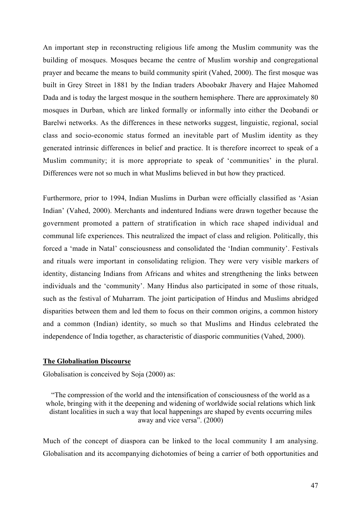An important step in reconstructing religious life among the Muslim community was the building of mosques. Mosques became the centre of Muslim worship and congregational prayer and became the means to build community spirit (Vahed, 2000). The first mosque was built in Grey Street in 1881 by the Indian traders Aboobakr Jhavery and Hajee Mahomed Dada and is today the largest mosque in the southern hemisphere. There are approximately 80 mosques in Durban, which are linked formally or informally into either the Deobandi or Barelwi networks. As the differences in these networks suggest, linguistic, regional, social class and socio-economic status formed an inevitable part of Muslim identity as they generated intrinsic differences in belief and practice. It is therefore incorrect to speak of a Muslim community; it is more appropriate to speak of 'communities' in the plural. Differences were not so much in what Muslims believed in but how they practiced.

Furthermore, prior to 1994, Indian Muslims in Durban were officially classified as 'Asian Indian' (Vahed, 2000). Merchants and indentured Indians were drawn together because the government promoted a pattern of stratification in which race shaped individual and communal life experiences. This neutralized the impact of class and religion. Politically, this forced a 'made in Natal' consciousness and consolidated the 'Indian community'. Festivals and rituals were important in consolidating religion. They were very visible markers of identity, distancing Indians from Africans and whites and strengthening the links between individuals and the 'community'. Many Hindus also participated in some of those rituals, such as the festival of Muharram. The joint participation of Hindus and Muslims abridged disparities between them and led them to focus on their common origins, a common history and a common (Indian) identity, so much so that Muslims and Hindus celebrated the independence of India together, as characteristic of diasporic communities (Vahed, 2000).

#### **The Globalisation Discourse**

Globalisation is conceived by Soja (2000) as:

"The compression of the world and the intensification of consciousness of the world as a whole, bringing with it the deepening and widening of worldwide social relations which link distant localities in such a way that local happenings are shaped by events occurring miles away and vice versa". (2000)

Much of the concept of diaspora can be linked to the local community I am analysing. Globalisation and its accompanying dichotomies of being a carrier of both opportunities and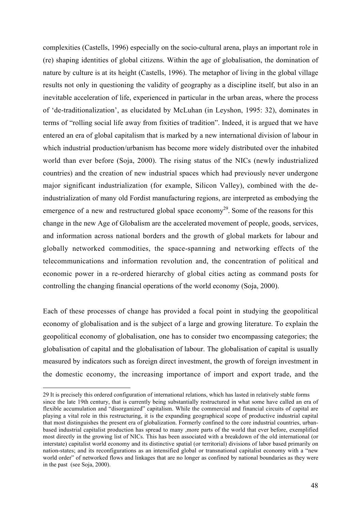complexities (Castells, 1996) especially on the socio-cultural arena, plays an important role in (re) shaping identities of global citizens. Within the age of globalisation, the domination of nature by culture is at its height (Castells, 1996). The metaphor of living in the global village results not only in questioning the validity of geography as a discipline itself, but also in an inevitable acceleration of life, experienced in particular in the urban areas, where the process of 'de-traditionalization', as elucidated by McLuhan (in Leyshon, 1995: 32), dominates in terms of "rolling social life away from fixities of tradition". Indeed, it is argued that we have entered an era of global capitalism that is marked by a new international division of labour in which industrial production/urbanism has become more widely distributed over the inhabited world than ever before (Soja, 2000). The rising status of the NICs (newly industrialized countries) and the creation of new industrial spaces which had previously never undergone major significant industrialization (for example, Silicon Valley), combined with the deindustrialization of many old Fordist manufacturing regions, are interpreted as embodying the emergence of a new and restructured global space economy<sup>29</sup>. Some of the reasons for this change in the new Age of Globalism are the accelerated movement of people, goods, services, and information across national borders and the growth of global markets for labour and globally networked commodities, the space-spanning and networking effects of the telecommunications and information revolution and, the concentration of political and economic power in a re-ordered hierarchy of global cities acting as command posts for controlling the changing financial operations of the world economy (Soja, 2000).

Each of these processes of change has provided a focal point in studying the geopolitical economy of globalisation and is the subject of a large and growing literature. To explain the geopolitical economy of globalisation, one has to consider two encompassing categories; the globalisation of capital and the globalisation of labour. The globalisation of capital is usually measured by indicators such as foreign direct investment, the growth of foreign investment in the domestic economy, the increasing importance of import and export trade, and the

 <sup>29</sup> It is precisely this ordered configuration of international relations, which has lasted in relatively stable forms since the late 19th century, that is currently being substantially restructured in what some have called an era of flexible accumulation and "disorganized" capitalism. While the commercial and financial circuits of capital are playing a vital role in this restructuring, it is the expanding geographical scope of productive industrial capital that most distinguishes the present era of globalization. Formerly confined to the core industrial countries, urbanbased industrial capitalist production has spread to many ,more parts of the world that ever before, exemplified most directly in the growing list of NICs. This has been associated with a breakdown of the old international (or interstate) capitalist world economy and its distinctive spatial (or territorial) divisions of labor based primarily on nation-states; and its reconfigurations as an intensified global or transnational capitalist economy with a "new world order" of networked flows and linkages that are no longer as confined by national boundaries as they were in the past (see Soja, 2000).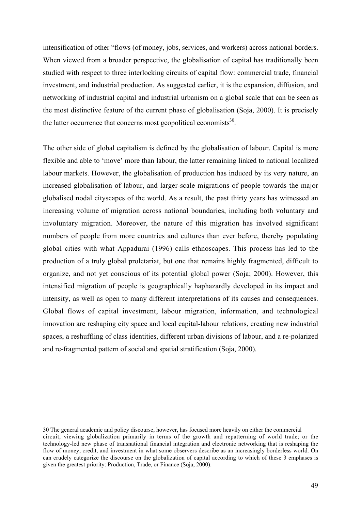intensification of other "flows (of money, jobs, services, and workers) across national borders. When viewed from a broader perspective, the globalisation of capital has traditionally been studied with respect to three interlocking circuits of capital flow: commercial trade, financial investment, and industrial production. As suggested earlier, it is the expansion, diffusion, and networking of industrial capital and industrial urbanism on a global scale that can be seen as the most distinctive feature of the current phase of globalisation (Soja, 2000). It is precisely the latter occurrence that concerns most geopolitical economists $30$ .

The other side of global capitalism is defined by the globalisation of labour. Capital is more flexible and able to 'move' more than labour, the latter remaining linked to national localized labour markets. However, the globalisation of production has induced by its very nature, an increased globalisation of labour, and larger-scale migrations of people towards the major globalised nodal cityscapes of the world. As a result, the past thirty years has witnessed an increasing volume of migration across national boundaries, including both voluntary and involuntary migration. Moreover, the nature of this migration has involved significant numbers of people from more countries and cultures than ever before, thereby populating global cities with what Appadurai (1996) calls ethnoscapes. This process has led to the production of a truly global proletariat, but one that remains highly fragmented, difficult to organize, and not yet conscious of its potential global power (Soja; 2000). However, this intensified migration of people is geographically haphazardly developed in its impact and intensity, as well as open to many different interpretations of its causes and consequences. Global flows of capital investment, labour migration, information, and technological innovation are reshaping city space and local capital-labour relations, creating new industrial spaces, a reshuffling of class identities, different urban divisions of labour, and a re-polarized and re-fragmented pattern of social and spatial stratification (Soja, 2000).

 <sup>30</sup> The general academic and policy discourse, however, has focused more heavily on either the commercial circuit, viewing globalization primarily in terms of the growth and repatterning of world trade; or the technology-led new phase of transnational financial integration and electronic networking that is reshaping the flow of money, credit, and investment in what some observers describe as an increasingly borderless world. On can crudely categorize the discourse on the globalization of capital according to which of these 3 emphases is given the greatest priority: Production, Trade, or Finance (Soja, 2000).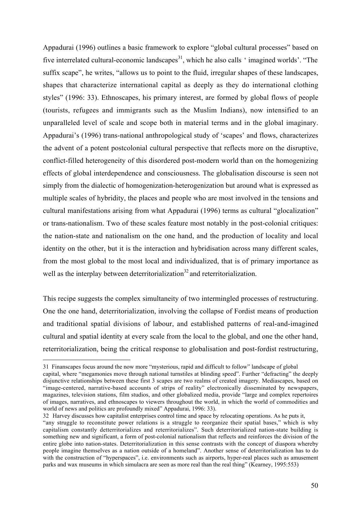Appadurai (1996) outlines a basic framework to explore "global cultural processes" based on five interrelated cultural-economic landscapes<sup>31</sup>, which he also calls ' imagined worlds'. "The suffix scape", he writes, "allows us to point to the fluid, irregular shapes of these landscapes, shapes that characterize international capital as deeply as they do international clothing styles" (1996: 33). Ethnoscapes, his primary interest, are formed by global flows of people (tourists, refugees and immigrants such as the Muslim Indians), now intensified to an unparalleled level of scale and scope both in material terms and in the global imaginary. Appadurai's (1996) trans-national anthropological study of 'scapes' and flows, characterizes the advent of a potent postcolonial cultural perspective that reflects more on the disruptive, conflict-filled heterogeneity of this disordered post-modern world than on the homogenizing effects of global interdependence and consciousness. The globalisation discourse is seen not simply from the dialectic of homogenization-heterogenization but around what is expressed as multiple scales of hybridity, the places and people who are most involved in the tensions and cultural manifestations arising from what Appadurai (1996) terms as cultural "glocalization" or trans-nationalism. Two of these scales feature most notably in the post-colonial critiques: the nation-state and nationalism on the one hand, and the production of locality and local identity on the other, but it is the interaction and hybridisation across many different scales, from the most global to the most local and individualized, that is of primary importance as well as the interplay between deterritorialization<sup>32</sup> and reterritorialization.

This recipe suggests the complex simultaneity of two intermingled processes of restructuring. One the one hand, deterritorialization, involving the collapse of Fordist means of production and traditional spatial divisions of labour, and established patterns of real-and-imagined cultural and spatial identity at every scale from the local to the global, and one the other hand, reterritorialization, being the critical response to globalisation and post-fordist restructuring,

1

<sup>31</sup> Finanscapes focus around the now more "mysterious, rapid and difficult to follow" landscape of global capital, where "megamonies move through national turnstiles at blinding speed". Further "defracting" the deeply disjunctive relationships between these first 3 scapes are two realms of created imagery. Mediascapes, based on "image-centered, narrative-based accounts of strips of reality" electronically disseminated by newspapers, magazines, television stations, film studios, and other globalized media, provide "large and complex repertoires of images, narratives, and ethnoscapes to viewers throughout the world, in which the world of commodities and world of news and politics are profoundly mixed" Appadurai, 1996: 33).

<sup>32</sup> Harvey discusses how capitalist enterprises control time and space by relocating operations. As he puts it, "any struggle to reconstitute power relations is a struggle to reorganize their spatial bases," which is why capitalism constantly detterritorializes and reterritorializes". Such deterritorialized nation-state building is something new and significant, a form of post-colonial nationalism that reflects and reinforces the division of the entire globe into nation-states. Deterritorialization in this sense contrasts with the concept of diaspora whereby people imagine themselves as a nation outside of a homeland". Another sense of deterritorialization has to do with the construction of "hyperspaces", i.e. environments such as airports, hyper-real places such as amusement parks and wax museums in which simulacra are seen as more real than the real thing" (Kearney, 1995:553)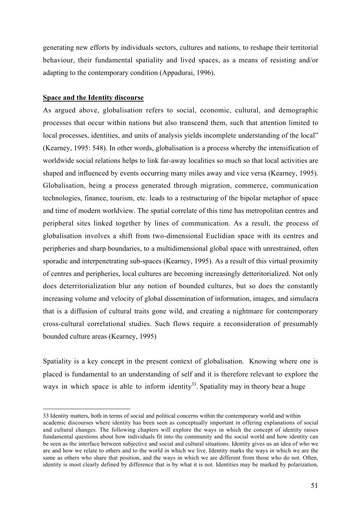generating new efforts by individuals sectors, cultures and nations, to reshape their territorial behaviour, their fundamental spatiality and lived spaces, as a means of resisting and/or adapting to the contemporary condition (Appadurai, 1996).

#### **Space and the Identity discourse**

As argued above, globalisation refers to social, economic, cultural, and demographic processes that occur within nations but also transcend them, such that attention limited to local processes, identities, and units of analysis yields incomplete understanding of the local" (Kearney, 1995: 548). In other words, globalisation is a process whereby the intensification of worldwide social relations helps to link far-away localities so much so that local activities are shaped and influenced by events occurring many miles away and vice versa (Kearney, 1995). Globalisation, being a process generated through migration, commerce, communication technologies, finance, tourism, etc. leads to a restructuring of the bipolar metaphor of space and time of modern worldview. The spatial correlate of this time has metropolitan centres and peripheral sites linked together by lines of communication. As a result, the process of globalisation involves a shift from two-dimensional Euclidian space with its centres and peripheries and sharp boundaries, to a multidimensional global space with unrestrained, often sporadic and interpenetrating sub-spaces (Kearney, 1995). As a result of this virtual proximity of centres and peripheries, local cultures are becoming increasingly detteritorialized. Not only does deterritorialization blur any notion of bounded cultures, but so does the constantly increasing volume and velocity of global dissemination of information, images, and simulacra that is a diffusion of cultural traits gone wild, and creating a nightmare for contemporary cross-cultural correlational studies. Such flows require a reconsideration of presumably bounded culture areas (Kearney, 1995)

Spatiality is a key concept in the present context of globalisation. Knowing where one is placed is fundamental to an understanding of self and it is therefore relevant to explore the ways in which space is able to inform identity<sup>33</sup>. Spatiality may in theory bear a huge

 <sup>33</sup> Identity matters, both in terms of social and political concerns within the contemporary world and within academic discourses where identity has been seen as conceptually important in offering explanations of social and cultural changes. The following chapters will explore the ways in which the concept of identity raises fundamental questions about how individuals fit into the community and the social world and how identity can be seen as the interface between subjective and social and cultural situations. Identity gives us an idea of who we are and how we relate to others and to the world in which we live. Identity marks the ways in which we are the same as others who share that position, and the ways in which we are different from those who do not. Often, identity is most clearly defined by difference that is by what it is not. Identities may be marked by polarization,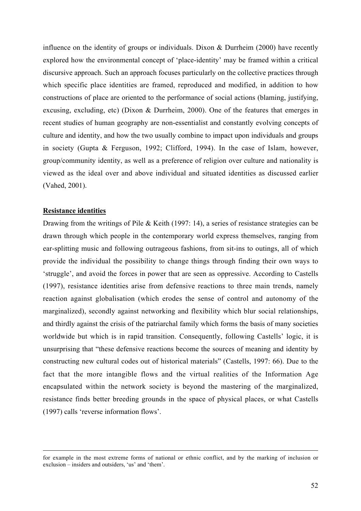influence on the identity of groups or individuals. Dixon & Durrheim (2000) have recently explored how the environmental concept of 'place-identity' may be framed within a critical discursive approach. Such an approach focuses particularly on the collective practices through which specific place identities are framed, reproduced and modified, in addition to how constructions of place are oriented to the performance of social actions (blaming, justifying, excusing, excluding, etc) (Dixon & Durrheim, 2000). One of the features that emerges in recent studies of human geography are non-essentialist and constantly evolving concepts of culture and identity, and how the two usually combine to impact upon individuals and groups in society (Gupta & Ferguson, 1992; Clifford, 1994). In the case of Islam, however, group/community identity, as well as a preference of religion over culture and nationality is viewed as the ideal over and above individual and situated identities as discussed earlier (Vahed, 2001).

#### **Resistance identities**

Drawing from the writings of Pile & Keith (1997: 14), a series of resistance strategies can be drawn through which people in the contemporary world express themselves, ranging from ear-splitting music and following outrageous fashions, from sit-ins to outings, all of which provide the individual the possibility to change things through finding their own ways to 'struggle', and avoid the forces in power that are seen as oppressive. According to Castells (1997), resistance identities arise from defensive reactions to three main trends, namely reaction against globalisation (which erodes the sense of control and autonomy of the marginalized), secondly against networking and flexibility which blur social relationships, and thirdly against the crisis of the patriarchal family which forms the basis of many societies worldwide but which is in rapid transition. Consequently, following Castells' logic, it is unsurprising that "these defensive reactions become the sources of meaning and identity by constructing new cultural codes out of historical materials" (Castells, 1997: 66). Due to the fact that the more intangible flows and the virtual realities of the Information Age encapsulated within the network society is beyond the mastering of the marginalized, resistance finds better breeding grounds in the space of physical places, or what Castells (1997) calls 'reverse information flows'.

for example in the most extreme forms of national or ethnic conflict, and by the marking of inclusion or exclusion – insiders and outsiders, 'us' and 'them'.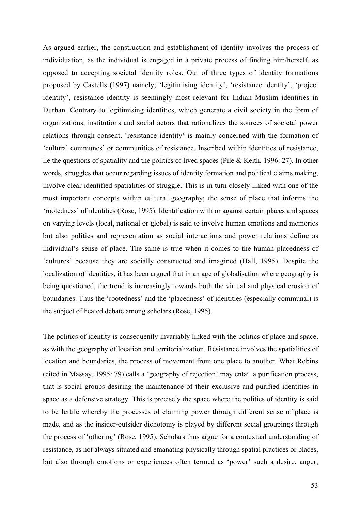As argued earlier, the construction and establishment of identity involves the process of individuation, as the individual is engaged in a private process of finding him/herself, as opposed to accepting societal identity roles. Out of three types of identity formations proposed by Castells (1997) namely; 'legitimising identity', 'resistance identity', 'project identity', resistance identity is seemingly most relevant for Indian Muslim identities in Durban. Contrary to legitimising identities, which generate a civil society in the form of organizations, institutions and social actors that rationalizes the sources of societal power relations through consent, 'resistance identity' is mainly concerned with the formation of 'cultural communes' or communities of resistance. Inscribed within identities of resistance, lie the questions of spatiality and the politics of lived spaces (Pile & Keith, 1996: 27). In other words, struggles that occur regarding issues of identity formation and political claims making, involve clear identified spatialities of struggle. This is in turn closely linked with one of the most important concepts within cultural geography; the sense of place that informs the 'rootedness' of identities (Rose, 1995). Identification with or against certain places and spaces on varying levels (local, national or global) is said to involve human emotions and memories but also politics and representation as social interactions and power relations define as individual's sense of place. The same is true when it comes to the human placedness of 'cultures' because they are socially constructed and imagined (Hall, 1995). Despite the localization of identities, it has been argued that in an age of globalisation where geography is being questioned, the trend is increasingly towards both the virtual and physical erosion of boundaries. Thus the 'rootedness' and the 'placedness' of identities (especially communal) is the subject of heated debate among scholars (Rose, 1995).

The politics of identity is consequently invariably linked with the politics of place and space, as with the geography of location and territorialization. Resistance involves the spatialities of location and boundaries, the process of movement from one place to another. What Robins (cited in Massay, 1995: 79) calls a 'geography of rejection' may entail a purification process, that is social groups desiring the maintenance of their exclusive and purified identities in space as a defensive strategy. This is precisely the space where the politics of identity is said to be fertile whereby the processes of claiming power through different sense of place is made, and as the insider-outsider dichotomy is played by different social groupings through the process of 'othering' (Rose, 1995). Scholars thus argue for a contextual understanding of resistance, as not always situated and emanating physically through spatial practices or places, but also through emotions or experiences often termed as 'power' such a desire, anger,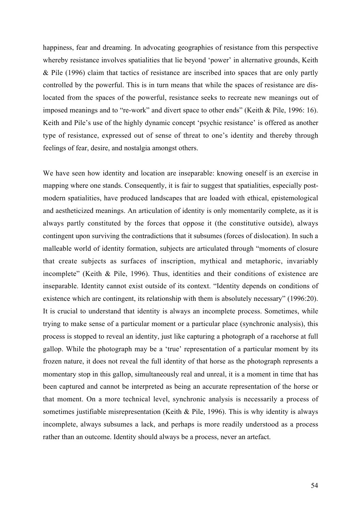happiness, fear and dreaming. In advocating geographies of resistance from this perspective whereby resistance involves spatialities that lie beyond 'power' in alternative grounds, Keith & Pile (1996) claim that tactics of resistance are inscribed into spaces that are only partly controlled by the powerful. This is in turn means that while the spaces of resistance are dislocated from the spaces of the powerful, resistance seeks to recreate new meanings out of imposed meanings and to "re-work" and divert space to other ends" (Keith & Pile, 1996: 16). Keith and Pile's use of the highly dynamic concept 'psychic resistance' is offered as another type of resistance, expressed out of sense of threat to one's identity and thereby through feelings of fear, desire, and nostalgia amongst others.

We have seen how identity and location are inseparable: knowing oneself is an exercise in mapping where one stands. Consequently, it is fair to suggest that spatialities, especially postmodern spatialities, have produced landscapes that are loaded with ethical, epistemological and aestheticized meanings. An articulation of identity is only momentarily complete, as it is always partly constituted by the forces that oppose it (the constitutive outside), always contingent upon surviving the contradictions that it subsumes (forces of dislocation). In such a malleable world of identity formation, subjects are articulated through "moments of closure that create subjects as surfaces of inscription, mythical and metaphoric, invariably incomplete" (Keith & Pile, 1996). Thus, identities and their conditions of existence are inseparable. Identity cannot exist outside of its context. "Identity depends on conditions of existence which are contingent, its relationship with them is absolutely necessary" (1996:20). It is crucial to understand that identity is always an incomplete process. Sometimes, while trying to make sense of a particular moment or a particular place (synchronic analysis), this process is stopped to reveal an identity, just like capturing a photograph of a racehorse at full gallop. While the photograph may be a 'true' representation of a particular moment by its frozen nature, it does not reveal the full identity of that horse as the photograph represents a momentary stop in this gallop, simultaneously real and unreal, it is a moment in time that has been captured and cannot be interpreted as being an accurate representation of the horse or that moment. On a more technical level, synchronic analysis is necessarily a process of sometimes justifiable misrepresentation (Keith & Pile, 1996). This is why identity is always incomplete, always subsumes a lack, and perhaps is more readily understood as a process rather than an outcome. Identity should always be a process, never an artefact.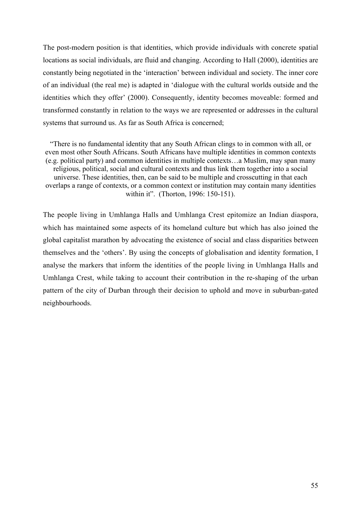The post-modern position is that identities, which provide individuals with concrete spatial locations as social individuals, are fluid and changing. According to Hall (2000), identities are constantly being negotiated in the 'interaction' between individual and society. The inner core of an individual (the real me) is adapted in 'dialogue with the cultural worlds outside and the identities which they offer' (2000). Consequently, identity becomes moveable: formed and transformed constantly in relation to the ways we are represented or addresses in the cultural systems that surround us. As far as South Africa is concerned;

"There is no fundamental identity that any South African clings to in common with all, or even most other South Africans. South Africans have multiple identities in common contexts (e.g. political party) and common identities in multiple contexts…a Muslim, may span many religious, political, social and cultural contexts and thus link them together into a social universe. These identities, then, can be said to be multiple and crosscutting in that each overlaps a range of contexts, or a common context or institution may contain many identities within it". (Thorton, 1996: 150-151).

The people living in Umhlanga Halls and Umhlanga Crest epitomize an Indian diaspora, which has maintained some aspects of its homeland culture but which has also joined the global capitalist marathon by advocating the existence of social and class disparities between themselves and the 'others'. By using the concepts of globalisation and identity formation, I analyse the markers that inform the identities of the people living in Umhlanga Halls and Umhlanga Crest, while taking to account their contribution in the re-shaping of the urban pattern of the city of Durban through their decision to uphold and move in suburban-gated neighbourhoods.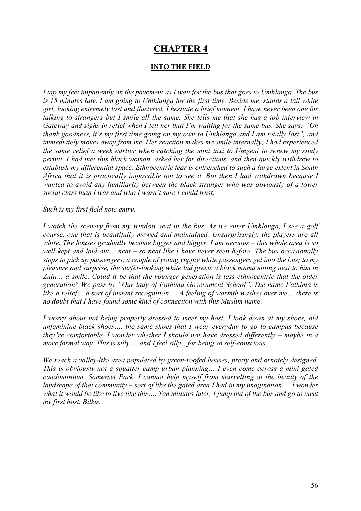# **CHAPTER 4**

# **INTO THE FIELD**

*I tap my feet impatiently on the pavement as I wait for the bus that goes to Umhlanga. The bus is 15 minutes late. I am going to Umhlanga for the first time. Beside me, stands a tall white girl, looking extremely lost and flustered. I hesitate a brief moment, I have never been one for talking to strangers but I smile all the same. She tells me that she has a job interview in Gateway and sighs in relief when I tell her that I'm waiting for the same bus. She says: "Oh thank goodness, it's my first time going on my own to Umhlanga and I am totally lost", and immediately moves away from me. Her reaction makes me smile internally; I had experienced the same relief a week earlier when catching the mini taxi to Umgeni to renew my study permit. I had met this black woman, asked her for directions, and then quickly withdrew to establish my differential space. Ethnocentric fear is entrenched to such a large extent in South Africa that it is practically impossible not to see it. But then I had withdrawn because I wanted to avoid any familiarity between the black stranger who was obviously of a lower social class than I was and who I wasn't sure I could trust.*

*Such is my first field note entry.*

*I watch the scenery from my window seat in the bus. As we enter Umhlanga, I see a golf course, one that is beautifully mowed and maintained. Unsurprisingly, the players are all white. The houses gradually become bigger and bigger. I am nervous – this whole area is so well kept and laid out… neat – so neat like I have never seen before. The bus occasionally stops to pick up passengers, a couple of young yuppie white passengers get into the bus; to my pleasure and surprise, the surfer-looking white lad greets a black mama sitting next to him in Zulu… a smile. Could it be that the younger generation is less ethnocentric that the older generation? We pass by "Our lady of Fathima Government School". The name Fathima is like a relief… a sort of instant recognition…. A feeling of warmth washes over me… there is no doubt that I have found some kind of connection with this Muslim name.*

*I worry about not being properly dressed to meet my host, I look down at my shoes, old unfeminine black shoes…. the same shoes that I wear everyday to go to campus because they're comfortable. I wonder whether I should not have dressed differently – maybe in a more formal way. This is silly…. and I feel silly…for being so self-conscious.*

*We reach a valley-like area populated by green-roofed houses, pretty and ornately designed. This is obviously not a squatter camp urban planning… I even come across a mini gated condominium. Somerset Park, I cannot help myself from marvelling at the beauty of the landscape of that community – sort of like the gated area I had in my imagination…. I wonder what it would be like to live like this…. Ten minutes later, I jump out of the bus and go to meet my first host. Bilkis.*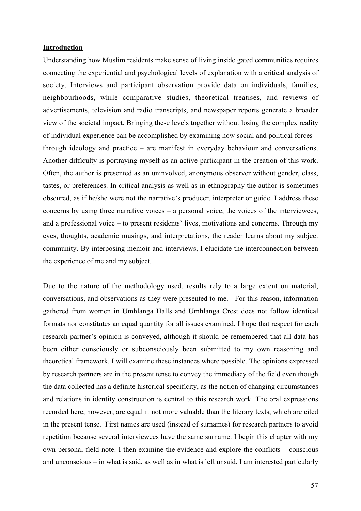#### **Introduction**

Understanding how Muslim residents make sense of living inside gated communities requires connecting the experiential and psychological levels of explanation with a critical analysis of society. Interviews and participant observation provide data on individuals, families, neighbourhoods, while comparative studies, theoretical treatises, and reviews of advertisements, television and radio transcripts, and newspaper reports generate a broader view of the societal impact. Bringing these levels together without losing the complex reality of individual experience can be accomplished by examining how social and political forces – through ideology and practice – are manifest in everyday behaviour and conversations. Another difficulty is portraying myself as an active participant in the creation of this work. Often, the author is presented as an uninvolved, anonymous observer without gender, class, tastes, or preferences. In critical analysis as well as in ethnography the author is sometimes obscured, as if he/she were not the narrative's producer, interpreter or guide. I address these concerns by using three narrative voices – a personal voice, the voices of the interviewees, and a professional voice – to present residents' lives, motivations and concerns. Through my eyes, thoughts, academic musings, and interpretations, the reader learns about my subject community. By interposing memoir and interviews, I elucidate the interconnection between the experience of me and my subject.

Due to the nature of the methodology used, results rely to a large extent on material, conversations, and observations as they were presented to me. For this reason, information gathered from women in Umhlanga Halls and Umhlanga Crest does not follow identical formats nor constitutes an equal quantity for all issues examined. I hope that respect for each research partner's opinion is conveyed, although it should be remembered that all data has been either consciously or subconsciously been submitted to my own reasoning and theoretical framework. I will examine these instances where possible. The opinions expressed by research partners are in the present tense to convey the immediacy of the field even though the data collected has a definite historical specificity, as the notion of changing circumstances and relations in identity construction is central to this research work. The oral expressions recorded here, however, are equal if not more valuable than the literary texts, which are cited in the present tense. First names are used (instead of surnames) for research partners to avoid repetition because several interviewees have the same surname. I begin this chapter with my own personal field note. I then examine the evidence and explore the conflicts – conscious and unconscious – in what is said, as well as in what is left unsaid. I am interested particularly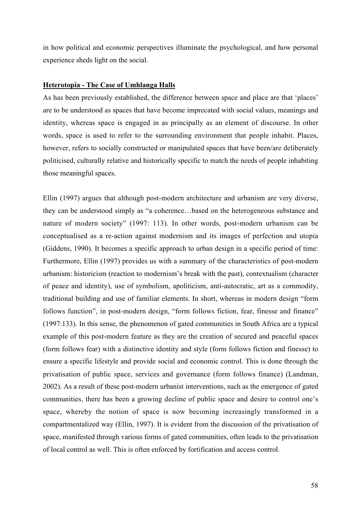in how political and economic perspectives illuminate the psychological, and how personal experience sheds light on the social.

#### **Heterotopia - The Case of Umhlanga Halls**

As has been previously established, the difference between space and place are that 'places' are to be understood as spaces that have become imprecated with social values, meanings and identity, whereas space is engaged in as principally as an element of discourse. In other words, space is used to refer to the surrounding environment that people inhabit. Places, however, refers to socially constructed or manipulated spaces that have been/are deliberately politicised, culturally relative and historically specific to match the needs of people inhabiting those meaningful spaces.

Ellin (1997) argues that although post-modern architecture and urbanism are very diverse, they can be understood simply as "a coherence…based on the heterogeneous substance and nature of modern society" (1997: 113). In other words, post-modern urbanism can be conceptualised as a re-action against modernism and its images of perfection and utopia (Giddens, 1990). It becomes a specific approach to urban design in a specific period of time: Furthermore, Ellin (1997) provides us with a summary of the characteristics of post-modern urbanism: historicism (reaction to modernism's break with the past), contextualism (character of peace and identity), use of symbolism, apoliticism, anti-autocratic, art as a commodity, traditional building and use of familiar elements. In short, whereas in modern design "form follows function", in post-modern design, "form follows fiction, fear, finesse and finance" (1997:133). In this sense, the phenomenon of gated communities in South Africa are a typical example of this post-modern feature as they are the creation of secured and peaceful spaces (form follows fear) with a distinctive identity and style (form follows fiction and finesse) to ensure a specific lifestyle and provide social and economic control. This is done through the privatisation of public space, services and governance (form follows finance) (Landman, 2002). As a result of these post-modern urbanist interventions, such as the emergence of gated communities, there has been a growing decline of public space and desire to control one's space, whereby the notion of space is now becoming increasingly transformed in a compartmentalized way (Ellin, 1997). It is evident from the discussion of the privatisation of space, manifested through various forms of gated communities, often leads to the privatisation of local control as well. This is often enforced by fortification and access control.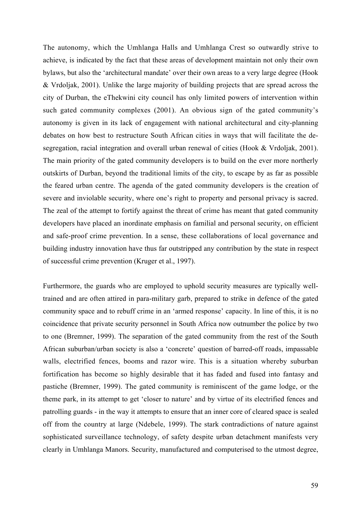The autonomy, which the Umhlanga Halls and Umhlanga Crest so outwardly strive to achieve, is indicated by the fact that these areas of development maintain not only their own bylaws, but also the 'architectural mandate' over their own areas to a very large degree (Hook & Vrdoljak, 2001). Unlike the large majority of building projects that are spread across the city of Durban, the eThekwini city council has only limited powers of intervention within such gated community complexes (2001). An obvious sign of the gated community's autonomy is given in its lack of engagement with national architectural and city-planning debates on how best to restructure South African cities in ways that will facilitate the desegregation, racial integration and overall urban renewal of cities (Hook & Vrdoljak, 2001). The main priority of the gated community developers is to build on the ever more northerly outskirts of Durban, beyond the traditional limits of the city, to escape by as far as possible the feared urban centre. The agenda of the gated community developers is the creation of severe and inviolable security, where one's right to property and personal privacy is sacred. The zeal of the attempt to fortify against the threat of crime has meant that gated community developers have placed an inordinate emphasis on familial and personal security, on efficient and safe-proof crime prevention. In a sense, these collaborations of local governance and building industry innovation have thus far outstripped any contribution by the state in respect of successful crime prevention (Kruger et al., 1997).

Furthermore, the guards who are employed to uphold security measures are typically welltrained and are often attired in para-military garb, prepared to strike in defence of the gated community space and to rebuff crime in an 'armed response' capacity. In line of this, it is no coincidence that private security personnel in South Africa now outnumber the police by two to one (Bremner, 1999). The separation of the gated community from the rest of the South African suburban/urban society is also a 'concrete' question of barred-off roads, impassable walls, electrified fences, booms and razor wire. This is a situation whereby suburban fortification has become so highly desirable that it has faded and fused into fantasy and pastiche (Bremner, 1999). The gated community is reminiscent of the game lodge, or the theme park, in its attempt to get 'closer to nature' and by virtue of its electrified fences and patrolling guards - in the way it attempts to ensure that an inner core of cleared space is sealed off from the country at large (Ndebele, 1999). The stark contradictions of nature against sophisticated surveillance technology, of safety despite urban detachment manifests very clearly in Umhlanga Manors. Security, manufactured and computerised to the utmost degree,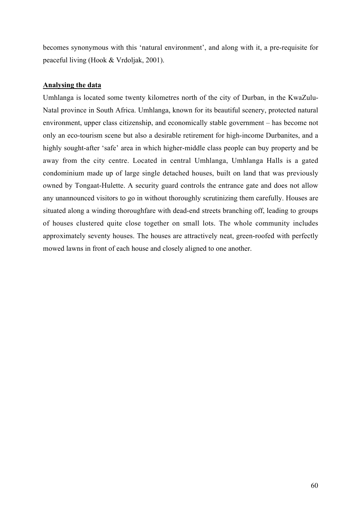becomes synonymous with this 'natural environment', and along with it, a pre-requisite for peaceful living (Hook & Vrdoljak, 2001).

## **Analysing the data**

Umhlanga is located some twenty kilometres north of the city of Durban, in the KwaZulu-Natal province in South Africa. Umhlanga, known for its beautiful scenery, protected natural environment, upper class citizenship, and economically stable government – has become not only an eco-tourism scene but also a desirable retirement for high-income Durbanites, and a highly sought-after 'safe' area in which higher-middle class people can buy property and be away from the city centre. Located in central Umhlanga, Umhlanga Halls is a gated condominium made up of large single detached houses, built on land that was previously owned by Tongaat-Hulette. A security guard controls the entrance gate and does not allow any unannounced visitors to go in without thoroughly scrutinizing them carefully. Houses are situated along a winding thoroughfare with dead-end streets branching off, leading to groups of houses clustered quite close together on small lots. The whole community includes approximately seventy houses. The houses are attractively neat, green-roofed with perfectly mowed lawns in front of each house and closely aligned to one another.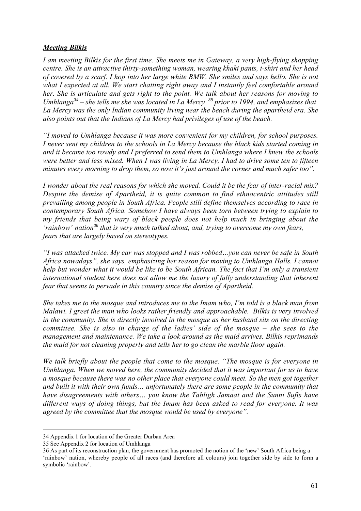# *Meeting Bilkis*

*I am meeting Bilkis for the first time. She meets me in Gateway, a very high-flying shopping centre. She is an attractive thirty-something woman, wearing khaki pants, t-shirt and her head of covered by a scarf. I hop into her large white BMW. She smiles and says hello. She is not what I expected at all. We start chatting right away and I instantly feel comfortable around her. She is articulate and gets right to the point. We talk about her reasons for moving to Umhlanga<sup>34</sup> – she tells me she was located in La Mercy <sup>35</sup> prior to 1994, and emphasizes that La Mercy was the only Indian community living near the beach during the apartheid era. She also points out that the Indians of La Mercy had privileges of use of the beach.*

*"I moved to Umhlanga because it was more convenient for my children, for school purposes. I never sent my children to the schools in La Mercy because the black kids started coming in and it became too rowdy and I preferred to send them to Umhlanga where I knew the schools were better and less mixed. When I was living in La Mercy, I had to drive some ten to fifteen minutes every morning to drop them, so now it's just around the corner and much safer too".*

*I wonder about the real reasons for which she moved. Could it be the fear of inter-racial mix? Despite the demise of Apartheid, it is quite common to find ethnocentric attitudes still prevailing among people in South Africa. People still define themselves according to race in contemporary South Africa. Somehow I have always been torn between trying to explain to my friends that being wary of black people does not help much in bringing about the 'rainbow' nation*<sup>36</sup> *that is very much talked about, and, trying to overcome my own fears, fears that are largely based on stereotypes.*

*"I was attacked twice. My car was stopped and I was robbed…you can never be safe in South Africa nowadays", she says, emphasizing her reason for moving to Umhlanga Halls. I cannot help but wonder what it would be like to be South African. The fact that I'm only a transient international student here does not allow me the luxury of fully understanding that inherent fear that seems to pervade in this country since the demise of Apartheid.*

*She takes me to the mosque and introduces me to the Imam who, I'm told is a black man from Malawi. I greet the man who looks rather friendly and approachable. Bilkis is very involved in the community. She is directly involved in the mosque as her husband sits on the directing committee. She is also in charge of the ladies' side of the mosque – she sees to the management and maintenance. We take a look around as the maid arrives. Bilkis reprimands the maid for not cleaning properly and tells her to go clean the marble floor again.*

*We talk briefly about the people that come to the mosque. "The mosque is for everyone in Umhlanga. When we moved here, the community decided that it was important for us to have a mosque because there was no other place that everyone could meet. So the men got together and built it with their own funds… unfortunately there are some people in the community that have disagreements with others… you know the Tabligh Jamaat and the Sunni Sufis have different ways of doing things, but the Imam has been asked to read for everyone. It was agreed by the committee that the mosque would be used by everyone".*

<u>.</u>

<sup>34</sup> Appendix 1 for location of the Greater Durban Area

<sup>35</sup> See Appendix 2 for location of Umhlanga

<sup>36</sup> As part of its reconstruction plan, the government has promoted the notion of the 'new' South Africa being a 'rainbow' nation, whereby people of all races (and therefore all colours) join together side by side to form a symbolic 'rainbow'.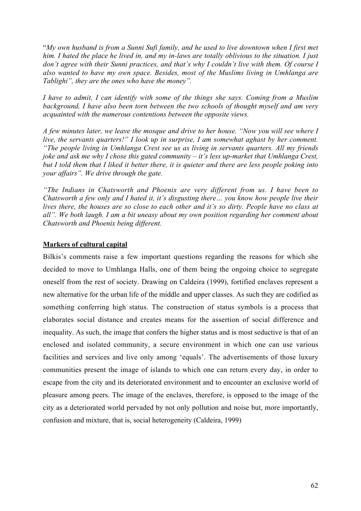"*My own husband is from a Sunni Sufi family, and he used to live downtown when I first met him. I hated the place he lived in, and my in-laws are totally oblivious to the situation. I just don't agree with their Sunni practices, and that's why I couldn't live with them. Of course I also wanted to have my own space. Besides, most of the Muslims living in Umhlanga are Tablighi", they are the ones who have the money".*

*I have to admit, I can identify with some of the things she says. Coming from a Muslim background, I have also been torn between the two schools of thought myself and am very acquainted with the numerous contentions between the opposite views.*

*A few minutes later, we leave the mosque and drive to her house. "Now you will see where I live, the servants quarters!" I look up in surprise, I am somewhat aghast by her comment. "The people living in Umhlanga Crest see us as living in servants quarters. All my friends joke and ask me why I chose this gated community – it's less up-market that Umhlanga Crest, but I told them that I liked it better there, it is quieter and there are less people poking into your affairs". We drive through the gate.*

*"The Indians in Chatsworth and Phoenix are very different from us. I have been to Chatsworth a few only and I hated it, it's disgusting there… you know how people live their lives there, the houses are so close to each other and it's so dirty. People have no class at all". We both laugh. I am a bit uneasy about my own position regarding her comment about Chatsworth and Phoenix being different.*

## **Markers of cultural capital**

Bilkis's comments raise a few important questions regarding the reasons for which she decided to move to Umhlanga Halls, one of them being the ongoing choice to segregate oneself from the rest of society. Drawing on Caldeira (1999), fortified enclaves represent a new alternative for the urban life of the middle and upper classes. As such they are codified as something conferring high status. The construction of status symbols is a process that elaborates social distance and creates means for the assertion of social difference and inequality. As such, the image that confers the higher status and is most seductive is that of an enclosed and isolated community, a secure environment in which one can use various facilities and services and live only among 'equals'. The advertisements of those luxury communities present the image of islands to which one can return every day, in order to escape from the city and its deteriorated environment and to encounter an exclusive world of pleasure among peers. The image of the enclaves, therefore, is opposed to the image of the city as a deteriorated world pervaded by not only pollution and noise but, more importantly, confusion and mixture, that is, social heterogeneity (Caldeira, 1999)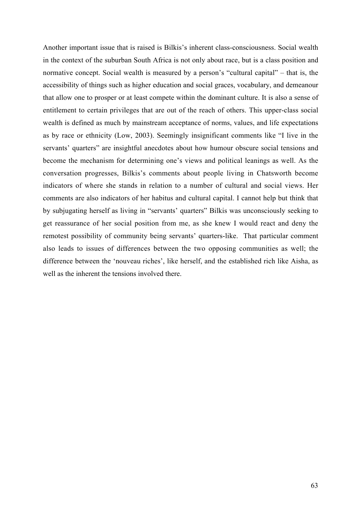Another important issue that is raised is Bilkis's inherent class-consciousness. Social wealth in the context of the suburban South Africa is not only about race, but is a class position and normative concept. Social wealth is measured by a person's "cultural capital" – that is, the accessibility of things such as higher education and social graces, vocabulary, and demeanour that allow one to prosper or at least compete within the dominant culture. It is also a sense of entitlement to certain privileges that are out of the reach of others. This upper-class social wealth is defined as much by mainstream acceptance of norms, values, and life expectations as by race or ethnicity (Low, 2003). Seemingly insignificant comments like "I live in the servants' quarters" are insightful anecdotes about how humour obscure social tensions and become the mechanism for determining one's views and political leanings as well. As the conversation progresses, Bilkis's comments about people living in Chatsworth become indicators of where she stands in relation to a number of cultural and social views. Her comments are also indicators of her habitus and cultural capital. I cannot help but think that by subjugating herself as living in "servants' quarters" Bilkis was unconsciously seeking to get reassurance of her social position from me, as she knew I would react and deny the remotest possibility of community being servants' quarters-like. That particular comment also leads to issues of differences between the two opposing communities as well; the difference between the 'nouveau riches', like herself, and the established rich like Aisha, as well as the inherent the tensions involved there.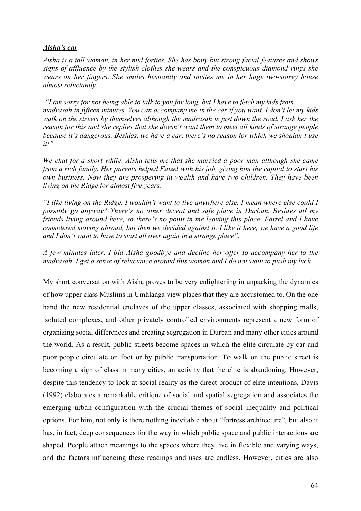#### *Aisha's car*

*Aisha is a tall woman, in her mid forties. She has bony but strong facial features and shows signs of affluence by the stylish clothes she wears and the conspicuous diamond rings she wears on her fingers. She smiles hesitantly and invites me in her huge two-storey house almost reluctantly.*

 *"I am sorry for not being able to talk to you for long, but I have to fetch my kids from madrasah in fifteen minutes. You can accompany me in the car if you want. I don't let my kids walk on the streets by themselves although the madrasah is just down the road. I ask her the reason for this and she replies that she doesn't want them to meet all kinds of strange people because it's dangerous. Besides, we have a car, there's no reason for which we shouldn't use it!"*

*We chat for a short while. Aisha tells me that she married a poor man although she came from a rich family. Her parents helped Faizel with his job, giving him the capital to start his own business. Now they are prospering in wealth and have two children. They have been living on the Ridge for almost five years.*

*"I like living on the Ridge. I wouldn't want to live anywhere else. I mean where else could I possibly go anyway? There's no other decent and safe place in Durban. Besides all my friends living around here, so there's no point in me leaving this place. Faizel and I have considered moving abroad, but then we decided against it. I like it here, we have a good life and I don't want to have to start all over again in a strange place".*

*A few minutes later, I bid Aisha goodbye and decline her offer to accompany her to the madrasah. I get a sense of reluctance around this woman and I do not want to push my luck.*

My short conversation with Aisha proves to be very enlightening in unpacking the dynamics of how upper class Muslims in Umhlanga view places that they are accustomed to. On the one hand the new residential enclaves of the upper classes, associated with shopping malls, isolated complexes, and other privately controlled environments represent a new form of organizing social differences and creating segregation in Durban and many other cities around the world. As a result, public streets become spaces in which the elite circulate by car and poor people circulate on foot or by public transportation. To walk on the public street is becoming a sign of class in many cities, an activity that the elite is abandoning. However, despite this tendency to look at social reality as the direct product of elite intentions, Davis (1992) elaborates a remarkable critique of social and spatial segregation and associates the emerging urban configuration with the crucial themes of social inequality and political options. For him, not only is there nothing inevitable about "fortress architecture", but also it has, in fact, deep consequences for the way in which public space and public interactions are shaped. People attach meanings to the spaces where they live in flexible and varying ways, and the factors influencing these readings and uses are endless. However, cities are also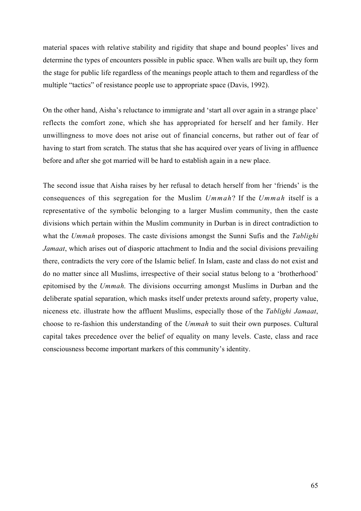material spaces with relative stability and rigidity that shape and bound peoples' lives and determine the types of encounters possible in public space. When walls are built up, they form the stage for public life regardless of the meanings people attach to them and regardless of the multiple "tactics" of resistance people use to appropriate space (Davis, 1992).

On the other hand, Aisha's reluctance to immigrate and 'start all over again in a strange place' reflects the comfort zone, which she has appropriated for herself and her family. Her unwillingness to move does not arise out of financial concerns, but rather out of fear of having to start from scratch. The status that she has acquired over years of living in affluence before and after she got married will be hard to establish again in a new place.

The second issue that Aisha raises by her refusal to detach herself from her 'friends' is the consequences of this segregation for the Muslim *Ummah*? If the *Ummah* itself is a representative of the symbolic belonging to a larger Muslim community, then the caste divisions which pertain within the Muslim community in Durban is in direct contradiction to what the *Ummah* proposes. The caste divisions amongst the Sunni Sufis and the *Tablighi Jamaat*, which arises out of diasporic attachment to India and the social divisions prevailing there, contradicts the very core of the Islamic belief. In Islam, caste and class do not exist and do no matter since all Muslims, irrespective of their social status belong to a 'brotherhood' epitomised by the *Ummah*. The divisions occurring amongst Muslims in Durban and the deliberate spatial separation, which masks itself under pretexts around safety, property value, niceness etc. illustrate how the affluent Muslims, especially those of the *Tablighi Jamaat*, choose to re-fashion this understanding of the *Ummah* to suit their own purposes. Cultural capital takes precedence over the belief of equality on many levels. Caste, class and race consciousness become important markers of this community's identity.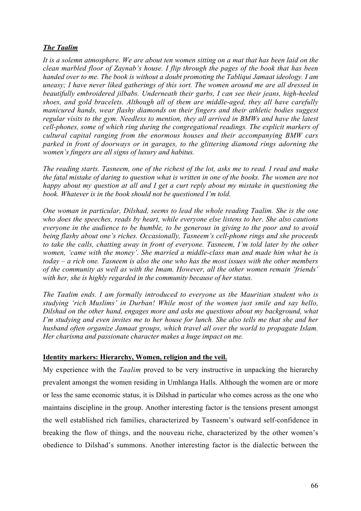# *The Taalim*

*It is a solemn atmosphere. We are about ten women sitting on a mat that has been laid on the clean marbled floor of Zaynab's house. I flip through the pages of the book that has been handed over to me. The book is without a doubt promoting the Tabliqui Jamaat ideology. I am uneasy; I have never liked gatherings of this sort. The women around me are all dressed in beautifully embroidered jilbabs. Underneath their garbs, I can see their jeans, high-heeled shoes, and gold bracelets. Although all of them are middle-aged, they all have carefully manicured hands, wear flashy diamonds on their fingers and their athletic bodies suggest regular visits to the gym. Needless to mention, they all arrived in BMWs and have the latest cell-phones, some of which ring during the congregational readings. The explicit markers of cultural capital ranging from the enormous houses and their accompanying BMW cars parked in front of doorways or in garages, to the glittering diamond rings adorning the women's fingers are all signs of luxury and habitus.*

*The reading starts. Tasneem, one of the richest of the lot, asks me to read. I read and make the fatal mistake of daring to question what is written in one of the books. The women are not happy about my question at all and I get a curt reply about my mistake in questioning the book. Whatever is in the book should not be questioned I'm told.*

*One woman in particular, Dilshad, seems to lead the whole reading Taalim. She is the one who does the speeches, reads by heart, while everyone else listens to her. She also cautions everyone in the audience to be humble, to be generous in giving to the poor and to avoid being flashy about one's riches. Occasionally, Tasneem's cell-phone rings and she proceeds to take the calls, chatting away in front of everyone. Tasneem, I'm told later by the other women, 'came with the money'. She married a middle-class man and made him what he is today – a rich one. Tasneem is also the one who has the most issues with the other members of the community as well as with the Imam. However, all the other women remain 'friends' with her, she is highly regarded in the community because of her status.*

*The Taalim ends. I am formally introduced to everyone as the Mauritian student who is studying 'rich Muslims' in Durban! While most of the women just smile and say hello, Dilshad on the other hand, engages more and asks me questions about my background, what I'm studying and even invites me to her house for lunch. She also tells me that she and her husband often organize Jamaat groups, which travel all over the world to propagate Islam. Her charisma and passionate character makes a huge impact on me.*

## **Identity markers: Hierarchy, Women, religion and the veil.**

My experience with the *Taalim* proved to be very instructive in unpacking the hierarchy prevalent amongst the women residing in Umhlanga Halls. Although the women are or more or less the same economic status, it is Dilshad in particular who comes across as the one who maintains discipline in the group. Another interesting factor is the tensions present amongst the well established rich families, characterized by Tasneem's outward self-confidence in breaking the flow of things, and the nouveau riche, characterized by the other women's obedience to Dilshad's summons. Another interesting factor is the dialectic between the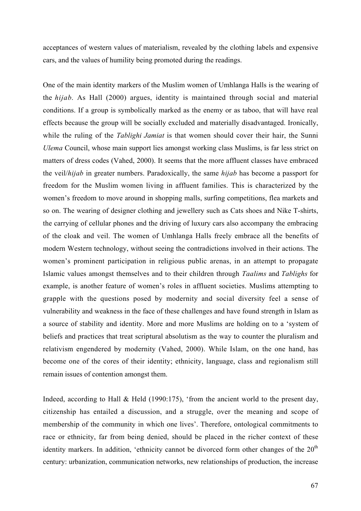acceptances of western values of materialism, revealed by the clothing labels and expensive cars, and the values of humility being promoted during the readings.

One of the main identity markers of the Muslim women of Umhlanga Halls is the wearing of the *hijab*. As Hall (2000) argues, identity is maintained through social and material conditions. If a group is symbolically marked as the enemy or as taboo, that will have real effects because the group will be socially excluded and materially disadvantaged. Ironically, while the ruling of the *Tablighi Jamiat* is that women should cover their hair, the Sunni *Ulema* Council, whose main support lies amongst working class Muslims, is far less strict on matters of dress codes (Vahed, 2000). It seems that the more affluent classes have embraced the veil/*hijab* in greater numbers. Paradoxically, the same *hijab* has become a passport for freedom for the Muslim women living in affluent families. This is characterized by the women's freedom to move around in shopping malls, surfing competitions, flea markets and so on. The wearing of designer clothing and jewellery such as Cats shoes and Nike T-shirts, the carrying of cellular phones and the driving of luxury cars also accompany the embracing of the cloak and veil. The women of Umhlanga Halls freely embrace all the benefits of modern Western technology, without seeing the contradictions involved in their actions. The women's prominent participation in religious public arenas, in an attempt to propagate Islamic values amongst themselves and to their children through *Taalims* and *Tablighs* for example, is another feature of women's roles in affluent societies. Muslims attempting to grapple with the questions posed by modernity and social diversity feel a sense of vulnerability and weakness in the face of these challenges and have found strength in Islam as a source of stability and identity. More and more Muslims are holding on to a 'system of beliefs and practices that treat scriptural absolutism as the way to counter the pluralism and relativism engendered by modernity (Vahed, 2000). While Islam, on the one hand, has become one of the cores of their identity; ethnicity, language, class and regionalism still remain issues of contention amongst them.

Indeed, according to Hall & Held (1990:175), 'from the ancient world to the present day, citizenship has entailed a discussion, and a struggle, over the meaning and scope of membership of the community in which one lives'. Therefore, ontological commitments to race or ethnicity, far from being denied, should be placed in the richer context of these identity markers. In addition, 'ethnicity cannot be divorced form other changes of the  $20<sup>th</sup>$ century: urbanization, communication networks, new relationships of production, the increase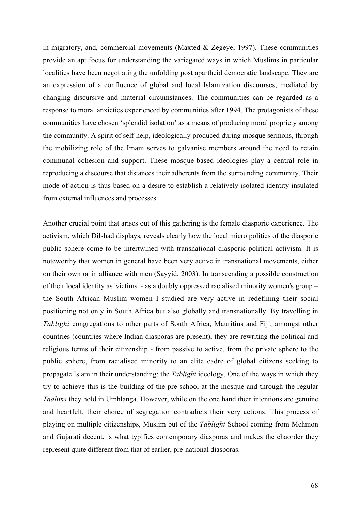in migratory, and, commercial movements (Maxted & Zegeye, 1997). These communities provide an apt focus for understanding the variegated ways in which Muslims in particular localities have been negotiating the unfolding post apartheid democratic landscape. They are an expression of a confluence of global and local Islamization discourses, mediated by changing discursive and material circumstances. The communities can be regarded as a response to moral anxieties experienced by communities after 1994. The protagonists of these communities have chosen 'splendid isolation' as a means of producing moral propriety among the community. A spirit of self-help, ideologically produced during mosque sermons, through the mobilizing role of the Imam serves to galvanise members around the need to retain communal cohesion and support. These mosque-based ideologies play a central role in reproducing a discourse that distances their adherents from the surrounding community. Their mode of action is thus based on a desire to establish a relatively isolated identity insulated from external influences and processes.

Another crucial point that arises out of this gathering is the female diasporic experience. The activism, which Dilshad displays, reveals clearly how the local micro politics of the diasporic public sphere come to be intertwined with transnational diasporic political activism. It is noteworthy that women in general have been very active in transnational movements, either on their own or in alliance with men (Sayyid, 2003). In transcending a possible construction of their local identity as 'victims' - as a doubly oppressed racialised minority women's group – the South African Muslim women I studied are very active in redefining their social positioning not only in South Africa but also globally and transnationally. By travelling in *Tablighi* congregations to other parts of South Africa, Mauritius and Fiji, amongst other countries (countries where Indian diasporas are present), they are rewriting the political and religious terms of their citizenship - from passive to active, from the private sphere to the public sphere, from racialised minority to an elite cadre of global citizens seeking to propagate Islam in their understanding; the *Tablighi* ideology. One of the ways in which they try to achieve this is the building of the pre-school at the mosque and through the regular *Taalims* they hold in Umhlanga. However, while on the one hand their intentions are genuine and heartfelt, their choice of segregation contradicts their very actions. This process of playing on multiple citizenships, Muslim but of the *Tablighi* School coming from Mehmon and Gujarati decent, is what typifies contemporary diasporas and makes the chaorder they represent quite different from that of earlier, pre-national diasporas.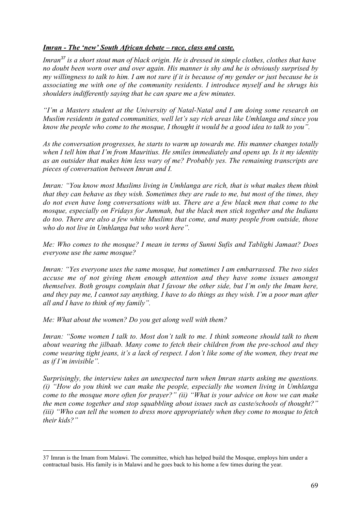## *Imran - The 'new' South African debate – race, class and caste.*

*Imran<sup>37</sup> is a short stout man of black origin. He is dressed in simple clothes, clothes that have no doubt been worn over and over again. His manner is shy and he is obviously surprised by my willingness to talk to him. I am not sure if it is because of my gender or just because he is associating me with one of the community residents. I introduce myself and he shrugs his shoulders indifferently saying that he can spare me a few minutes.*

*"I'm a Masters student at the University of Natal-Natal and I am doing some research on Muslim residents in gated communities, well let's say rich areas like Umhlanga and since you know the people who come to the mosque, I thought it would be a good idea to talk to you".*

*As the conversation progresses, he starts to warm up towards me. His manner changes totally when I tell him that I'm from Mauritius. He smiles immediately and opens up. Is it my identity as an outsider that makes him less wary of me? Probably yes. The remaining transcripts are pieces of conversation between Imran and I.*

*Imran: "You know most Muslims living in Umhlanga are rich, that is what makes them think that they can behave as they wish. Sometimes they are rude to me, but most of the times, they do not even have long conversations with us. There are a few black men that come to the mosque, especially on Fridays for Jummah, but the black men stick together and the Indians do too. There are also a few white Muslims that come, and many people from outside, those who do not live in Umhlanga but who work here".*

*Me: Who comes to the mosque? I mean in terms of Sunni Sufis and Tablighi Jamaat? Does everyone use the same mosque?*

*Imran: "Yes everyone uses the same mosque, but sometimes I am embarrassed. The two sides accuse me of not giving them enough attention and they have some issues amongst themselves. Both groups complain that I favour the other side, but I'm only the Imam here, and they pay me, I cannot say anything, I have to do things as they wish. I'm a poor man after all and I have to think of my family".*

*Me: What about the women? Do you get along well with them?*

*Imran: "Some women I talk to. Most don't talk to me. I think someone should talk to them about wearing the jilbaab. Many come to fetch their children from the pre-school and they come wearing tight jeans, it's a lack of respect. I don't like some of the women, they treat me as if I'm invisible".*

*Surprisingly, the interview takes an unexpected turn when Imran starts asking me questions. (i) "How do you think we can make the people, especially the women living in Umhlanga come to the mosque more often for prayer?" (ii) "What is your advice on how we can make the men come together and stop squabbling about issues such as caste/schools of thought?" (iii) "Who can tell the women to dress more appropriately when they come to mosque to fetch their kids?"*

 <sup>37</sup> Imran is the Imam from Malawi. The committee, which has helped build the Mosque, employs him under a contractual basis. His family is in Malawi and he goes back to his home a few times during the year.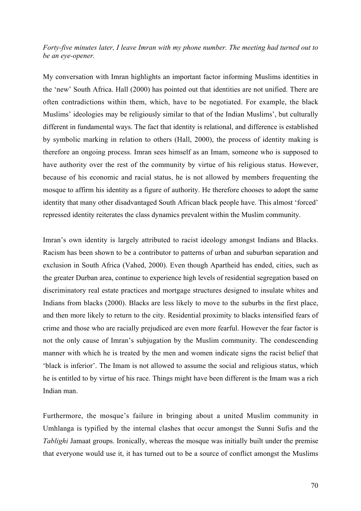# *Forty-five minutes later, I leave Imran with my phone number. The meeting had turned out to be an eye-opener.*

My conversation with Imran highlights an important factor informing Muslims identities in the 'new' South Africa. Hall (2000) has pointed out that identities are not unified. There are often contradictions within them, which, have to be negotiated. For example, the black Muslims' ideologies may be religiously similar to that of the Indian Muslims', but culturally different in fundamental ways. The fact that identity is relational, and difference is established by symbolic marking in relation to others (Hall, 2000), the process of identity making is therefore an ongoing process. Imran sees himself as an Imam, someone who is supposed to have authority over the rest of the community by virtue of his religious status. However, because of his economic and racial status, he is not allowed by members frequenting the mosque to affirm his identity as a figure of authority. He therefore chooses to adopt the same identity that many other disadvantaged South African black people have. This almost 'forced' repressed identity reiterates the class dynamics prevalent within the Muslim community.

Imran's own identity is largely attributed to racist ideology amongst Indians and Blacks. Racism has been shown to be a contributor to patterns of urban and suburban separation and exclusion in South Africa (Vahed, 2000). Even though Apartheid has ended, cities, such as the greater Durban area, continue to experience high levels of residential segregation based on discriminatory real estate practices and mortgage structures designed to insulate whites and Indians from blacks (2000). Blacks are less likely to move to the suburbs in the first place, and then more likely to return to the city. Residential proximity to blacks intensified fears of crime and those who are racially prejudiced are even more fearful. However the fear factor is not the only cause of Imran's subjugation by the Muslim community. The condescending manner with which he is treated by the men and women indicate signs the racist belief that 'black is inferior'. The Imam is not allowed to assume the social and religious status, which he is entitled to by virtue of his race. Things might have been different is the Imam was a rich Indian man.

Furthermore, the mosque's failure in bringing about a united Muslim community in Umhlanga is typified by the internal clashes that occur amongst the Sunni Sufis and the *Tablighi* Jamaat groups. Ironically, whereas the mosque was initially built under the premise that everyone would use it, it has turned out to be a source of conflict amongst the Muslims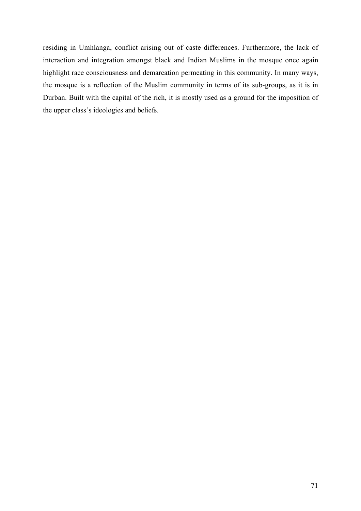residing in Umhlanga, conflict arising out of caste differences. Furthermore, the lack of interaction and integration amongst black and Indian Muslims in the mosque once again highlight race consciousness and demarcation permeating in this community. In many ways, the mosque is a reflection of the Muslim community in terms of its sub-groups, as it is in Durban. Built with the capital of the rich, it is mostly used as a ground for the imposition of the upper class's ideologies and beliefs.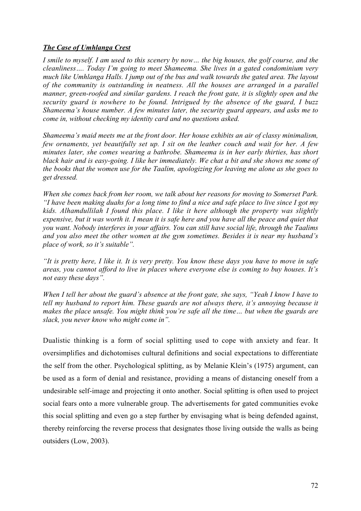## *The Case of Umhlanga Crest*

*I smile to myself. I am used to this scenery by now… the big houses, the golf course, and the cleanliness…. Today I'm going to meet Shameema. She lives in a gated condominium very much like Umhlanga Halls. I jump out of the bus and walk towards the gated area. The layout of the community is outstanding in neatness. All the houses are arranged in a parallel manner, green-roofed and similar gardens. I reach the front gate, it is slightly open and the security guard is nowhere to be found. Intrigued by the absence of the guard, I buzz Shameema's house number. A few minutes later, the security guard appears, and asks me to come in, without checking my identity card and no questions asked.*

*Shameema's maid meets me at the front door. Her house exhibits an air of classy minimalism, few ornaments, yet beautifully set up. I sit on the leather couch and wait for her. A few minutes later, she comes wearing a bathrobe. Shameema is in her early thirties, has short black hair and is easy-going. I like her immediately. We chat a bit and she shows me some of the books that the women use for the Taalim, apologizing for leaving me alone as she goes to get dressed.*

*When she comes back from her room, we talk about her reasons for moving to Somerset Park. "I have been making duahs for a long time to find a nice and safe place to live since I got my kids. Alhamdullilah I found this place. I like it here although the property was slightly expensive, but it was worth it. I mean it is safe here and you have all the peace and quiet that you want. Nobody interferes in your affairs. You can still have social life, through the Taalims and you also meet the other women at the gym sometimes. Besides it is near my husband's place of work, so it's suitable".*

*"It is pretty here, I like it. It is very pretty. You know these days you have to move in safe areas, you cannot afford to live in places where everyone else is coming to buy houses. It's not easy these days".*

*When I tell her about the guard's absence at the front gate, she says, "Yeah I know I have to tell my husband to report him. These guards are not always there, it's annoying because it makes the place unsafe. You might think you're safe all the time… but when the guards are slack, you never know who might come in".*

Dualistic thinking is a form of social splitting used to cope with anxiety and fear. It oversimplifies and dichotomises cultural definitions and social expectations to differentiate the self from the other. Psychological splitting, as by Melanie Klein's (1975) argument, can be used as a form of denial and resistance, providing a means of distancing oneself from a undesirable self-image and projecting it onto another. Social splitting is often used to project social fears onto a more vulnerable group. The advertisements for gated communities evoke this social splitting and even go a step further by envisaging what is being defended against, thereby reinforcing the reverse process that designates those living outside the walls as being outsiders (Low, 2003).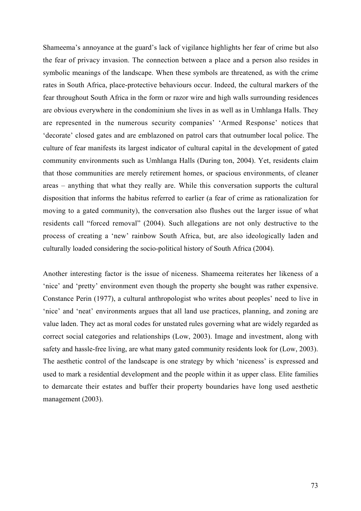Shameema's annoyance at the guard's lack of vigilance highlights her fear of crime but also the fear of privacy invasion. The connection between a place and a person also resides in symbolic meanings of the landscape. When these symbols are threatened, as with the crime rates in South Africa, place-protective behaviours occur. Indeed, the cultural markers of the fear throughout South Africa in the form or razor wire and high walls surrounding residences are obvious everywhere in the condominium she lives in as well as in Umhlanga Halls. They are represented in the numerous security companies' 'Armed Response' notices that 'decorate' closed gates and are emblazoned on patrol cars that outnumber local police. The culture of fear manifests its largest indicator of cultural capital in the development of gated community environments such as Umhlanga Halls (During ton, 2004). Yet, residents claim that those communities are merely retirement homes, or spacious environments, of cleaner areas – anything that what they really are. While this conversation supports the cultural disposition that informs the habitus referred to earlier (a fear of crime as rationalization for moving to a gated community), the conversation also flushes out the larger issue of what residents call "forced removal" (2004). Such allegations are not only destructive to the process of creating a 'new' rainbow South Africa, but, are also ideologically laden and culturally loaded considering the socio-political history of South Africa (2004).

Another interesting factor is the issue of niceness. Shameema reiterates her likeness of a 'nice' and 'pretty' environment even though the property she bought was rather expensive. Constance Perin (1977), a cultural anthropologist who writes about peoples' need to live in 'nice' and 'neat' environments argues that all land use practices, planning, and zoning are value laden. They act as moral codes for unstated rules governing what are widely regarded as correct social categories and relationships (Low, 2003). Image and investment, along with safety and hassle-free living, are what many gated community residents look for (Low, 2003). The aesthetic control of the landscape is one strategy by which 'niceness' is expressed and used to mark a residential development and the people within it as upper class. Elite families to demarcate their estates and buffer their property boundaries have long used aesthetic management (2003).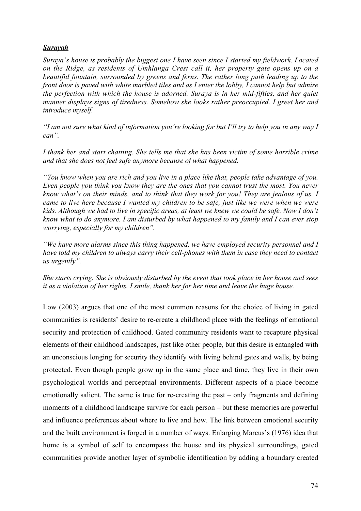## *Surayah*

*Suraya's house is probably the biggest one I have seen since I started my fieldwork. Located on the Ridge, as residents of Umhlanga Crest call it, her property gate opens up on a beautiful fountain, surrounded by greens and ferns. The rather long path leading up to the front door is paved with white marbled tiles and as I enter the lobby, I cannot help but admire the perfection with which the house is adorned. Suraya is in her mid-fifties, and her quiet manner displays signs of tiredness. Somehow she looks rather preoccupied. I greet her and introduce myself.*

*"I am not sure what kind of information you're looking for but I'll try to help you in any way I can".*

*I thank her and start chatting. She tells me that she has been victim of some horrible crime and that she does not feel safe anymore because of what happened.*

*"You know when you are rich and you live in a place like that, people take advantage of you. Even people you think you know they are the ones that you cannot trust the most. You never know what's on their minds, and to think that they work for you! They are jealous of us. I came to live here because I wanted my children to be safe, just like we were when we were kids. Although we had to live in specific areas, at least we knew we could be safe. Now I don't know what to do anymore. I am disturbed by what happened to my family and I can ever stop worrying, especially for my children".*

*"We have more alarms since this thing happened, we have employed security personnel and I have told my children to always carry their cell-phones with them in case they need to contact us urgently".*

*She starts crying. She is obviously disturbed by the event that took place in her house and sees it as a violation of her rights. I smile, thank her for her time and leave the huge house.*

Low (2003) argues that one of the most common reasons for the choice of living in gated communities is residents' desire to re-create a childhood place with the feelings of emotional security and protection of childhood. Gated community residents want to recapture physical elements of their childhood landscapes, just like other people, but this desire is entangled with an unconscious longing for security they identify with living behind gates and walls, by being protected. Even though people grow up in the same place and time, they live in their own psychological worlds and perceptual environments. Different aspects of a place become emotionally salient. The same is true for re-creating the past – only fragments and defining moments of a childhood landscape survive for each person – but these memories are powerful and influence preferences about where to live and how. The link between emotional security and the built environment is forged in a number of ways. Enlarging Marcus's (1976) idea that home is a symbol of self to encompass the house and its physical surroundings, gated communities provide another layer of symbolic identification by adding a boundary created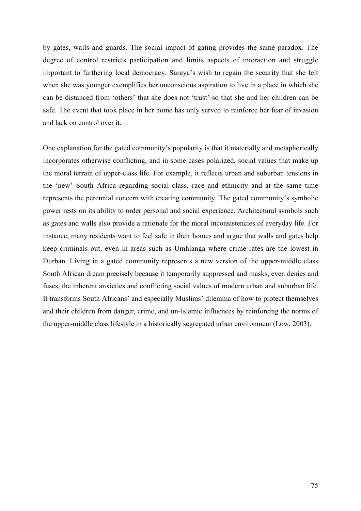by gates, walls and guards. The social impact of gating provides the same paradox. The degree of control restricts participation and limits aspects of interaction and struggle important to furthering local democracy. Suraya's wish to regain the security that she felt when she was younger exemplifies her unconscious aspiration to live in a place in which she can be distanced from 'others' that she does not 'trust' so that she and her children can be safe. The event that took place in her home has only served to reinforce her fear of invasion and lack on control over it.

One explanation for the gated community's popularity is that it materially and metaphorically incorporates otherwise conflicting, and in some cases polarized, social values that make up the moral terrain of upper-class life. For example, it reflects urban and suburban tensions in the 'new' South Africa regarding social class, race and ethnicity and at the same time represents the perennial concern with creating community. The gated community's symbolic power rests on its ability to order personal and social experience. Architectural symbols such as gates and walls also provide a rationale for the moral inconsistencies of everyday life. For instance, many residents want to feel safe in their homes and argue that walls and gates help keep criminals out, even in areas such as Umhlanga where crime rates are the lowest in Durban. Living in a gated community represents a new version of the upper-middle class South African dream precisely because it temporarily suppressed and masks, even denies and fuses, the inherent anxieties and conflicting social values of modern urban and suburban life. It transforms South Africans' and especially Muslims' dilemma of how to protect themselves and their children from danger, crime, and un-Islamic influences by reinforcing the norms of the upper-middle class lifestyle in a historically segregated urban environment (Low, 2003).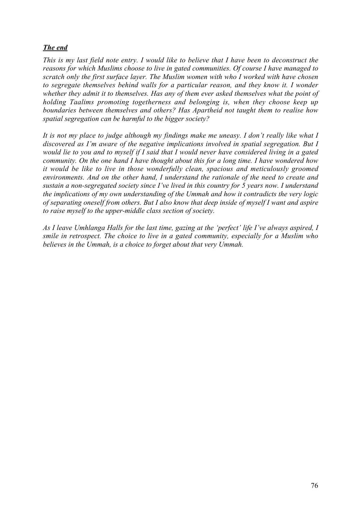## *The end*

*This is my last field note entry. I would like to believe that I have been to deconstruct the reasons for which Muslims choose to live in gated communities. Of course I have managed to scratch only the first surface layer. The Muslim women with who I worked with have chosen to segregate themselves behind walls for a particular reason, and they know it. I wonder whether they admit it to themselves. Has any of them ever asked themselves what the point of holding Taalims promoting togetherness and belonging is, when they choose keep up boundaries between themselves and others? Has Apartheid not taught them to realise how spatial segregation can be harmful to the bigger society?*

*It is not my place to judge although my findings make me uneasy. I don't really like what I discovered as I'm aware of the negative implications involved in spatial segregation. But I would lie to you and to myself if I said that I would never have considered living in a gated community. On the one hand I have thought about this for a long time. I have wondered how it would be like to live in those wonderfully clean, spacious and meticulously groomed environments. And on the other hand, I understand the rationale of the need to create and sustain a non-segregated society since I've lived in this country for 5 years now. I understand the implications of my own understanding of the Ummah and how it contradicts the very logic of separating oneself from others. But I also know that deep inside of myself I want and aspire to raise myself to the upper-middle class section of society.*

*As I leave Umhlanga Halls for the last time, gazing at the 'perfect' life I've always aspired, I smile in retrospect. The choice to live in a gated community, especially for a Muslim who believes in the Ummah, is a choice to forget about that very Ummah.*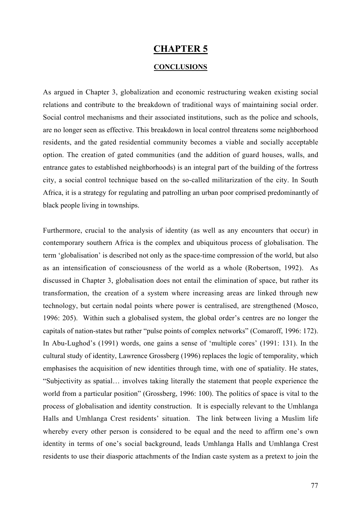# **CHAPTER 5**

#### **CONCLUSIONS**

As argued in Chapter 3, globalization and economic restructuring weaken existing social relations and contribute to the breakdown of traditional ways of maintaining social order. Social control mechanisms and their associated institutions, such as the police and schools, are no longer seen as effective. This breakdown in local control threatens some neighborhood residents, and the gated residential community becomes a viable and socially acceptable option. The creation of gated communities (and the addition of guard houses, walls, and entrance gates to established neighborhoods) is an integral part of the building of the fortress city, a social control technique based on the so-called militarization of the city. In South Africa, it is a strategy for regulating and patrolling an urban poor comprised predominantly of black people living in townships.

Furthermore, crucial to the analysis of identity (as well as any encounters that occur) in contemporary southern Africa is the complex and ubiquitous process of globalisation. The term 'globalisation' is described not only as the space-time compression of the world, but also as an intensification of consciousness of the world as a whole (Robertson, 1992). As discussed in Chapter 3, globalisation does not entail the elimination of space, but rather its transformation, the creation of a system where increasing areas are linked through new technology, but certain nodal points where power is centralised, are strengthened (Mosco, 1996: 205). Within such a globalised system, the global order's centres are no longer the capitals of nation-states but rather "pulse points of complex networks" (Comaroff, 1996: 172). In Abu-Lughod's (1991) words, one gains a sense of 'multiple cores' (1991: 131). In the cultural study of identity, Lawrence Grossberg (1996) replaces the logic of temporality, which emphasises the acquisition of new identities through time, with one of spatiality. He states, "Subjectivity as spatial… involves taking literally the statement that people experience the world from a particular position" (Grossberg, 1996: 100). The politics of space is vital to the process of globalisation and identity construction. It is especially relevant to the Umhlanga Halls and Umhlanga Crest residents' situation. The link between living a Muslim life whereby every other person is considered to be equal and the need to affirm one's own identity in terms of one's social background, leads Umhlanga Halls and Umhlanga Crest residents to use their diasporic attachments of the Indian caste system as a pretext to join the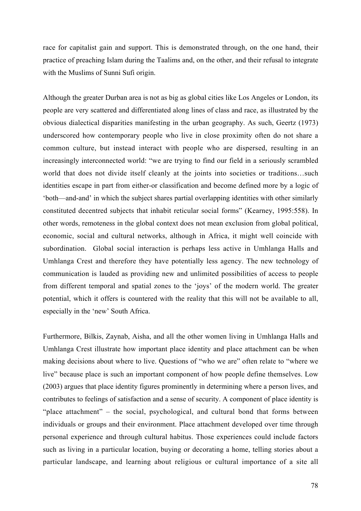race for capitalist gain and support. This is demonstrated through, on the one hand, their practice of preaching Islam during the Taalims and, on the other, and their refusal to integrate with the Muslims of Sunni Sufi origin.

Although the greater Durban area is not as big as global cities like Los Angeles or London, its people are very scattered and differentiated along lines of class and race, as illustrated by the obvious dialectical disparities manifesting in the urban geography. As such, Geertz (1973) underscored how contemporary people who live in close proximity often do not share a common culture, but instead interact with people who are dispersed, resulting in an increasingly interconnected world: "we are trying to find our field in a seriously scrambled world that does not divide itself cleanly at the joints into societies or traditions…such identities escape in part from either-or classification and become defined more by a logic of 'both—and-and' in which the subject shares partial overlapping identities with other similarly constituted decentred subjects that inhabit reticular social forms" (Kearney, 1995:558). In other words, remoteness in the global context does not mean exclusion from global political, economic, social and cultural networks, although in Africa, it might well coincide with subordination. Global social interaction is perhaps less active in Umhlanga Halls and Umhlanga Crest and therefore they have potentially less agency. The new technology of communication is lauded as providing new and unlimited possibilities of access to people from different temporal and spatial zones to the 'joys' of the modern world. The greater potential, which it offers is countered with the reality that this will not be available to all, especially in the 'new' South Africa.

Furthermore, Bilkis, Zaynab, Aisha, and all the other women living in Umhlanga Halls and Umhlanga Crest illustrate how important place identity and place attachment can be when making decisions about where to live. Questions of "who we are" often relate to "where we live" because place is such an important component of how people define themselves. Low (2003) argues that place identity figures prominently in determining where a person lives, and contributes to feelings of satisfaction and a sense of security. A component of place identity is "place attachment" – the social, psychological, and cultural bond that forms between individuals or groups and their environment. Place attachment developed over time through personal experience and through cultural habitus. Those experiences could include factors such as living in a particular location, buying or decorating a home, telling stories about a particular landscape, and learning about religious or cultural importance of a site all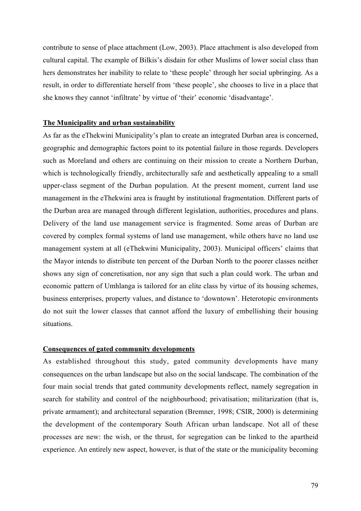contribute to sense of place attachment (Low, 2003). Place attachment is also developed from cultural capital. The example of Bilkis's disdain for other Muslims of lower social class than hers demonstrates her inability to relate to 'these people' through her social upbringing. As a result, in order to differentiate herself from 'these people', she chooses to live in a place that she knows they cannot 'infiltrate' by virtue of 'their' economic 'disadvantage'.

#### **The Municipality and urban sustainability**

As far as the eThekwini Municipality's plan to create an integrated Durban area is concerned, geographic and demographic factors point to its potential failure in those regards. Developers such as Moreland and others are continuing on their mission to create a Northern Durban, which is technologically friendly, architecturally safe and aesthetically appealing to a small upper-class segment of the Durban population. At the present moment, current land use management in the eThekwini area is fraught by institutional fragmentation. Different parts of the Durban area are managed through different legislation, authorities, procedures and plans. Delivery of the land use management service is fragmented. Some areas of Durban are covered by complex formal systems of land use management, while others have no land use management system at all (eThekwini Municipality, 2003). Municipal officers' claims that the Mayor intends to distribute ten percent of the Durban North to the poorer classes neither shows any sign of concretisation, nor any sign that such a plan could work. The urban and economic pattern of Umhlanga is tailored for an elite class by virtue of its housing schemes, business enterprises, property values, and distance to 'downtown'. Heterotopic environments do not suit the lower classes that cannot afford the luxury of embellishing their housing situations.

#### **Consequences of gated community developments**

As established throughout this study, gated community developments have many consequences on the urban landscape but also on the social landscape. The combination of the four main social trends that gated community developments reflect, namely segregation in search for stability and control of the neighbourhood; privatisation; militarization (that is, private armament); and architectural separation (Bremner, 1998; CSIR, 2000) is determining the development of the contemporary South African urban landscape. Not all of these processes are new: the wish, or the thrust, for segregation can be linked to the apartheid experience. An entirely new aspect, however, is that of the state or the municipality becoming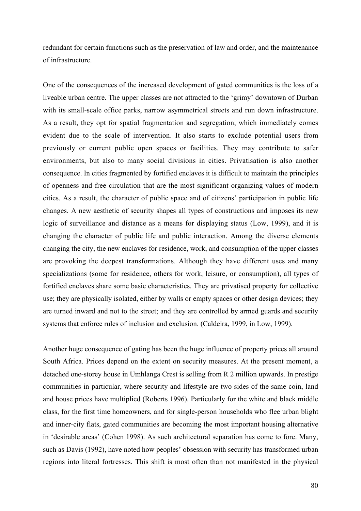redundant for certain functions such as the preservation of law and order, and the maintenance of infrastructure.

One of the consequences of the increased development of gated communities is the loss of a liveable urban centre. The upper classes are not attracted to the 'grimy' downtown of Durban with its small-scale office parks, narrow asymmetrical streets and run down infrastructure. As a result, they opt for spatial fragmentation and segregation, which immediately comes evident due to the scale of intervention. It also starts to exclude potential users from previously or current public open spaces or facilities. They may contribute to safer environments, but also to many social divisions in cities. Privatisation is also another consequence. In cities fragmented by fortified enclaves it is difficult to maintain the principles of openness and free circulation that are the most significant organizing values of modern cities. As a result, the character of public space and of citizens' participation in public life changes. A new aesthetic of security shapes all types of constructions and imposes its new logic of surveillance and distance as a means for displaying status (Low, 1999), and it is changing the character of public life and public interaction. Among the diverse elements changing the city, the new enclaves for residence, work, and consumption of the upper classes are provoking the deepest transformations. Although they have different uses and many specializations (some for residence, others for work, leisure, or consumption), all types of fortified enclaves share some basic characteristics. They are privatised property for collective use; they are physically isolated, either by walls or empty spaces or other design devices; they are turned inward and not to the street; and they are controlled by armed guards and security systems that enforce rules of inclusion and exclusion. (Caldeira, 1999, in Low, 1999).

Another huge consequence of gating has been the huge influence of property prices all around South Africa. Prices depend on the extent on security measures. At the present moment, a detached one-storey house in Umhlanga Crest is selling from R 2 million upwards. In prestige communities in particular, where security and lifestyle are two sides of the same coin, land and house prices have multiplied (Roberts 1996). Particularly for the white and black middle class, for the first time homeowners, and for single-person households who flee urban blight and inner-city flats, gated communities are becoming the most important housing alternative in 'desirable areas' (Cohen 1998). As such architectural separation has come to fore. Many, such as Davis (1992), have noted how peoples' obsession with security has transformed urban regions into literal fortresses. This shift is most often than not manifested in the physical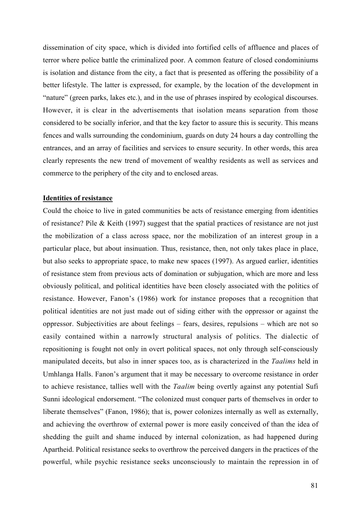dissemination of city space, which is divided into fortified cells of affluence and places of terror where police battle the criminalized poor. A common feature of closed condominiums is isolation and distance from the city, a fact that is presented as offering the possibility of a better lifestyle. The latter is expressed, for example, by the location of the development in "nature" (green parks, lakes etc.), and in the use of phrases inspired by ecological discourses. However, it is clear in the advertisements that isolation means separation from those considered to be socially inferior, and that the key factor to assure this is security. This means fences and walls surrounding the condominium, guards on duty 24 hours a day controlling the entrances, and an array of facilities and services to ensure security. In other words, this area clearly represents the new trend of movement of wealthy residents as well as services and commerce to the periphery of the city and to enclosed areas.

#### **Identities of resistance**

Could the choice to live in gated communities be acts of resistance emerging from identities of resistance? Pile & Keith (1997) suggest that the spatial practices of resistance are not just the mobilization of a class across space, nor the mobilization of an interest group in a particular place, but about insinuation. Thus, resistance, then, not only takes place in place, but also seeks to appropriate space, to make new spaces (1997). As argued earlier, identities of resistance stem from previous acts of domination or subjugation, which are more and less obviously political, and political identities have been closely associated with the politics of resistance. However, Fanon's (1986) work for instance proposes that a recognition that political identities are not just made out of siding either with the oppressor or against the oppressor. Subjectivities are about feelings – fears, desires, repulsions – which are not so easily contained within a narrowly structural analysis of politics. The dialectic of repositioning is fought not only in overt political spaces, not only through self-consciously manipulated deceits, but also in inner spaces too, as is characterized in the *Taalims* held in Umhlanga Halls. Fanon's argument that it may be necessary to overcome resistance in order to achieve resistance, tallies well with the *Taalim* being overtly against any potential Sufi Sunni ideological endorsement. "The colonized must conquer parts of themselves in order to liberate themselves" (Fanon, 1986); that is, power colonizes internally as well as externally, and achieving the overthrow of external power is more easily conceived of than the idea of shedding the guilt and shame induced by internal colonization, as had happened during Apartheid. Political resistance seeks to overthrow the perceived dangers in the practices of the powerful, while psychic resistance seeks unconsciously to maintain the repression in of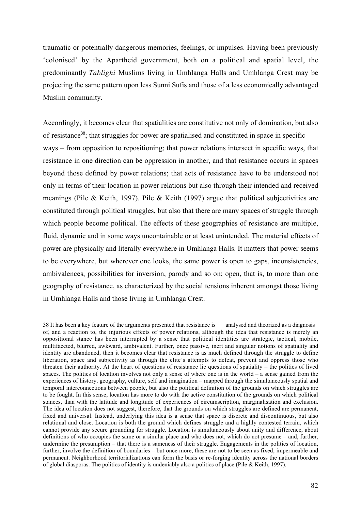traumatic or potentially dangerous memories, feelings, or impulses. Having been previously 'colonised' by the Apartheid government, both on a political and spatial level, the predominantly *Tablighi* Muslims living in Umhlanga Halls and Umhlanga Crest may be projecting the same pattern upon less Sunni Sufis and those of a less economically advantaged Muslim community.

Accordingly, it becomes clear that spatialities are constitutive not only of domination, but also of resistance<sup>38</sup>; that struggles for power are spatialised and constituted in space in specific ways – from opposition to repositioning; that power relations intersect in specific ways, that resistance in one direction can be oppression in another, and that resistance occurs in spaces beyond those defined by power relations; that acts of resistance have to be understood not only in terms of their location in power relations but also through their intended and received meanings (Pile & Keith, 1997). Pile & Keith (1997) argue that political subjectivities are constituted through political struggles, but also that there are many spaces of struggle through which people become political. The effects of these geographies of resistance are multiple, fluid, dynamic and in some ways uncontainable or at least unintended. The material effects of power are physically and literally everywhere in Umhlanga Halls. It matters that power seems to be everywhere, but wherever one looks, the same power is open to gaps, inconsistencies, ambivalences, possibilities for inversion, parody and so on; open, that is, to more than one geography of resistance, as characterized by the social tensions inherent amongst those living in Umhlanga Halls and those living in Umhlanga Crest.

 <sup>38</sup> It has been a key feature of the arguments presented that resistance is analysed and theorized as a diagnosis of, and a reaction to, the injurious effects of power relations, although the idea that resistance is merely an oppositional stance has been interrupted by a sense that political identities are strategic, tactical, mobile, multifaceted, blurred, awkward, ambivalent. Further, once passive, inert and singular notions of spatiality and identity are abandoned, then it becomes clear that resistance is as much defined through the struggle to define liberation, space and subjectivity as through the elite's attempts to defeat, prevent and oppress those who threaten their authority. At the heart of questions of resistance lie questions of spatiality – the politics of lived spaces. The politics of location involves not only a sense of where one is in the world – a sense gained from the experiences of history, geography, culture, self and imagination – mapped through the simultaneously spatial and temporal interconnections between people, but also the political definition of the grounds on which struggles are to be fought. In this sense, location has more to do with the active constitution of the grounds on which political stances, than with the latitude and longitude of experiences of circumscription, marginalisation and exclusion. The idea of location does not suggest, therefore, that the grounds on which struggles are defined are permanent, fixed and universal. Instead, underlying this idea is a sense that space is discrete and discontinuous, but also relational and close. Location is both the ground which defines struggle and a highly contested terrain, which cannot provide any secure grounding for struggle. Location is simultaneously about unity and difference, about definitions of who occupies the same or a similar place and who does not, which do not presume – and, further, undermine the presumption – that there is a sameness of their struggle. Engagements in the politics of location, further, involve the definition of boundaries – but once more, these are not to be seen as fixed, impermeable and permanent. Neighborhood territorializations can form the basis or re-forging identity across the national borders of global diasporas. The politics of identity is undeniably also a politics of place (Pile & Keith, 1997).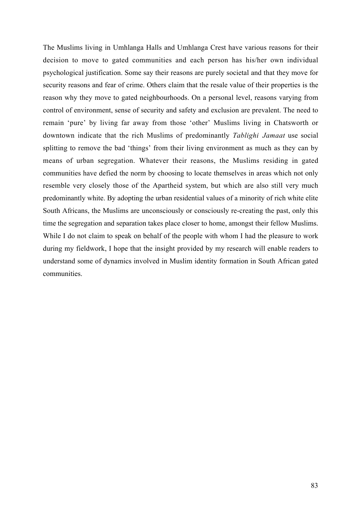The Muslims living in Umhlanga Halls and Umhlanga Crest have various reasons for their decision to move to gated communities and each person has his/her own individual psychological justification. Some say their reasons are purely societal and that they move for security reasons and fear of crime. Others claim that the resale value of their properties is the reason why they move to gated neighbourhoods. On a personal level, reasons varying from control of environment, sense of security and safety and exclusion are prevalent. The need to remain 'pure' by living far away from those 'other' Muslims living in Chatsworth or downtown indicate that the rich Muslims of predominantly *Tablighi Jamaat* use social splitting to remove the bad 'things' from their living environment as much as they can by means of urban segregation. Whatever their reasons, the Muslims residing in gated communities have defied the norm by choosing to locate themselves in areas which not only resemble very closely those of the Apartheid system, but which are also still very much predominantly white. By adopting the urban residential values of a minority of rich white elite South Africans, the Muslims are unconsciously or consciously re-creating the past, only this time the segregation and separation takes place closer to home, amongst their fellow Muslims. While I do not claim to speak on behalf of the people with whom I had the pleasure to work during my fieldwork, I hope that the insight provided by my research will enable readers to understand some of dynamics involved in Muslim identity formation in South African gated communities.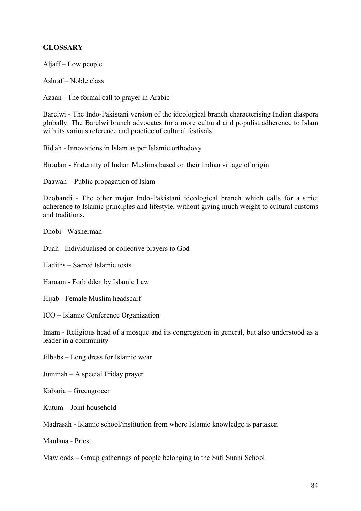## **GLOSSARY**

Aljaff – Low people

Ashraf – Noble class

Azaan - The formal call to prayer in Arabic

Barelwi - The Indo-Pakistani version of the ideological branch characterising Indian diaspora globally. The Barelwi branch advocates for a more cultural and populist adherence to Islam with its various reference and practice of cultural festivals.

Bid'ah - Innovations in Islam as per Islamic orthodoxy

Biradari - Fraternity of Indian Muslims based on their Indian village of origin

Daawah – Public propagation of Islam

Deobandi - The other major Indo-Pakistani ideological branch which calls for a strict adherence to Islamic principles and lifestyle, without giving much weight to cultural customs and traditions.

Dhobi - Washerman

Duah - Individualised or collective prayers to God

Hadiths – Sacred Islamic texts

Haraam - Forbidden by Islamic Law

Hijab - Female Muslim headscarf

ICO – Islamic Conference Organization

Imam - Religious head of a mosque and its congregation in general, but also understood as a leader in a community

Jilbabs – Long dress for Islamic wear

Jummah – A special Friday prayer

Kabaria – Greengrocer

Kutum – Joint household

Madrasah - Islamic school/institution from where Islamic knowledge is partaken

Maulana - Priest

Mawloods – Group gatherings of people belonging to the Sufi Sunni School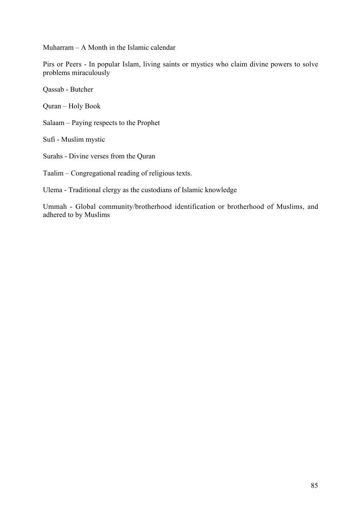Muharram – A Month in the Islamic calendar

Pirs or Peers - In popular Islam, living saints or mystics who claim divine powers to solve problems miraculously

Qassab - Butcher

Quran – Holy Book

Salaam – Paying respects to the Prophet

Sufi - Muslim mystic

Surahs - Divine verses from the Quran

Taalim – Congregational reading of religious texts.

Ulema - Traditional clergy as the custodians of Islamic knowledge

Ummah - Global community/brotherhood identification or brotherhood of Muslims, and adhered to by Muslims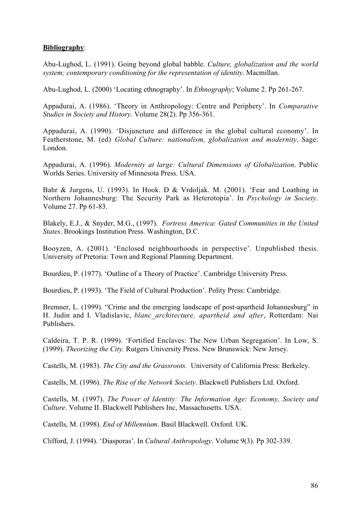### **Bibliography**:

Abu-Lughod, L. (1991). Going beyond global babble. *Culture, globalization and the world system; contemporary conditioning for the representation of identity*. Macmillan.

Abu-Lughod, L. (2000) 'Locating ethnography'. In *Ethnography*; Volume 2. Pp 261-267.

Appadurai, A. (1986). 'Theory in Anthropology: Centre and Periphery'. In *Comparative Studies in Society and History*. Volume 28(2). Pp 356-361.

Appadurai, A. (1990). 'Disjuncture and difference in the global cultural economy'. In Featherstone, M. (ed) *Global Culture: nationalism, globalization and modernity*. Sage: London.

Appadurai, A. (1996). *Modernity at large: Cultural Dimensions of Globalization*. Public Worlds Series. University of Minnesota Press. USA.

Bahr & Jurgens, U. (1993). In Hook. D & Vrdoljak. M. (2001). 'Fear and Loathing in Northern Johannesburg: The Security Park as Heterotopia'. In *Psychology in Society*. Volume 27. Pp 61-83.

Blakely, E.J., & Snyder, M.G., (1997). *Fortress America: Gated Communities in the United States*. Brookings Institution Press. Washington, D.C.

Booyzen, A. (2001). 'Enclosed neighbourhoods in perspective'. Unpublished thesis. University of Pretoria: Town and Regional Planning Department.

Bourdieu, P. (1977). 'Outline of a Theory of Practice'. Cambridge University Press.

Bourdieu, P. (1993). 'The Field of Cultural Production'. Polity Press: Cambridge.

Bremner, L. (1999). "Crime and the emerging landscape of post-apartheid Johannesburg" in H. Judin and I. Vladislavic, *blanc\_architecture, apartheid and after*, Rotterdam: Nai Publishers.

Caldeira, T. P. R. (1999). 'Fortified Enclaves: The New Urban Segregation'. In Low, S. (1999). *Theorizing the City.* Rutgers University Press. New Brunswick: New Jersey.

Castells, M. (1983). *The City and the Grassroots.* University of California Press: Berkeley.

Castells, M. (1996). *The Rise of the Network Society*. Blackwell Publishers Ltd. Oxford.

Castells, M. (1997). *The Power of Identity: The Information Age: Economy, Society and Culture*. Volume II. Blackwell Publishers Inc, Massachusetts. USA.

Castells, M. (1998). *End of Millennium*. Basil Blackwell. Oxford. UK.

Clifford, J. (1994). 'Diasporas'. In *Cultural Anthropology*. Volume 9(3). Pp 302-339.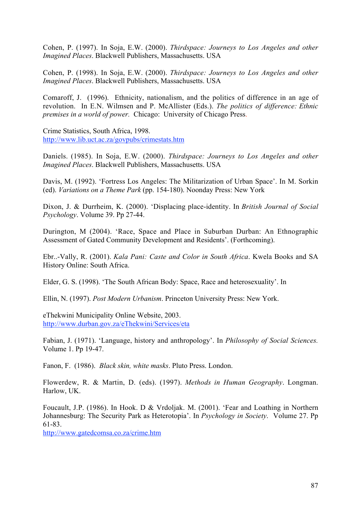Cohen, P. (1997). In Soja, E.W. (2000). *Thirdspace: Journeys to Los Angeles and other Imagined Places*. Blackwell Publishers, Massachusetts. USA

Cohen, P. (1998). In Soja, E.W. (2000). *Thirdspace: Journeys to Los Angeles and other Imagined Places*. Blackwell Publishers, Massachusetts. USA

Comaroff, J. (1996). Ethnicity, nationalism, and the politics of difference in an age of revolution. In E.N. Wilmsen and P. McAllister (Eds.). *The politics of difference: Ethnic premises in a world of power.* Chicago: University of Chicago Press.

Crime Statistics, South Africa, 1998. http://www.lib.uct.ac.za/govpubs/crimestats.htm

Daniels. (1985). In Soja, E.W. (2000). *Thirdspace: Journeys to Los Angeles and other Imagined Places*. Blackwell Publishers, Massachusetts. USA

Davis, M. (1992). 'Fortress Los Angeles: The Militarization of Urban Space'. In M. Sorkin (ed). *Variations on a Theme Park* (pp. 154-180). Noonday Press: New York

Dixon, J. & Durrheim, K. (2000). 'Displacing place-identity. In *British Journal of Social Psychology*. Volume 39. Pp 27-44.

Durington, M (2004). 'Race, Space and Place in Suburban Durban: An Ethnographic Assessment of Gated Community Development and Residents'. (Forthcoming).

Ebr..-Vally, R. (2001). *Kala Pani: Caste and Color in South Africa*. Kwela Books and SA History Online: South Africa.

Elder, G. S. (1998). 'The South African Body: Space, Race and heterosexuality'. In

Ellin, N. (1997). *Post Modern Urbanism*. Princeton University Press: New York.

eThekwini Municipality Online Website, 2003. http://www.durban.gov.za/eThekwini/Services/eta

Fabian, J. (1971). 'Language, history and anthropology'. In *Philosophy of Social Sciences.* Volume 1. Pp 19-47.

Fanon, F. (1986). *Black skin, white masks*. Pluto Press. London.

Flowerdew, R. & Martin, D. (eds). (1997). *Methods in Human Geography*. Longman. Harlow, UK.

Foucault, J.P. (1986). In Hook. D & Vrdoljak. M. (2001). 'Fear and Loathing in Northern Johannesburg: The Security Park as Heterotopia'. In *Psychology in Society*. Volume 27. Pp 61-83.

http://www.gatedcomsa.co.za/crime.htm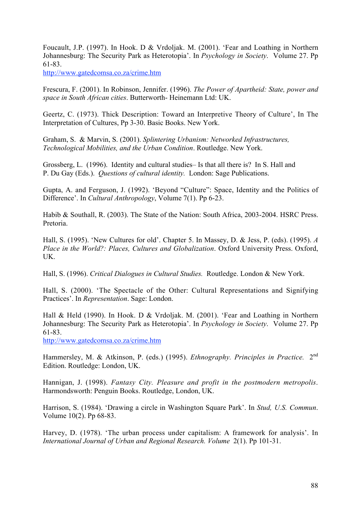Foucault, J.P. (1997). In Hook. D & Vrdoljak. M. (2001). 'Fear and Loathing in Northern Johannesburg: The Security Park as Heterotopia'. In *Psychology in Society*. Volume 27. Pp 61-83.

http://www.gatedcomsa.co.za/crime.htm

Frescura, F. (2001). In Robinson, Jennifer. (1996). *The Power of Apartheid: State, power and space in South African cities*. Butterworth- Heinemann Ltd: UK.

Geertz, C. (1973). Thick Description: Toward an Interpretive Theory of Culture', In The Interpretation of Cultures, Pp 3-30. Basic Books. New York.

Graham, S. & Marvin, S. (2001). *Splintering Urbanism: Networked Infrastructures, Technological Mobilities, and the Urban Condition*. Routledge. New York.

Grossberg, L. (1996). Identity and cultural studies– Is that all there is? In S. Hall and P. Du Gay (Eds.). *Questions of cultural identity.* London: Sage Publications.

Gupta, A. and Ferguson, J. (1992). 'Beyond "Culture": Space, Identity and the Politics of Difference'. In *Cultural Anthropology*, Volume 7(1). Pp 6-23.

Habib & Southall, R. (2003). The State of the Nation: South Africa, 2003-2004. HSRC Press. Pretoria.

Hall, S. (1995). 'New Cultures for old'. Chapter 5. In Massey, D. & Jess, P. (eds). (1995). *A Place in the World?: Places, Cultures and Globalization*. Oxford University Press. Oxford, UK.

Hall, S. (1996). *Critical Dialogues in Cultural Studies.* Routledge. London & New York.

Hall, S. (2000). 'The Spectacle of the Other: Cultural Representations and Signifying Practices'. In *Representation*. Sage: London.

Hall & Held (1990). In Hook. D & Vrdoljak. M. (2001). 'Fear and Loathing in Northern Johannesburg: The Security Park as Heterotopia'. In *Psychology in Society*. Volume 27. Pp 61-83.

http://www.gatedcomsa.co.za/crime.htm

Hammersley, M. & Atkinson, P. (eds.) (1995). *Ethnography. Principles in Practice.* 2nd Edition. Routledge: London, UK.

Hannigan, J. (1998). *Fantasy City. Pleasure and profit in the postmodern metropolis*. Harmondsworth: Penguin Books. Routledge, London, UK.

Harrison, S. (1984). 'Drawing a circle in Washington Square Park'. In *Stud, U.S. Commun*. Volume 10(2). Pp 68-83.

Harvey, D. (1978). 'The urban process under capitalism: A framework for analysis'. In *International Journal of Urban and Regional Research. Volume* 2(1). Pp 101-31.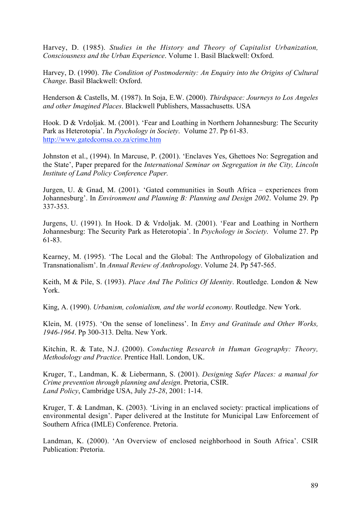Harvey, D. (1985). *Studies in the History and Theory of Capitalist Urbanization, Consciousness and the Urban Experience*. Volume 1. Basil Blackwell: Oxford.

Harvey, D. (1990). *The Condition of Postmodernity: An Enquiry into the Origins of Cultural Change*. Basil Blackwell: Oxford.

Henderson & Castells, M. (1987). In Soja, E.W. (2000). *Thirdspace: Journeys to Los Angeles and other Imagined Places*. Blackwell Publishers, Massachusetts. USA

Hook. D & Vrdoljak. M. (2001). 'Fear and Loathing in Northern Johannesburg: The Security Park as Heterotopia'. In *Psychology in Society*. Volume 27. Pp 61-83. http://www.gatedcomsa.co.za/crime.htm

Johnston et al., (1994). In Marcuse, P. (2001). 'Enclaves Yes, Ghettoes No: Segregation and the State', Paper prepared for the *International Seminar on Segregation in the City, Lincoln Institute of Land Policy Conference Paper.*

Jurgen, U. & Gnad, M. (2001). 'Gated communities in South Africa – experiences from Johannesburg'. In *Environment and Planning B: Planning and Design 2002*. Volume 29. Pp 337-353.

Jurgens, U. (1991). In Hook. D & Vrdoljak. M. (2001). 'Fear and Loathing in Northern Johannesburg: The Security Park as Heterotopia'. In *Psychology in Society*. Volume 27. Pp 61-83.

Kearney, M. (1995). 'The Local and the Global: The Anthropology of Globalization and Transnationalism'. In *Annual Review of Anthropology*. Volume 24. Pp 547-565.

Keith, M & Pile, S. (1993). *Place And The Politics Of Identity*. Routledge. London & New York.

King, A. (1990). *Urbanism, colonialism, and the world economy*. Routledge. New York.

Klein, M. (1975). 'On the sense of loneliness'. In *Envy and Gratitude and Other Works, 1946-1964*. Pp 300-313. Delta. New York.

Kitchin, R. & Tate, N.J. (2000). *Conducting Research in Human Geography: Theory, Methodology and Practice*. Prentice Hall. London, UK.

Kruger, T., Landman, K. & Liebermann, S. (2001). *Designing Safer Places: a manual for Crime prevention through planning and design*. Pretoria, CSIR. *Land Policy*, Cambridge USA, July *25-28*, 2001: 1-14.

Kruger, T. & Landman, K. (2003). 'Living in an enclaved society: practical implications of environmental design'. Paper delivered at the Institute for Municipal Law Enforcement of Southern Africa (IMLE) Conference. Pretoria.

Landman, K. (2000). 'An Overview of enclosed neighborhood in South Africa'. CSIR Publication: Pretoria.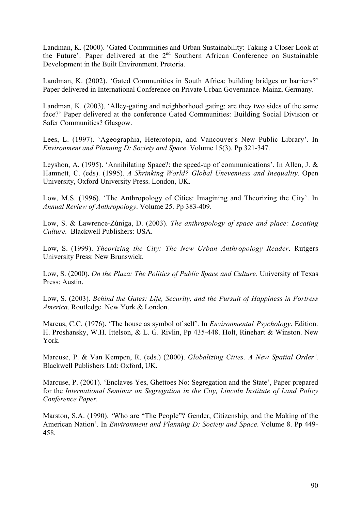Landman, K. (2000). 'Gated Communities and Urban Sustainability: Taking a Closer Look at the Future'. Paper delivered at the  $2<sup>nd</sup>$  Southern African Conference on Sustainable Development in the Built Environment. Pretoria.

Landman, K. (2002). 'Gated Communities in South Africa: building bridges or barriers?' Paper delivered in International Conference on Private Urban Governance. Mainz, Germany.

Landman, K. (2003). 'Alley-gating and neighborhood gating: are they two sides of the same face?' Paper delivered at the conference Gated Communities: Building Social Division or Safer Communities? Glasgow.

Lees, L. (1997). 'Ageographia, Heterotopia, and Vancouver's New Public Library'. In *Environment and Planning D: Society and Space*. Volume 15(3). Pp 321-347.

Leyshon, A. (1995). 'Annihilating Space?: the speed-up of communications'. In Allen, J. & Hamnett, C. (eds). (1995). *A Shrinking World? Global Unevenness and Inequality*. Open University, Oxford University Press. London, UK.

Low, M.S. (1996). 'The Anthropology of Cities: Imagining and Theorizing the City'. In *Annual Review of Anthropology*. Volume 25. Pp 383-409.

Low, S. & Lawrence-Zúniga, D. (2003). *The anthropology of space and place: Locating Culture.* Blackwell Publishers: USA.

Low, S. (1999). *Theorizing the City: The New Urban Anthropology Reader*. Rutgers University Press: New Brunswick.

Low, S. (2000). *On the Plaza: The Politics of Public Space and Culture*. University of Texas Press: Austin.

Low, S. (2003). *Behind the Gates: Life, Security, and the Pursuit of Happiness in Fortress America*. Routledge. New York & London.

Marcus, C.C. (1976). 'The house as symbol of self'. In *Environmental Psychology*. Edition. H. Proshansky, W.H. Ittelson, & L. G. Rivlin, Pp 435-448. Holt, Rinehart & Winston. New York.

Marcuse, P. & Van Kempen, R. (eds.) (2000). *Globalizing Cities. A New Spatial Order'*. Blackwell Publishers Ltd: Oxford, UK.

Marcuse, P. (2001). 'Enclaves Yes, Ghettoes No: Segregation and the State', Paper prepared for the *International Seminar on Segregation in the City, Lincoln Institute of Land Policy Conference Paper.*

Marston, S.A. (1990). 'Who are "The People"? Gender, Citizenship, and the Making of the American Nation'. In *Environment and Planning D: Society and Space*. Volume 8. Pp 449- 458.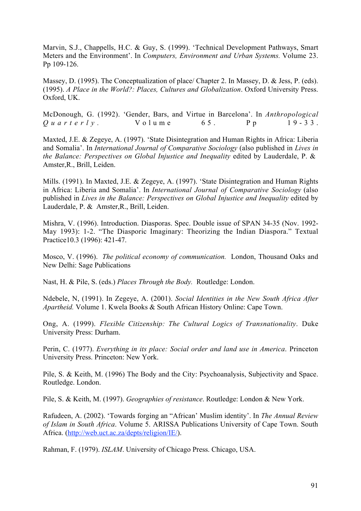Marvin, S.J., Chappells, H.C. & Guy, S. (1999). 'Technical Development Pathways, Smart Meters and the Environment'. In *Computers, Environment and Urban Systems.* Volume 23. Pp 109-126.

Massey, D. (1995). The Conceptualization of place/ Chapter 2. In Massey, D. & Jess, P. (eds). (1995). *A Place in the World?: Places, Cultures and Globalization*. Oxford University Press. Oxford, UK.

McDonough, G. (1992). 'Gender, Bars, and Virtue in Barcelona'. In *Anthropological Quarterly.* Volume 65. Pp 19-33.

Maxted, J.E. & Zegeye, A. (1997). 'State Disintegration and Human Rights in Africa: Liberia and Somalia'. In *International Journal of Comparative Sociology* (also published in *Lives in the Balance: Perspectives on Global Injustice and Inequality* edited by Lauderdale, P. & Amster,R., Brill, Leiden.

Mills. (1991). In Maxted, J.E. & Zegeye, A. (1997). 'State Disintegration and Human Rights in Africa: Liberia and Somalia'. In *International Journal of Comparative Sociology* (also published in *Lives in the Balance: Perspectives on Global Injustice and Inequality* edited by Lauderdale, P. & Amster,R., Brill, Leiden.

Mishra, V. (1996). Introduction. Diasporas. Spec. Double issue of SPAN 34-35 (Nov. 1992- May 1993): 1-2. "The Diasporic Imaginary: Theorizing the Indian Diaspora." Textual Practice10.3 (1996): 421-47.

Mosco, V. (1996). *The political economy of communication.* London, Thousand Oaks and New Delhi: Sage Publications

Nast, H. & Pile, S. (eds.) *Places Through the Body.* Routledge: London.

Ndebele, N, (1991). In Zegeye, A. (2001). *Social Identities in the New South Africa After Apartheid.* Volume 1. Kwela Books & South African History Online: Cape Town.

Ong, A. (1999). *Flexible Citizenship: The Cultural Logics of Transnationality*. Duke University Press: Durham.

Perin, C. (1977). *Everything in its place: Social order and land use in America*. Princeton University Press. Princeton: New York.

Pile, S. & Keith, M. (1996) The Body and the City: Psychoanalysis, Subjectivity and Space. Routledge. London.

Pile, S. & Keith, M. (1997). *Geographies of resistance*. Routledge: London & New York.

Rafudeen, A. (2002). 'Towards forging an "African' Muslim identity'. In *The Annual Review of Islam in South Africa*. Volume 5. ARISSA Publications University of Cape Town. South Africa. (http://web.uct.ac.za/depts/religion/IE/).

Rahman, F. (1979). *ISLAM*. University of Chicago Press. Chicago, USA.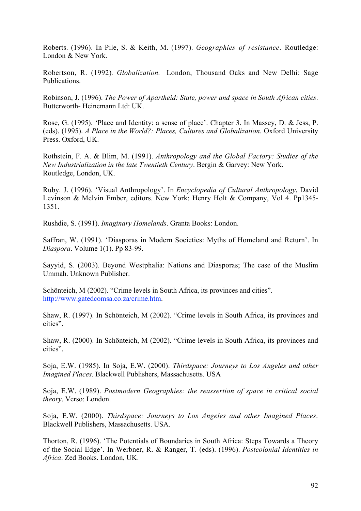Roberts. (1996). In Pile, S. & Keith, M. (1997). *Geographies of resistance*. Routledge: London & New York.

Robertson, R. (1992)*. Globalization.* London, Thousand Oaks and New Delhi: Sage Publications.

Robinson, J. (1996). *The Power of Apartheid: State, power and space in South African cities*. Butterworth- Heinemann Ltd: UK.

Rose, G. (1995). 'Place and Identity: a sense of place'. Chapter 3. In Massey, D. & Jess, P. (eds). (1995). *A Place in the World?: Places, Cultures and Globalization*. Oxford University Press. Oxford, UK.

Rothstein, F. A. & Blim, M. (1991). *Anthropology and the Global Factory: Studies of the New Industrialization in the late Twentieth Century*. Bergin & Garvey: New York. Routledge, London, UK.

Ruby. J. (1996). 'Visual Anthropology'. In *Encyclopedia of Cultural Anthropology*, David Levinson & Melvin Ember, editors. New York: Henry Holt & Company, Vol 4. Pp1345- 1351.

Rushdie, S. (1991). *Imaginary Homelands*. Granta Books: London.

Saffran, W. (1991). 'Diasporas in Modern Societies: Myths of Homeland and Return'. In *Diaspora*. Volume 1(1). Pp 83-99.

Sayyid, S. (2003). Beyond Westphalia: Nations and Diasporas; The case of the Muslim Ummah. Unknown Publisher.

Schönteich, M (2002). "Crime levels in South Africa, its provinces and cities". http://www.gatedcomsa.co.za/crime.htm.

Shaw, R. (1997). In Schönteich, M (2002). "Crime levels in South Africa, its provinces and cities".

Shaw, R. (2000). In Schönteich, M (2002). "Crime levels in South Africa, its provinces and cities".

Soja, E.W. (1985). In Soja, E.W. (2000). *Thirdspace: Journeys to Los Angeles and other Imagined Places*. Blackwell Publishers, Massachusetts. USA

Soja, E.W. (1989). *Postmodern Geographies: the reassertion of space in critical social theory*. Verso: London.

Soja, E.W. (2000). *Thirdspace: Journeys to Los Angeles and other Imagined Places*. Blackwell Publishers, Massachusetts. USA.

Thorton, R. (1996). 'The Potentials of Boundaries in South Africa: Steps Towards a Theory of the Social Edge'. In Werbner, R. & Ranger, T. (eds). (1996). *Postcolonial Identities in Africa*. Zed Books. London, UK.